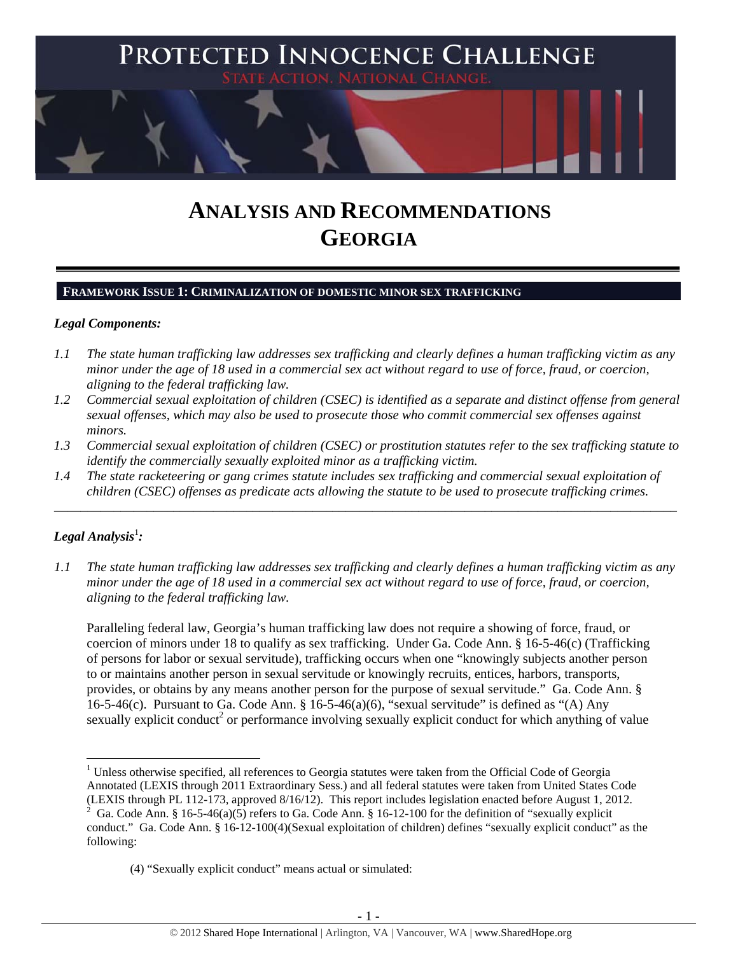

# **ANALYSIS AND RECOMMENDATIONS GEORGIA**

# **FRAMEWORK ISSUE 1: CRIMINALIZATION OF DOMESTIC MINOR SEX TRAFFICKING**

# *Legal Components:*

- *1.1 The state human trafficking law addresses sex trafficking and clearly defines a human trafficking victim as any minor under the age of 18 used in a commercial sex act without regard to use of force, fraud, or coercion, aligning to the federal trafficking law.*
- *1.2 Commercial sexual exploitation of children (CSEC) is identified as a separate and distinct offense from general sexual offenses, which may also be used to prosecute those who commit commercial sex offenses against minors.*
- *1.3 Commercial sexual exploitation of children (CSEC) or prostitution statutes refer to the sex trafficking statute to identify the commercially sexually exploited minor as a trafficking victim.*

\_\_\_\_\_\_\_\_\_\_\_\_\_\_\_\_\_\_\_\_\_\_\_\_\_\_\_\_\_\_\_\_\_\_\_\_\_\_\_\_\_\_\_\_\_\_\_\_\_\_\_\_\_\_\_\_\_\_\_\_\_\_\_\_\_\_\_\_\_\_\_\_\_\_\_\_\_\_\_\_\_\_\_\_\_\_\_\_\_\_\_\_\_\_

*1.4 The state racketeering or gang crimes statute includes sex trafficking and commercial sexual exploitation of children (CSEC) offenses as predicate acts allowing the statute to be used to prosecute trafficking crimes.* 

# $\bm{\mathit{Legal\, Analysis^{\text{!}}:}}$

*1.1 The state human trafficking law addresses sex trafficking and clearly defines a human trafficking victim as any minor under the age of 18 used in a commercial sex act without regard to use of force, fraud, or coercion, aligning to the federal trafficking law.*

Paralleling federal law, Georgia's human trafficking law does not require a showing of force, fraud, or coercion of minors under 18 to qualify as sex trafficking. Under Ga. Code Ann. § 16-5-46(c) (Trafficking of persons for labor or sexual servitude), trafficking occurs when one "knowingly subjects another person to or maintains another person in sexual servitude or knowingly recruits, entices, harbors, transports, provides, or obtains by any means another person for the purpose of sexual servitude." Ga. Code Ann. § 16-5-46(c). Pursuant to Ga. Code Ann. § 16-5-46(a)(6), "sexual servitude" is defined as "(A) Any sexually explicit conduct<sup>2</sup> or performance involving sexually explicit conduct for which anything of value

 <sup>1</sup> Unless otherwise specified, all references to Georgia statutes were taken from the Official Code of Georgia Annotated (LEXIS through 2011 Extraordinary Sess.) and all federal statutes were taken from United States Code (LEXIS through PL 112-173, approved 8/16/12). This report includes legislation enacted before August 1, 2012.

<sup>2</sup> Ga. Code Ann. § 16-5-46(a)(5) refers to Ga. Code Ann. § 16-12-100 for the definition of "sexually explicit conduct." Ga. Code Ann. § 16-12-100(4)(Sexual exploitation of children) defines "sexually explicit conduct" as the following:

<sup>(4) &</sup>quot;Sexually explicit conduct" means actual or simulated: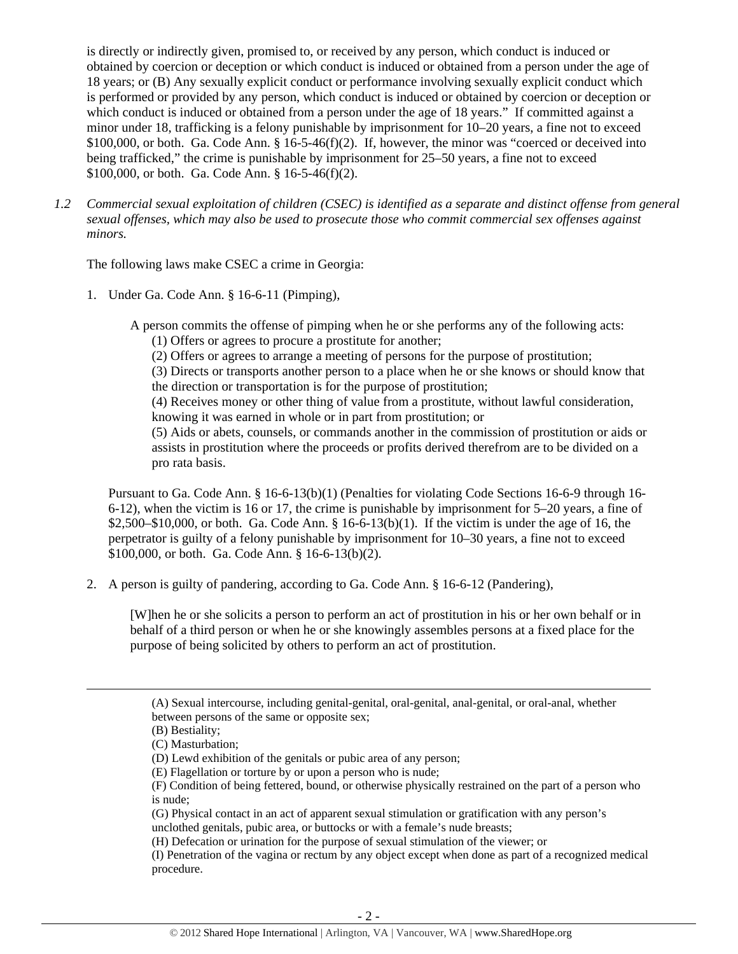is directly or indirectly given, promised to, or received by any person, which conduct is induced or obtained by coercion or deception or which conduct is induced or obtained from a person under the age of 18 years; or (B) Any sexually explicit conduct or performance involving sexually explicit conduct which is performed or provided by any person, which conduct is induced or obtained by coercion or deception or which conduct is induced or obtained from a person under the age of 18 years." If committed against a minor under 18, trafficking is a felony punishable by imprisonment for 10–20 years, a fine not to exceed  $$100,000$ , or both. Ga. Code Ann.  $§$  16-5-46(f)(2). If, however, the minor was "coerced or deceived into being trafficked," the crime is punishable by imprisonment for 25–50 years, a fine not to exceed \$100,000, or both. Ga. Code Ann. § 16-5-46(f)(2).

*1.2 Commercial sexual exploitation of children (CSEC) is identified as a separate and distinct offense from general sexual offenses, which may also be used to prosecute those who commit commercial sex offenses against minors.*

The following laws make CSEC a crime in Georgia:

1. Under Ga. Code Ann. § 16-6-11 (Pimping),

A person commits the offense of pimping when he or she performs any of the following acts:

(1) Offers or agrees to procure a prostitute for another;

(2) Offers or agrees to arrange a meeting of persons for the purpose of prostitution;

(3) Directs or transports another person to a place when he or she knows or should know that the direction or transportation is for the purpose of prostitution;

(4) Receives money or other thing of value from a prostitute, without lawful consideration, knowing it was earned in whole or in part from prostitution; or

(5) Aids or abets, counsels, or commands another in the commission of prostitution or aids or assists in prostitution where the proceeds or profits derived therefrom are to be divided on a pro rata basis.

Pursuant to Ga. Code Ann. § 16-6-13(b)(1) (Penalties for violating Code Sections 16-6-9 through 16- 6-12), when the victim is 16 or 17, the crime is punishable by imprisonment for 5–20 years, a fine of  $$2,500–$10,000$ , or both. Ga. Code Ann.  $$16-6-13(b)(1)$ . If the victim is under the age of 16, the perpetrator is guilty of a felony punishable by imprisonment for 10–30 years, a fine not to exceed \$100,000, or both. Ga. Code Ann. § 16-6-13(b)(2).

2. A person is guilty of pandering, according to Ga. Code Ann. § 16-6-12 (Pandering),

[W]hen he or she solicits a person to perform an act of prostitution in his or her own behalf or in behalf of a third person or when he or she knowingly assembles persons at a fixed place for the purpose of being solicited by others to perform an act of prostitution.

<u> 1989 - Johann Stein, marwolaethau a gweledydd a ganlad y ganlad y ganlad y ganlad y ganlad y ganlad y ganlad</u>

<sup>(</sup>A) Sexual intercourse, including genital-genital, oral-genital, anal-genital, or oral-anal, whether between persons of the same or opposite sex;

<sup>(</sup>B) Bestiality;

<sup>(</sup>C) Masturbation;

<sup>(</sup>D) Lewd exhibition of the genitals or pubic area of any person;

<sup>(</sup>E) Flagellation or torture by or upon a person who is nude;

<sup>(</sup>F) Condition of being fettered, bound, or otherwise physically restrained on the part of a person who is nude;

<sup>(</sup>G) Physical contact in an act of apparent sexual stimulation or gratification with any person's unclothed genitals, pubic area, or buttocks or with a female's nude breasts;

<sup>(</sup>H) Defecation or urination for the purpose of sexual stimulation of the viewer; or

<sup>(</sup>I) Penetration of the vagina or rectum by any object except when done as part of a recognized medical procedure.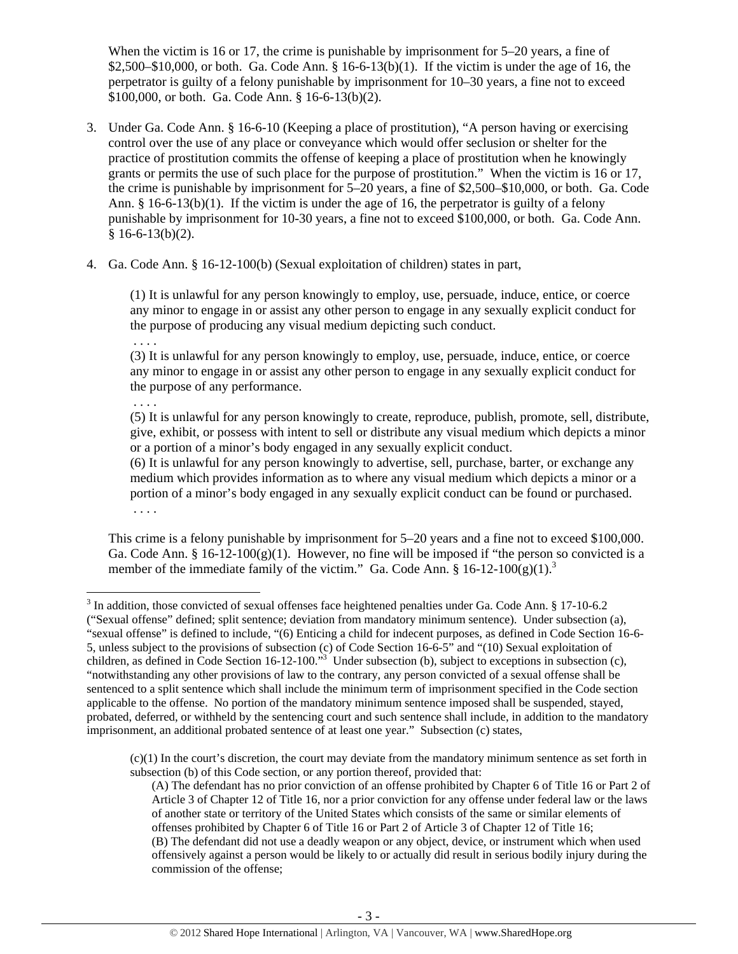When the victim is 16 or 17, the crime is punishable by imprisonment for 5–20 years, a fine of \$2,500–\$10,000, or both. Ga. Code Ann. § 16-6-13(b)(1). If the victim is under the age of 16, the perpetrator is guilty of a felony punishable by imprisonment for 10–30 years, a fine not to exceed \$100,000, or both. Ga. Code Ann. § 16-6-13(b)(2).

- 3. Under Ga. Code Ann. § 16-6-10 (Keeping a place of prostitution), "A person having or exercising control over the use of any place or conveyance which would offer seclusion or shelter for the practice of prostitution commits the offense of keeping a place of prostitution when he knowingly grants or permits the use of such place for the purpose of prostitution." When the victim is 16 or 17, the crime is punishable by imprisonment for 5–20 years, a fine of \$2,500–\$10,000, or both. Ga. Code Ann.  $\S$  16-6-13(b)(1). If the victim is under the age of 16, the perpetrator is guilty of a felony punishable by imprisonment for 10-30 years, a fine not to exceed \$100,000, or both. Ga. Code Ann.  $§ 16-6-13(b)(2).$
- 4. Ga. Code Ann. § 16-12-100(b) (Sexual exploitation of children) states in part,

(1) It is unlawful for any person knowingly to employ, use, persuade, induce, entice, or coerce any minor to engage in or assist any other person to engage in any sexually explicit conduct for the purpose of producing any visual medium depicting such conduct.

. . . .

(3) It is unlawful for any person knowingly to employ, use, persuade, induce, entice, or coerce any minor to engage in or assist any other person to engage in any sexually explicit conduct for the purpose of any performance.

. . . .

(5) It is unlawful for any person knowingly to create, reproduce, publish, promote, sell, distribute, give, exhibit, or possess with intent to sell or distribute any visual medium which depicts a minor or a portion of a minor's body engaged in any sexually explicit conduct.

(6) It is unlawful for any person knowingly to advertise, sell, purchase, barter, or exchange any medium which provides information as to where any visual medium which depicts a minor or a portion of a minor's body engaged in any sexually explicit conduct can be found or purchased. . . . .

This crime is a felony punishable by imprisonment for 5–20 years and a fine not to exceed \$100,000. Ga. Code Ann. § 16-12-100(g)(1). However, no fine will be imposed if "the person so convicted is a member of the immediate family of the victim." Ga. Code Ann.  $\S 16-12-100(g)(1)^3$ 

 $(c)(1)$  In the court's discretion, the court may deviate from the mandatory minimum sentence as set forth in subsection (b) of this Code section, or any portion thereof, provided that:

 $3$  In addition, those convicted of sexual offenses face heightened penalties under Ga. Code Ann. § 17-10-6.2

<sup>(&</sup>quot;Sexual offense" defined; split sentence; deviation from mandatory minimum sentence). Under subsection (a), "sexual offense" is defined to include, "(6) Enticing a child for indecent purposes, as defined in Code Section 16-6- 5, unless subject to the provisions of subsection (c) of Code Section 16-6-5" and "(10) Sexual exploitation of children, as defined in Code Section 16-12-100.<sup>33</sup> Under subsection (b), subject to exceptions in subsection (c), "notwithstanding any other provisions of law to the contrary, any person convicted of a sexual offense shall be sentenced to a split sentence which shall include the minimum term of imprisonment specified in the Code section applicable to the offense. No portion of the mandatory minimum sentence imposed shall be suspended, stayed, probated, deferred, or withheld by the sentencing court and such sentence shall include, in addition to the mandatory imprisonment, an additional probated sentence of at least one year." Subsection (c) states,

<sup>(</sup>A) The defendant has no prior conviction of an offense prohibited by Chapter 6 of Title 16 or Part 2 of Article 3 of Chapter 12 of Title 16, nor a prior conviction for any offense under federal law or the laws of another state or territory of the United States which consists of the same or similar elements of offenses prohibited by Chapter 6 of Title 16 or Part 2 of Article 3 of Chapter 12 of Title 16; (B) The defendant did not use a deadly weapon or any object, device, or instrument which when used offensively against a person would be likely to or actually did result in serious bodily injury during the commission of the offense;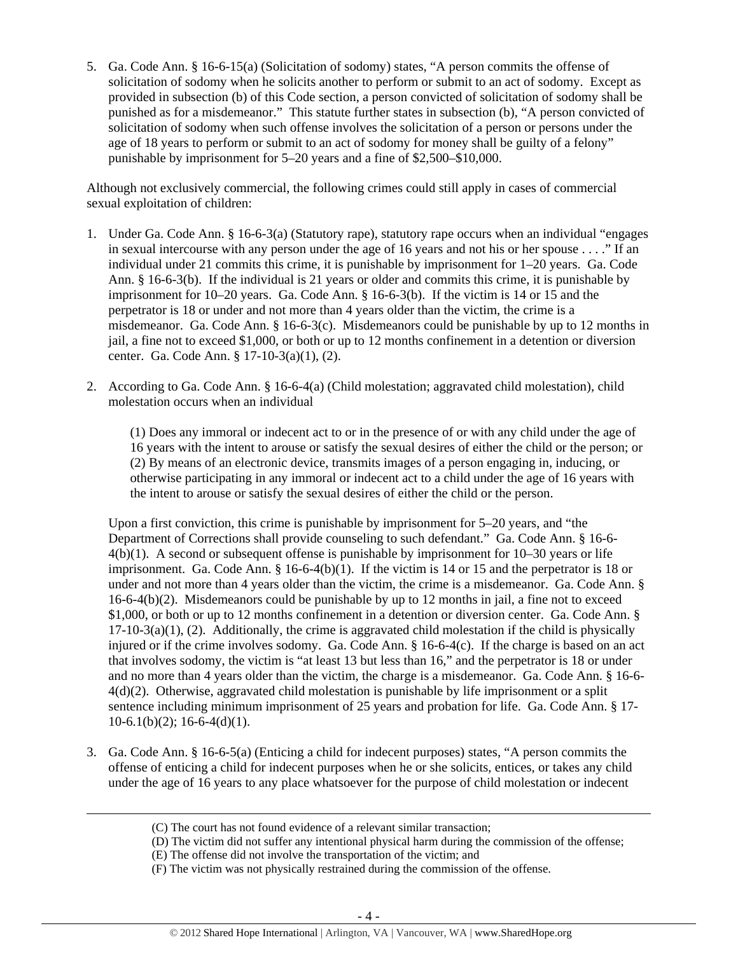5. Ga. Code Ann. § 16-6-15(a) (Solicitation of sodomy) states, "A person commits the offense of solicitation of sodomy when he solicits another to perform or submit to an act of sodomy. Except as provided in subsection (b) of this Code section, a person convicted of solicitation of sodomy shall be punished as for a misdemeanor." This statute further states in subsection (b), "A person convicted of solicitation of sodomy when such offense involves the solicitation of a person or persons under the age of 18 years to perform or submit to an act of sodomy for money shall be guilty of a felony" punishable by imprisonment for 5–20 years and a fine of \$2,500–\$10,000.

Although not exclusively commercial, the following crimes could still apply in cases of commercial sexual exploitation of children:

- 1. Under Ga. Code Ann. § 16-6-3(a) (Statutory rape), statutory rape occurs when an individual "engages in sexual intercourse with any person under the age of 16 years and not his or her spouse . . . ." If an individual under 21 commits this crime, it is punishable by imprisonment for 1–20 years. Ga. Code Ann. § 16-6-3(b). If the individual is 21 years or older and commits this crime, it is punishable by imprisonment for 10–20 years. Ga. Code Ann. § 16-6-3(b). If the victim is 14 or 15 and the perpetrator is 18 or under and not more than 4 years older than the victim, the crime is a misdemeanor. Ga. Code Ann.  $\S$  16-6-3(c). Misdemeanors could be punishable by up to 12 months in jail, a fine not to exceed \$1,000, or both or up to 12 months confinement in a detention or diversion center. Ga. Code Ann. § 17-10-3(a)(1), (2).
- 2. According to Ga. Code Ann. § 16-6-4(a) (Child molestation; aggravated child molestation), child molestation occurs when an individual

(1) Does any immoral or indecent act to or in the presence of or with any child under the age of 16 years with the intent to arouse or satisfy the sexual desires of either the child or the person; or (2) By means of an electronic device, transmits images of a person engaging in, inducing, or otherwise participating in any immoral or indecent act to a child under the age of 16 years with the intent to arouse or satisfy the sexual desires of either the child or the person.

Upon a first conviction, this crime is punishable by imprisonment for 5–20 years, and "the Department of Corrections shall provide counseling to such defendant." Ga. Code Ann. § 16-6- 4(b)(1). A second or subsequent offense is punishable by imprisonment for 10–30 years or life imprisonment. Ga. Code Ann.  $\S 16-6-4(b)(1)$ . If the victim is 14 or 15 and the perpetrator is 18 or under and not more than 4 years older than the victim, the crime is a misdemeanor. Ga. Code Ann. §  $16-6-4(b)(2)$ . Misdemeanors could be punishable by up to 12 months in jail, a fine not to exceed \$1,000, or both or up to 12 months confinement in a detention or diversion center. Ga. Code Ann. §  $17-10-3(a)(1)$ , (2). Additionally, the crime is aggravated child molestation if the child is physically injured or if the crime involves sodomy. Ga. Code Ann. § 16-6-4(c). If the charge is based on an act that involves sodomy, the victim is "at least 13 but less than 16," and the perpetrator is 18 or under and no more than 4 years older than the victim, the charge is a misdemeanor. Ga. Code Ann. § 16-6- 4(d)(2). Otherwise, aggravated child molestation is punishable by life imprisonment or a split sentence including minimum imprisonment of 25 years and probation for life. Ga. Code Ann. § 17-  $10-6.1(b)(2)$ ; 16-6-4(d)(1).

3. Ga. Code Ann. § 16-6-5(a) (Enticing a child for indecent purposes) states, "A person commits the offense of enticing a child for indecent purposes when he or she solicits, entices, or takes any child under the age of 16 years to any place whatsoever for the purpose of child molestation or indecent

<u> Andrewski politika (za obrazu pod predsjednika u predsjednika u predsjednika u predsjednika (za obrazu pod p</u>

<sup>(</sup>C) The court has not found evidence of a relevant similar transaction;

<sup>(</sup>D) The victim did not suffer any intentional physical harm during the commission of the offense;

<sup>(</sup>E) The offense did not involve the transportation of the victim; and

<sup>(</sup>F) The victim was not physically restrained during the commission of the offense.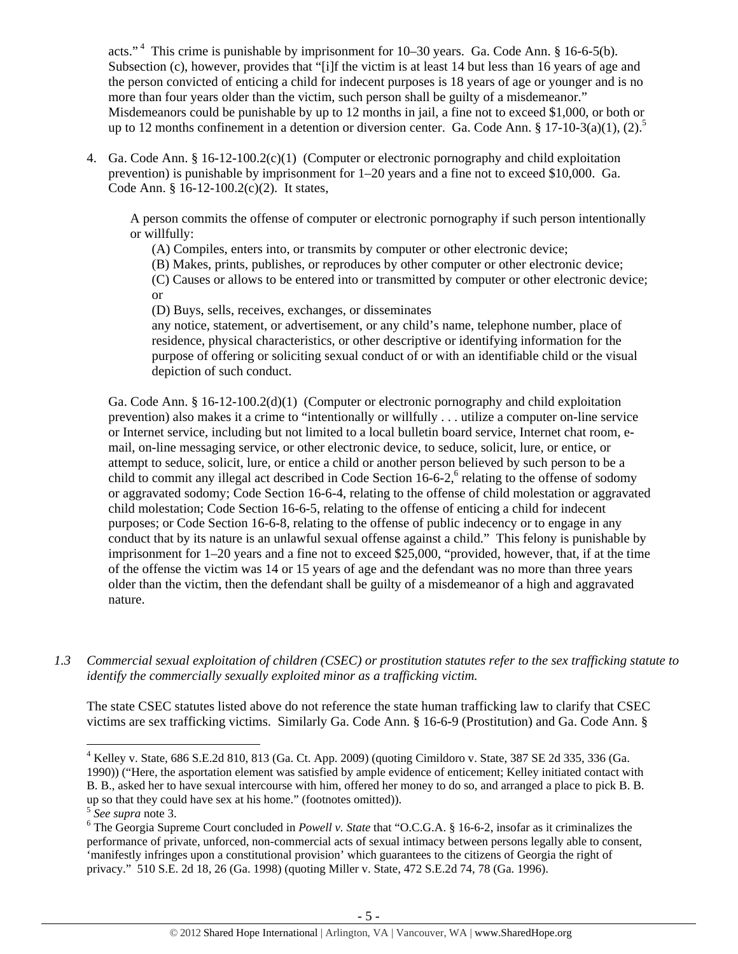acts."<sup>4</sup> This crime is punishable by imprisonment for  $10-30$  years. Ga. Code Ann. §  $16-6-5(b)$ . Subsection (c), however, provides that "[i]f the victim is at least 14 but less than 16 years of age and the person convicted of enticing a child for indecent purposes is 18 years of age or younger and is no more than four years older than the victim, such person shall be guilty of a misdemeanor." Misdemeanors could be punishable by up to 12 months in jail, a fine not to exceed \$1,000, or both or up to 12 months confinement in a detention or diversion center. Ga. Code Ann. § 17-10-3(a)(1), (2).<sup>5</sup>

4. Ga. Code Ann. § 16-12-100.2(c)(1) (Computer or electronic pornography and child exploitation prevention) is punishable by imprisonment for 1–20 years and a fine not to exceed \$10,000. Ga. Code Ann. § 16-12-100.2(c)(2). It states,

A person commits the offense of computer or electronic pornography if such person intentionally or willfully:

- (A) Compiles, enters into, or transmits by computer or other electronic device;
- (B) Makes, prints, publishes, or reproduces by other computer or other electronic device;

(C) Causes or allows to be entered into or transmitted by computer or other electronic device; or

(D) Buys, sells, receives, exchanges, or disseminates

any notice, statement, or advertisement, or any child's name, telephone number, place of residence, physical characteristics, or other descriptive or identifying information for the purpose of offering or soliciting sexual conduct of or with an identifiable child or the visual depiction of such conduct.

Ga. Code Ann. § 16-12-100.2(d)(1) (Computer or electronic pornography and child exploitation prevention) also makes it a crime to "intentionally or willfully . . . utilize a computer on-line service or Internet service, including but not limited to a local bulletin board service, Internet chat room, email, on-line messaging service, or other electronic device, to seduce, solicit, lure, or entice, or attempt to seduce, solicit, lure, or entice a child or another person believed by such person to be a child to commit any illegal act described in Code Section  $16-6-2$ , relating to the offense of sodomy or aggravated sodomy; Code Section 16-6-4, relating to the offense of child molestation or aggravated child molestation; Code Section 16-6-5, relating to the offense of enticing a child for indecent purposes; or Code Section 16-6-8, relating to the offense of public indecency or to engage in any conduct that by its nature is an unlawful sexual offense against a child." This felony is punishable by imprisonment for 1–20 years and a fine not to exceed \$25,000, "provided, however, that, if at the time of the offense the victim was 14 or 15 years of age and the defendant was no more than three years older than the victim, then the defendant shall be guilty of a misdemeanor of a high and aggravated nature.

*1.3 Commercial sexual exploitation of children (CSEC) or prostitution statutes refer to the sex trafficking statute to identify the commercially sexually exploited minor as a trafficking victim.* 

The state CSEC statutes listed above do not reference the state human trafficking law to clarify that CSEC victims are sex trafficking victims. Similarly Ga. Code Ann. § 16-6-9 (Prostitution) and Ga. Code Ann. §

1990)) ("Here, the asportation element was satisfied by ample evidence of enticement; Kelley initiated contact with B. B., asked her to have sexual intercourse with him, offered her money to do so, and arranged a place to pick B. B. up so that they could have sex at his home." (footnotes omitted)).

<sup>4</sup> Kelley v. State, 686 S.E.2d 810, 813 (Ga. Ct. App. 2009) (quoting Cimildoro v. State, 387 SE 2d 335, 336 (Ga.

<sup>5</sup> *See supra* note 3. 6

The Georgia Supreme Court concluded in *Powell v. State* that "O.C.G.A. § 16-6-2, insofar as it criminalizes the performance of private, unforced, non-commercial acts of sexual intimacy between persons legally able to consent, 'manifestly infringes upon a constitutional provision' which guarantees to the citizens of Georgia the right of privacy." 510 S.E. 2d 18, 26 (Ga. 1998) (quoting Miller v. State, 472 S.E.2d 74, 78 (Ga. 1996).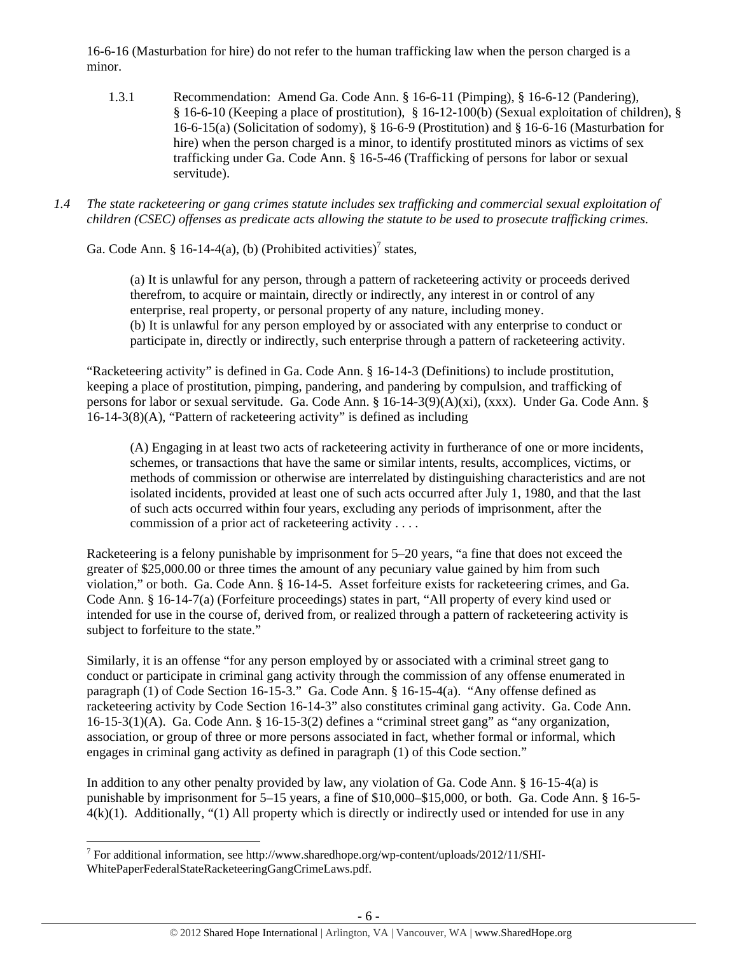16-6-16 (Masturbation for hire) do not refer to the human trafficking law when the person charged is a minor.

- 1.3.1 Recommendation: Amend Ga. Code Ann. § 16-6-11 (Pimping), § 16-6-12 (Pandering), § 16-6-10 (Keeping a place of prostitution), § 16-12-100(b) (Sexual exploitation of children), § 16-6-15(a) (Solicitation of sodomy), § 16-6-9 (Prostitution) and § 16-6-16 (Masturbation for hire) when the person charged is a minor, to identify prostituted minors as victims of sex trafficking under Ga. Code Ann. § 16-5-46 (Trafficking of persons for labor or sexual servitude).
- *1.4 The state racketeering or gang crimes statute includes sex trafficking and commercial sexual exploitation of children (CSEC) offenses as predicate acts allowing the statute to be used to prosecute trafficking crimes.*

Ga. Code Ann. § 16-14-4(a), (b) (Prohibited activities)<sup>7</sup> states,

(a) It is unlawful for any person, through a pattern of racketeering activity or proceeds derived therefrom, to acquire or maintain, directly or indirectly, any interest in or control of any enterprise, real property, or personal property of any nature, including money. (b) It is unlawful for any person employed by or associated with any enterprise to conduct or participate in, directly or indirectly, such enterprise through a pattern of racketeering activity.

"Racketeering activity" is defined in Ga. Code Ann. § 16-14-3 (Definitions) to include prostitution, keeping a place of prostitution, pimping, pandering, and pandering by compulsion, and trafficking of persons for labor or sexual servitude. Ga. Code Ann. § 16-14-3(9)(A)(xi), (xxx). Under Ga. Code Ann. § 16-14-3(8)(A), "Pattern of racketeering activity" is defined as including

(A) Engaging in at least two acts of racketeering activity in furtherance of one or more incidents, schemes, or transactions that have the same or similar intents, results, accomplices, victims, or methods of commission or otherwise are interrelated by distinguishing characteristics and are not isolated incidents, provided at least one of such acts occurred after July 1, 1980, and that the last of such acts occurred within four years, excluding any periods of imprisonment, after the commission of a prior act of racketeering activity . . . .

Racketeering is a felony punishable by imprisonment for 5–20 years, "a fine that does not exceed the greater of \$25,000.00 or three times the amount of any pecuniary value gained by him from such violation," or both. Ga. Code Ann. § 16-14-5. Asset forfeiture exists for racketeering crimes, and Ga. Code Ann. § 16-14-7(a) (Forfeiture proceedings) states in part, "All property of every kind used or intended for use in the course of, derived from, or realized through a pattern of racketeering activity is subject to forfeiture to the state."

Similarly, it is an offense "for any person employed by or associated with a criminal street gang to conduct or participate in criminal gang activity through the commission of any offense enumerated in paragraph (1) of Code Section 16-15-3." Ga. Code Ann. § 16-15-4(a). "Any offense defined as racketeering activity by Code Section 16-14-3" also constitutes criminal gang activity. Ga. Code Ann. 16-15-3(1)(A). Ga. Code Ann. § 16-15-3(2) defines a "criminal street gang" as "any organization, association, or group of three or more persons associated in fact, whether formal or informal, which engages in criminal gang activity as defined in paragraph (1) of this Code section."

In addition to any other penalty provided by law, any violation of Ga. Code Ann. § 16-15-4(a) is punishable by imprisonment for 5–15 years, a fine of \$10,000–\$15,000, or both. Ga. Code Ann. § 16-5-  $4(k)(1)$ . Additionally, "(1) All property which is directly or indirectly used or intended for use in any

<sup>&</sup>lt;sup>7</sup> For additional information, see http://www.sharedhope.org/wp-content/uploads/2012/11/SHI-WhitePaperFederalStateRacketeeringGangCrimeLaws.pdf.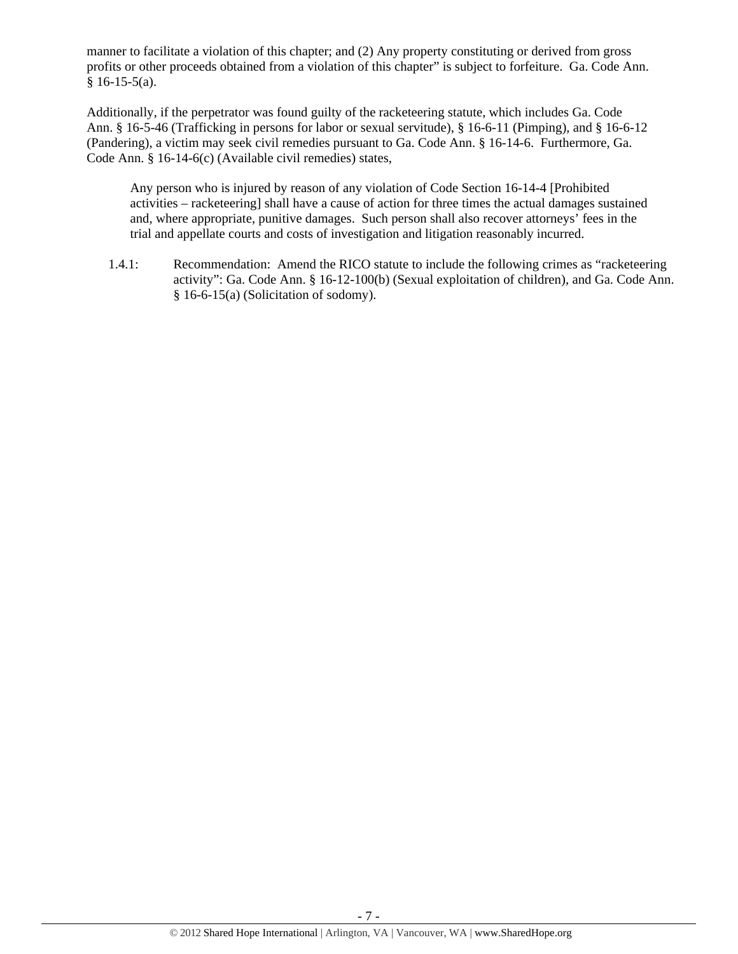manner to facilitate a violation of this chapter; and (2) Any property constituting or derived from gross profits or other proceeds obtained from a violation of this chapter" is subject to forfeiture. Ga. Code Ann.  $§$  16-15-5(a).

Additionally, if the perpetrator was found guilty of the racketeering statute, which includes Ga. Code Ann. § 16-5-46 (Trafficking in persons for labor or sexual servitude), § 16-6-11 (Pimping), and § 16-6-12 (Pandering), a victim may seek civil remedies pursuant to Ga. Code Ann. § 16-14-6. Furthermore, Ga. Code Ann. § 16-14-6(c) (Available civil remedies) states,

Any person who is injured by reason of any violation of Code Section 16-14-4 [Prohibited activities – racketeering] shall have a cause of action for three times the actual damages sustained and, where appropriate, punitive damages. Such person shall also recover attorneys' fees in the trial and appellate courts and costs of investigation and litigation reasonably incurred.

1.4.1: Recommendation: Amend the RICO statute to include the following crimes as "racketeering activity": Ga. Code Ann. § 16-12-100(b) (Sexual exploitation of children), and Ga. Code Ann. § 16-6-15(a) (Solicitation of sodomy).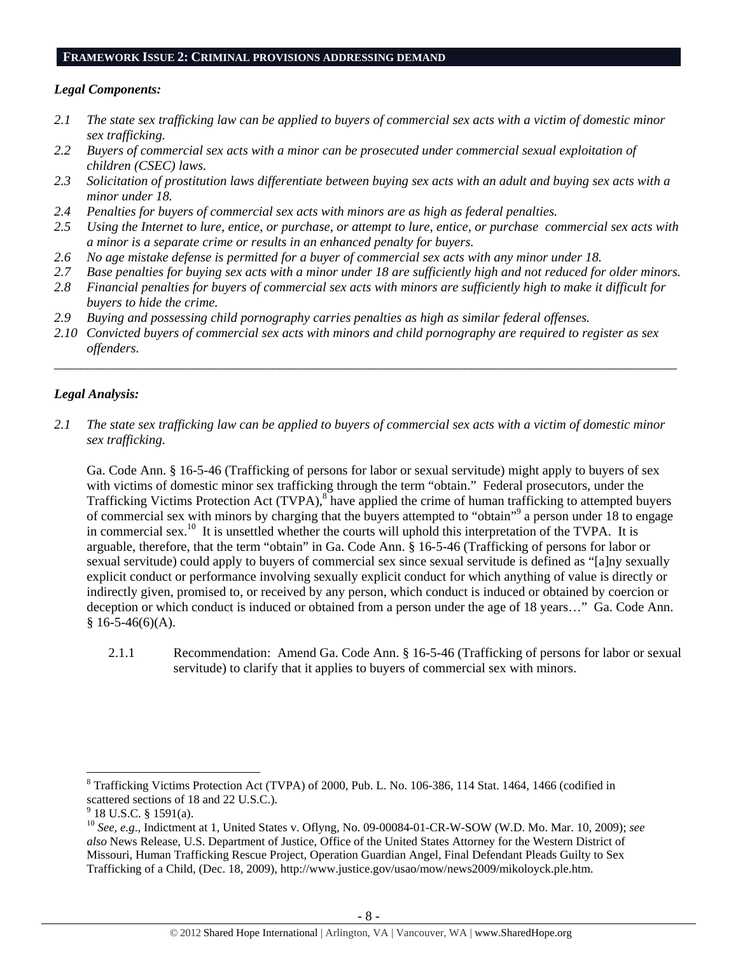#### **FRAMEWORK ISSUE 2: CRIMINAL PROVISIONS ADDRESSING DEMAND**

# *Legal Components:*

- *2.1 The state sex trafficking law can be applied to buyers of commercial sex acts with a victim of domestic minor sex trafficking.*
- *2.2 Buyers of commercial sex acts with a minor can be prosecuted under commercial sexual exploitation of children (CSEC) laws.*
- *2.3 Solicitation of prostitution laws differentiate between buying sex acts with an adult and buying sex acts with a minor under 18.*
- *2.4 Penalties for buyers of commercial sex acts with minors are as high as federal penalties.*
- *2.5 Using the Internet to lure, entice, or purchase, or attempt to lure, entice, or purchase commercial sex acts with a minor is a separate crime or results in an enhanced penalty for buyers.*
- *2.6 No age mistake defense is permitted for a buyer of commercial sex acts with any minor under 18.*
- *2.7 Base penalties for buying sex acts with a minor under 18 are sufficiently high and not reduced for older minors.*
- *2.8 Financial penalties for buyers of commercial sex acts with minors are sufficiently high to make it difficult for buyers to hide the crime.*
- *2.9 Buying and possessing child pornography carries penalties as high as similar federal offenses.*
- *2.10 Convicted buyers of commercial sex acts with minors and child pornography are required to register as sex offenders.*

\_\_\_\_\_\_\_\_\_\_\_\_\_\_\_\_\_\_\_\_\_\_\_\_\_\_\_\_\_\_\_\_\_\_\_\_\_\_\_\_\_\_\_\_\_\_\_\_\_\_\_\_\_\_\_\_\_\_\_\_\_\_\_\_\_\_\_\_\_\_\_\_\_\_\_\_\_\_\_\_\_\_\_\_\_\_\_\_\_\_\_\_\_\_

# *Legal Analysis:*

*2.1 The state sex trafficking law can be applied to buyers of commercial sex acts with a victim of domestic minor sex trafficking.* 

Ga. Code Ann. § 16-5-46 (Trafficking of persons for labor or sexual servitude) might apply to buyers of sex with victims of domestic minor sex trafficking through the term "obtain." Federal prosecutors, under the Trafficking Victims Protection Act (TVPA),<sup>8</sup> have applied the crime of human trafficking to attempted buyers of commercial sex with minors by charging that the buyers attempted to "obtain"<sup>9</sup> a person under 18 to engage in commercial sex.10 It is unsettled whether the courts will uphold this interpretation of the TVPA. It is arguable, therefore, that the term "obtain" in Ga. Code Ann. § 16-5-46 (Trafficking of persons for labor or sexual servitude) could apply to buyers of commercial sex since sexual servitude is defined as "[a]ny sexually explicit conduct or performance involving sexually explicit conduct for which anything of value is directly or indirectly given, promised to, or received by any person, which conduct is induced or obtained by coercion or deception or which conduct is induced or obtained from a person under the age of 18 years…" Ga. Code Ann.  $§ 16-5-46(6)(A).$ 

2.1.1 Recommendation: Amend Ga. Code Ann. § 16-5-46 (Trafficking of persons for labor or sexual servitude) to clarify that it applies to buyers of commercial sex with minors.

 <sup>8</sup> Trafficking Victims Protection Act (TVPA) of 2000, Pub. L. No. 106-386, 114 Stat. 1464, 1466 (codified in scattered sections of 18 and 22 U.S.C.).

<sup>9</sup> 18 U.S.C. § 1591(a).

<sup>10</sup> *See, e.g*., Indictment at 1, United States v. Oflyng, No. 09-00084-01-CR-W-SOW (W.D. Mo. Mar. 10, 2009); *see also* News Release, U.S. Department of Justice, Office of the United States Attorney for the Western District of Missouri, Human Trafficking Rescue Project, Operation Guardian Angel, Final Defendant Pleads Guilty to Sex Trafficking of a Child, (Dec. 18, 2009), http://www.justice.gov/usao/mow/news2009/mikoloyck.ple.htm.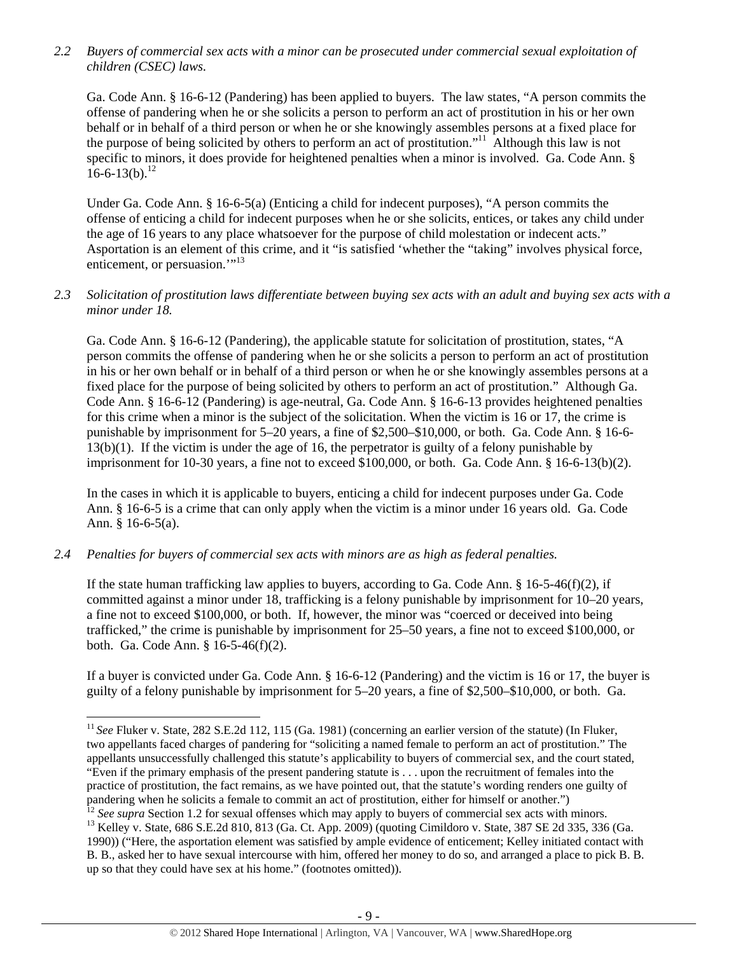*2.2 Buyers of commercial sex acts with a minor can be prosecuted under commercial sexual exploitation of children (CSEC) laws.* 

Ga. Code Ann. § 16-6-12 (Pandering) has been applied to buyers. The law states, "A person commits the offense of pandering when he or she solicits a person to perform an act of prostitution in his or her own behalf or in behalf of a third person or when he or she knowingly assembles persons at a fixed place for the purpose of being solicited by others to perform an act of prostitution."11 Although this law is not specific to minors, it does provide for heightened penalties when a minor is involved. Ga. Code Ann. §  $16-6-13(b).$ <sup>12</sup>

Under Ga. Code Ann. § 16-6-5(a) (Enticing a child for indecent purposes), "A person commits the offense of enticing a child for indecent purposes when he or she solicits, entices, or takes any child under the age of 16 years to any place whatsoever for the purpose of child molestation or indecent acts." Asportation is an element of this crime, and it "is satisfied 'whether the "taking" involves physical force, enticement, or persuasion."<sup>13</sup>

# *2.3 Solicitation of prostitution laws differentiate between buying sex acts with an adult and buying sex acts with a minor under 18.*

Ga. Code Ann. § 16-6-12 (Pandering), the applicable statute for solicitation of prostitution, states, "A person commits the offense of pandering when he or she solicits a person to perform an act of prostitution in his or her own behalf or in behalf of a third person or when he or she knowingly assembles persons at a fixed place for the purpose of being solicited by others to perform an act of prostitution." Although Ga. Code Ann. § 16-6-12 (Pandering) is age-neutral, Ga. Code Ann. § 16-6-13 provides heightened penalties for this crime when a minor is the subject of the solicitation. When the victim is 16 or 17, the crime is punishable by imprisonment for 5–20 years, a fine of \$2,500–\$10,000, or both. Ga. Code Ann. § 16-6- 13(b)(1). If the victim is under the age of 16, the perpetrator is guilty of a felony punishable by imprisonment for 10-30 years, a fine not to exceed \$100,000, or both. Ga. Code Ann. § 16-6-13(b)(2).

In the cases in which it is applicable to buyers, enticing a child for indecent purposes under Ga. Code Ann. § 16-6-5 is a crime that can only apply when the victim is a minor under 16 years old. Ga. Code Ann. § 16-6-5(a).

# *2.4 Penalties for buyers of commercial sex acts with minors are as high as federal penalties.*

If the state human trafficking law applies to buyers, according to Ga. Code Ann.  $\S$  16-5-46(f)(2), if committed against a minor under 18, trafficking is a felony punishable by imprisonment for 10–20 years, a fine not to exceed \$100,000, or both. If, however, the minor was "coerced or deceived into being trafficked," the crime is punishable by imprisonment for 25–50 years, a fine not to exceed \$100,000, or both. Ga. Code Ann. § 16-5-46(f)(2).

If a buyer is convicted under Ga. Code Ann. § 16-6-12 (Pandering) and the victim is 16 or 17, the buyer is guilty of a felony punishable by imprisonment for 5–20 years, a fine of \$2,500–\$10,000, or both. Ga.

<sup>&</sup>lt;sup>11</sup> See Fluker v. State, 282 S.E.2d 112, 115 (Ga. 1981) (concerning an earlier version of the statute) (In Fluker, two appellants faced charges of pandering for "soliciting a named female to perform an act of prostitution." The appellants unsuccessfully challenged this statute's applicability to buyers of commercial sex, and the court stated, "Even if the primary emphasis of the present pandering statute is . . . upon the recruitment of females into the practice of prostitution, the fact remains, as we have pointed out, that the statute's wording renders one guilty of pandering when he solicits a female to commit an act of prostitution, either for himself or another.")<br><sup>12</sup> See supra Section 1.2 for sexual offenses which may apply to buyers of commercial sex acts with minors.

<sup>&</sup>lt;sup>13</sup> Kelley v. State, 686 S.E.2d 810, 813 (Ga. Ct. App. 2009) (quoting Cimildoro v. State, 387 SE 2d 335, 336 (Ga. 1990)) ("Here, the asportation element was satisfied by ample evidence of enticement; Kelley initiated contact with B. B., asked her to have sexual intercourse with him, offered her money to do so, and arranged a place to pick B. B. up so that they could have sex at his home." (footnotes omitted)).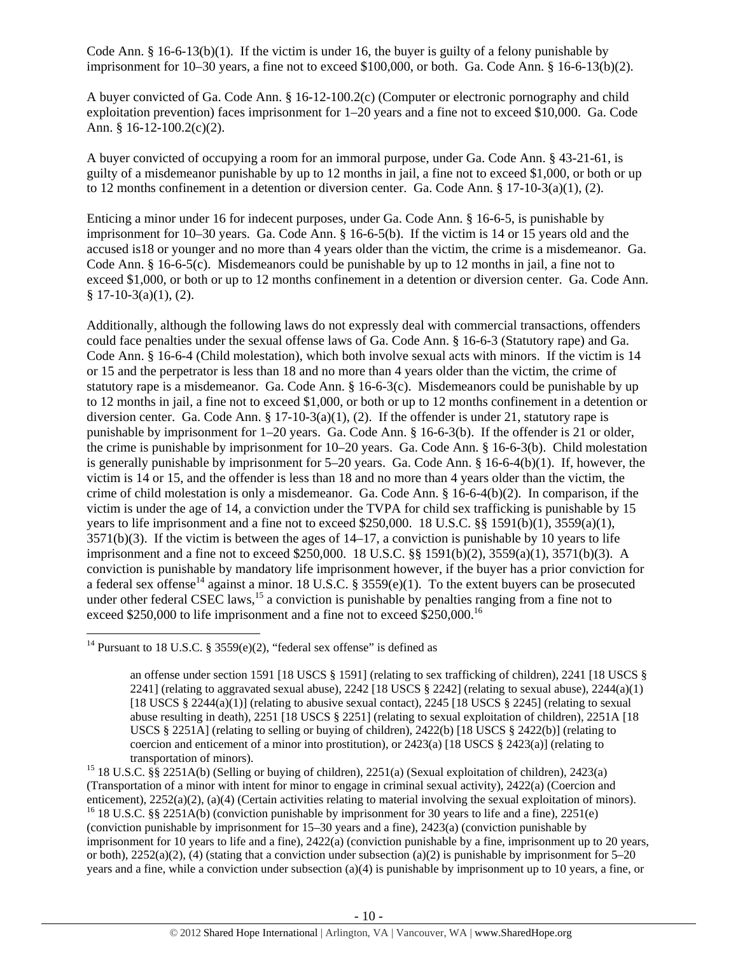Code Ann.  $\S$  16-6-13(b)(1). If the victim is under 16, the buyer is guilty of a felony punishable by imprisonment for 10–30 years, a fine not to exceed \$100,000, or both. Ga. Code Ann. § 16-6-13(b)(2).

A buyer convicted of Ga. Code Ann. § 16-12-100.2(c) (Computer or electronic pornography and child exploitation prevention) faces imprisonment for 1–20 years and a fine not to exceed \$10,000. Ga. Code Ann. § 16-12-100.2(c)(2).

A buyer convicted of occupying a room for an immoral purpose, under Ga. Code Ann. § 43-21-61, is guilty of a misdemeanor punishable by up to 12 months in jail, a fine not to exceed \$1,000, or both or up to 12 months confinement in a detention or diversion center. Ga. Code Ann. § 17-10-3(a)(1), (2).

Enticing a minor under 16 for indecent purposes, under Ga. Code Ann. § 16-6-5, is punishable by imprisonment for 10–30 years. Ga. Code Ann. § 16-6-5(b). If the victim is 14 or 15 years old and the accused is18 or younger and no more than 4 years older than the victim, the crime is a misdemeanor. Ga. Code Ann. § 16-6-5(c). Misdemeanors could be punishable by up to 12 months in jail, a fine not to exceed \$1,000, or both or up to 12 months confinement in a detention or diversion center. Ga. Code Ann.  $§ 17-10-3(a)(1), (2).$ 

Additionally, although the following laws do not expressly deal with commercial transactions, offenders could face penalties under the sexual offense laws of Ga. Code Ann. § 16-6-3 (Statutory rape) and Ga. Code Ann. § 16-6-4 (Child molestation), which both involve sexual acts with minors. If the victim is 14 or 15 and the perpetrator is less than 18 and no more than 4 years older than the victim, the crime of statutory rape is a misdemeanor. Ga. Code Ann. § 16-6-3(c). Misdemeanors could be punishable by up to 12 months in jail, a fine not to exceed \$1,000, or both or up to 12 months confinement in a detention or diversion center. Ga. Code Ann. § 17-10-3(a)(1), (2). If the offender is under 21, statutory rape is punishable by imprisonment for 1–20 years. Ga. Code Ann. § 16-6-3(b). If the offender is 21 or older, the crime is punishable by imprisonment for 10–20 years. Ga. Code Ann. § 16-6-3(b). Child molestation is generally punishable by imprisonment for 5–20 years. Ga. Code Ann. § 16-6-4(b)(1). If, however, the victim is 14 or 15, and the offender is less than 18 and no more than 4 years older than the victim, the crime of child molestation is only a misdemeanor. Ga. Code Ann. § 16-6-4(b)(2). In comparison, if the victim is under the age of 14, a conviction under the TVPA for child sex trafficking is punishable by 15 years to life imprisonment and a fine not to exceed \$250,000. 18 U.S.C. §§ 1591(b)(1), 3559(a)(1),  $3571(b)(3)$ . If the victim is between the ages of  $14-17$ , a conviction is punishable by 10 years to life imprisonment and a fine not to exceed \$250,000. 18 U.S.C. §§ 1591(b)(2), 3559(a)(1), 3571(b)(3). A conviction is punishable by mandatory life imprisonment however, if the buyer has a prior conviction for a federal sex offense<sup>14</sup> against a minor. 18 U.S.C. § 3559(e)(1). To the extent buyers can be prosecuted under other federal CSEC laws,<sup>15</sup> a conviction is punishable by penalties ranging from a fine not to exceed \$250,000 to life imprisonment and a fine not to exceed \$250,000.<sup>16</sup>

(Transportation of a minor with intent for minor to engage in criminal sexual activity), 2422(a) (Coercion and enticement), 2252(a)(2), (a)(4) (Certain activities relating to material involving the sexual exploitation of minors). <sup>16</sup> 18 U.S.C. §§ 2251A(b) (conviction punishable by imprisonment for 30 years to life and a fine), 225 (conviction punishable by imprisonment for 15–30 years and a fine), 2423(a) (conviction punishable by imprisonment for 10 years to life and a fine), 2422(a) (conviction punishable by a fine, imprisonment up to 20 years, or both),  $2252(a)(2)$ , (4) (stating that a conviction under subsection (a)(2) is punishable by imprisonment for 5–20 years and a fine, while a conviction under subsection (a)(4) is punishable by imprisonment up to 10 years, a fine, or

<sup>&</sup>lt;sup>14</sup> Pursuant to 18 U.S.C. § 3559(e)(2), "federal sex offense" is defined as

an offense under section 1591 [18 USCS § 1591] (relating to sex trafficking of children), 2241 [18 USCS § 2241] (relating to aggravated sexual abuse), 2242 [18 USCS § 2242] (relating to sexual abuse), 2244(a)(1) [18 USCS  $\S 2244(a)(1)$ ] (relating to abusive sexual contact), 2245 [18 USCS  $\S 2245$ ] (relating to sexual abuse resulting in death), 2251 [18 USCS § 2251] (relating to sexual exploitation of children), 2251A [18 USCS § 2251A] (relating to selling or buying of children), 2422(b) [18 USCS § 2422(b)] (relating to coercion and enticement of a minor into prostitution), or  $2423(a)$  [18 USCS § 2423(a)] (relating to transportation of minors).<br><sup>15</sup> 18 U.S.C. §§ 2251A(b) (Selling or buying of children), 2251(a) (Sexual exploitation of children), 2423(a)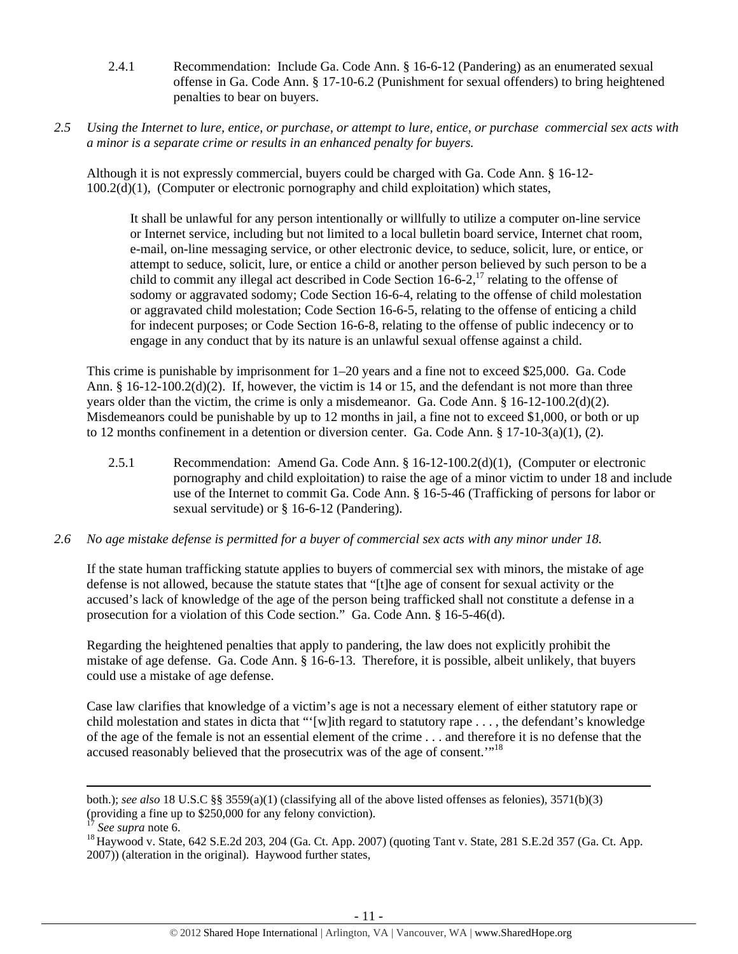- 2.4.1 Recommendation: Include Ga. Code Ann. § 16-6-12 (Pandering) as an enumerated sexual offense in Ga. Code Ann. § 17-10-6.2 (Punishment for sexual offenders) to bring heightened penalties to bear on buyers.
- *2.5 Using the Internet to lure, entice, or purchase, or attempt to lure, entice, or purchase commercial sex acts with a minor is a separate crime or results in an enhanced penalty for buyers.*

Although it is not expressly commercial, buyers could be charged with Ga. Code Ann. § 16-12-  $100.2(d)(1)$ , (Computer or electronic pornography and child exploitation) which states,

It shall be unlawful for any person intentionally or willfully to utilize a computer on-line service or Internet service, including but not limited to a local bulletin board service, Internet chat room, e-mail, on-line messaging service, or other electronic device, to seduce, solicit, lure, or entice, or attempt to seduce, solicit, lure, or entice a child or another person believed by such person to be a child to commit any illegal act described in Code Section  $16-6-2$ ,  $17$  relating to the offense of sodomy or aggravated sodomy; Code Section 16-6-4, relating to the offense of child molestation or aggravated child molestation; Code Section 16-6-5, relating to the offense of enticing a child for indecent purposes; or Code Section 16-6-8, relating to the offense of public indecency or to engage in any conduct that by its nature is an unlawful sexual offense against a child.

This crime is punishable by imprisonment for 1–20 years and a fine not to exceed \$25,000. Ga. Code Ann. § 16-12-100.2(d)(2). If, however, the victim is 14 or 15, and the defendant is not more than three years older than the victim, the crime is only a misdemeanor. Ga. Code Ann. § 16-12-100.2(d)(2). Misdemeanors could be punishable by up to 12 months in jail, a fine not to exceed \$1,000, or both or up to 12 months confinement in a detention or diversion center. Ga. Code Ann.  $\S 17$ -10-3(a)(1), (2).

2.5.1 Recommendation: Amend Ga. Code Ann. § 16-12-100.2(d)(1), (Computer or electronic pornography and child exploitation) to raise the age of a minor victim to under 18 and include use of the Internet to commit Ga. Code Ann. § 16-5-46 (Trafficking of persons for labor or sexual servitude) or § 16-6-12 (Pandering).

# *2.6 No age mistake defense is permitted for a buyer of commercial sex acts with any minor under 18.*

If the state human trafficking statute applies to buyers of commercial sex with minors, the mistake of age defense is not allowed, because the statute states that "[t]he age of consent for sexual activity or the accused's lack of knowledge of the age of the person being trafficked shall not constitute a defense in a prosecution for a violation of this Code section." Ga. Code Ann. § 16-5-46(d).

Regarding the heightened penalties that apply to pandering, the law does not explicitly prohibit the mistake of age defense. Ga. Code Ann. § 16-6-13. Therefore, it is possible, albeit unlikely, that buyers could use a mistake of age defense.

Case law clarifies that knowledge of a victim's age is not a necessary element of either statutory rape or child molestation and states in dicta that "'[w]ith regard to statutory rape . . . , the defendant's knowledge of the age of the female is not an essential element of the crime . . . and therefore it is no defense that the accused reasonably believed that the prosecutrix was of the age of consent.<sup>"18</sup>

<u> 1989 - Johann Stoff, amerikansk politiker (d. 1989)</u>

both.); *see also* 18 U.S.C §§ 3559(a)(1) (classifying all of the above listed offenses as felonies), 3571(b)(3) (providing a fine up to \$250,000 for any felony conviction).

<sup>&</sup>lt;sup>17</sup> *See supra* note 6.<br><sup>18</sup> Haywood v. State, 642 S.E.2d 203, 204 (Ga. Ct. App. 2007) (quoting Tant v. State, 281 S.E.2d 357 (Ga. Ct. App. 2007)) (alteration in the original). Haywood further states,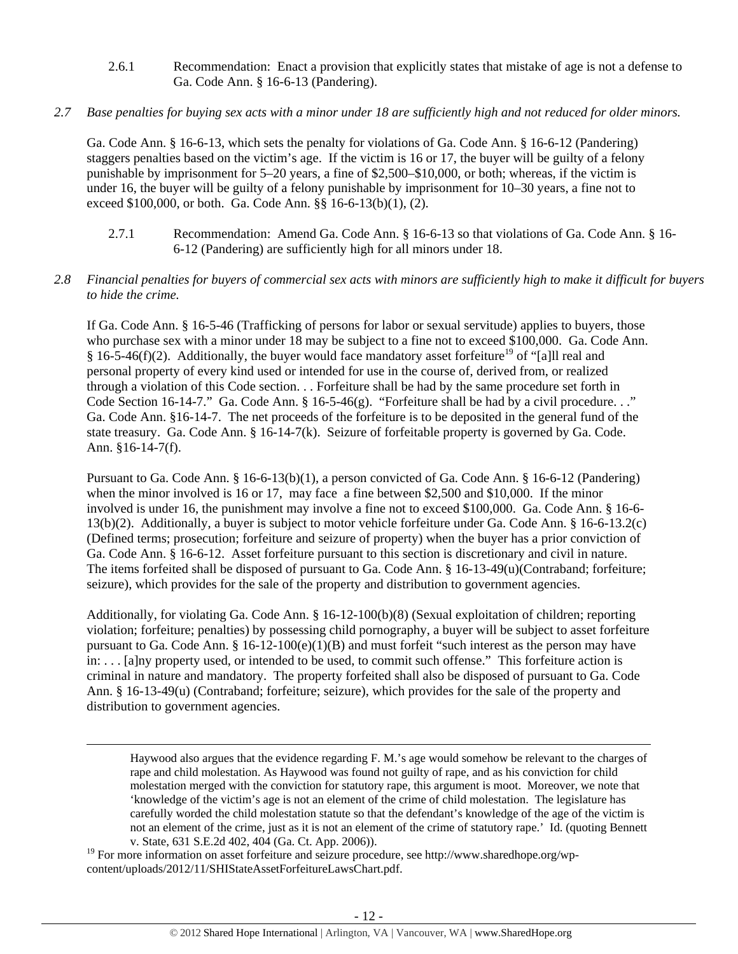- 2.6.1 Recommendation: Enact a provision that explicitly states that mistake of age is not a defense to Ga. Code Ann. § 16-6-13 (Pandering).
- *2.7 Base penalties for buying sex acts with a minor under 18 are sufficiently high and not reduced for older minors.*

Ga. Code Ann. § 16-6-13, which sets the penalty for violations of Ga. Code Ann. § 16-6-12 (Pandering) staggers penalties based on the victim's age. If the victim is 16 or 17, the buyer will be guilty of a felony punishable by imprisonment for 5–20 years, a fine of \$2,500–\$10,000, or both; whereas, if the victim is under 16, the buyer will be guilty of a felony punishable by imprisonment for 10–30 years, a fine not to exceed \$100,000, or both. Ga. Code Ann. §§ 16-6-13(b)(1), (2).

- 2.7.1 Recommendation: Amend Ga. Code Ann. § 16-6-13 so that violations of Ga. Code Ann. § 16- 6-12 (Pandering) are sufficiently high for all minors under 18.
- *2.8 Financial penalties for buyers of commercial sex acts with minors are sufficiently high to make it difficult for buyers to hide the crime.*

If Ga. Code Ann. § 16-5-46 (Trafficking of persons for labor or sexual servitude) applies to buyers, those who purchase sex with a minor under 18 may be subject to a fine not to exceed \$100,000. Ga. Code Ann. § 16-5-46(f)(2). Additionally, the buyer would face mandatory asset forfeiture<sup>19</sup> of "[a]ll real and personal property of every kind used or intended for use in the course of, derived from, or realized through a violation of this Code section. . . Forfeiture shall be had by the same procedure set forth in Code Section 16-14-7." Ga. Code Ann. § 16-5-46(g). "Forfeiture shall be had by a civil procedure. . ." Ga. Code Ann. §16-14-7. The net proceeds of the forfeiture is to be deposited in the general fund of the state treasury. Ga. Code Ann. § 16-14-7(k). Seizure of forfeitable property is governed by Ga. Code. Ann. §16-14-7(f).

Pursuant to Ga. Code Ann. § 16-6-13(b)(1), a person convicted of Ga. Code Ann. § 16-6-12 (Pandering) when the minor involved is 16 or 17, may face a fine between \$2,500 and \$10,000. If the minor involved is under 16, the punishment may involve a fine not to exceed \$100,000. Ga. Code Ann. § 16-6- 13(b)(2). Additionally, a buyer is subject to motor vehicle forfeiture under Ga. Code Ann. § 16-6-13.2(c) (Defined terms; prosecution; forfeiture and seizure of property) when the buyer has a prior conviction of Ga. Code Ann. § 16-6-12. Asset forfeiture pursuant to this section is discretionary and civil in nature. The items forfeited shall be disposed of pursuant to Ga. Code Ann. § 16-13-49(u)(Contraband; forfeiture; seizure), which provides for the sale of the property and distribution to government agencies.

Additionally, for violating Ga. Code Ann. § 16-12-100(b)(8) (Sexual exploitation of children; reporting violation; forfeiture; penalties) by possessing child pornography, a buyer will be subject to asset forfeiture pursuant to Ga. Code Ann.  $\S 16-12-100(e)(1)(B)$  and must forfeit "such interest as the person may have in: . . . [a]ny property used, or intended to be used, to commit such offense." This forfeiture action is criminal in nature and mandatory. The property forfeited shall also be disposed of pursuant to Ga. Code Ann. § 16-13-49(u) (Contraband; forfeiture; seizure), which provides for the sale of the property and distribution to government agencies.

<u> 1989 - Johann Stoff, amerikansk politiker (d. 1989)</u>

Haywood also argues that the evidence regarding F. M.'s age would somehow be relevant to the charges of rape and child molestation. As Haywood was found not guilty of rape, and as his conviction for child molestation merged with the conviction for statutory rape, this argument is moot. Moreover, we note that 'knowledge of the victim's age is not an element of the crime of child molestation. The legislature has carefully worded the child molestation statute so that the defendant's knowledge of the age of the victim is not an element of the crime, just as it is not an element of the crime of statutory rape.' Id. (quoting Bennett v. State, 631 S.E.2d 402, 404 (Ga. Ct. App. 2006)).

<sup>19</sup> For more information on asset forfeiture and seizure procedure, see http://www.sharedhope.org/wpcontent/uploads/2012/11/SHIStateAssetForfeitureLawsChart.pdf.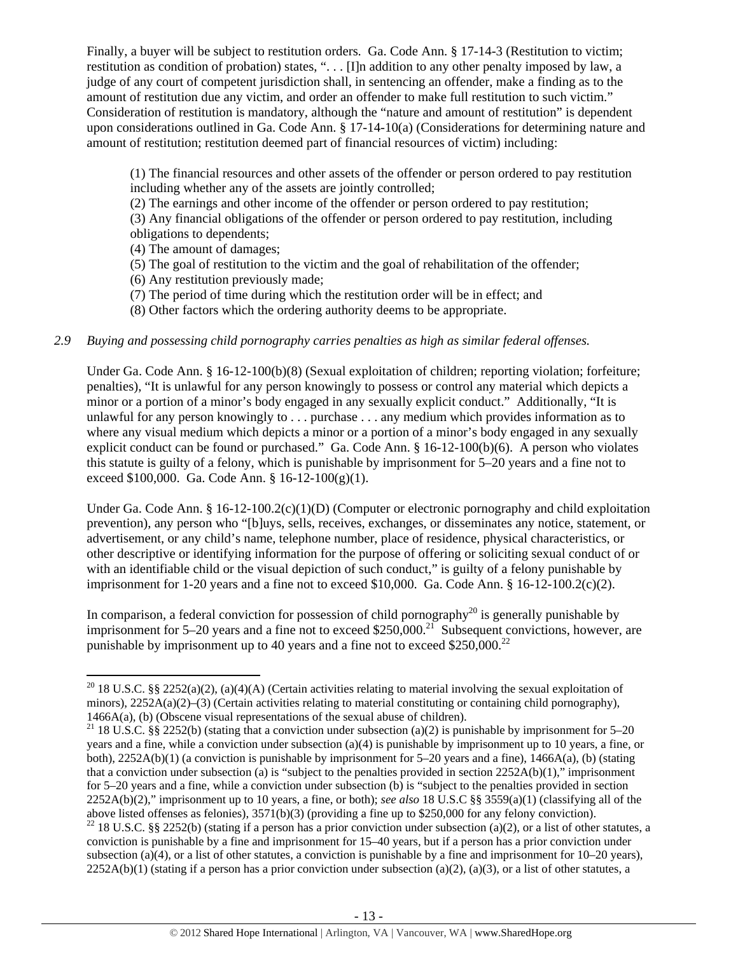Finally, a buyer will be subject to restitution orders. Ga. Code Ann. § 17-14-3 (Restitution to victim; restitution as condition of probation) states, ". . . [I]n addition to any other penalty imposed by law, a judge of any court of competent jurisdiction shall, in sentencing an offender, make a finding as to the amount of restitution due any victim, and order an offender to make full restitution to such victim." Consideration of restitution is mandatory, although the "nature and amount of restitution" is dependent upon considerations outlined in Ga. Code Ann. § 17-14-10(a) (Considerations for determining nature and amount of restitution; restitution deemed part of financial resources of victim) including:

(1) The financial resources and other assets of the offender or person ordered to pay restitution including whether any of the assets are jointly controlled;

(2) The earnings and other income of the offender or person ordered to pay restitution;

(3) Any financial obligations of the offender or person ordered to pay restitution, including obligations to dependents;

(4) The amount of damages;

(5) The goal of restitution to the victim and the goal of rehabilitation of the offender;

(6) Any restitution previously made;

(7) The period of time during which the restitution order will be in effect; and

(8) Other factors which the ordering authority deems to be appropriate.

# *2.9 Buying and possessing child pornography carries penalties as high as similar federal offenses.*

Under Ga. Code Ann. § 16-12-100(b)(8) (Sexual exploitation of children; reporting violation; forfeiture; penalties), "It is unlawful for any person knowingly to possess or control any material which depicts a minor or a portion of a minor's body engaged in any sexually explicit conduct." Additionally, "It is unlawful for any person knowingly to . . . purchase . . . any medium which provides information as to where any visual medium which depicts a minor or a portion of a minor's body engaged in any sexually explicit conduct can be found or purchased." Ga. Code Ann. § 16-12-100(b)(6). A person who violates this statute is guilty of a felony, which is punishable by imprisonment for 5–20 years and a fine not to exceed \$100,000. Ga. Code Ann. §  $16-12-100(g)(1)$ .

Under Ga. Code Ann. § 16-12-100.2(c)(1)(D) (Computer or electronic pornography and child exploitation prevention), any person who "[b]uys, sells, receives, exchanges, or disseminates any notice, statement, or advertisement, or any child's name, telephone number, place of residence, physical characteristics, or other descriptive or identifying information for the purpose of offering or soliciting sexual conduct of or with an identifiable child or the visual depiction of such conduct," is guilty of a felony punishable by imprisonment for 1-20 years and a fine not to exceed \$10,000. Ga. Code Ann.  $§ 16-12-100.2(c)(2)$ .

In comparison, a federal conviction for possession of child pornography<sup>20</sup> is generally punishable by imprisonment for 5–20 years and a fine not to exceed \$250,000.<sup>21</sup> Subsequent convictions, however, are punishable by imprisonment up to 40 years and a fine not to exceed  $$250,000.<sup>22</sup>$ 

<sup>22</sup> 18 U.S.C. §§ 2252(b) (stating if a person has a prior conviction under subsection (a)(2), or a list of other statutes, a conviction is punishable by a fine and imprisonment for 15–40 years, but if a person has a prior conviction under subsection (a)(4), or a list of other statutes, a conviction is punishable by a fine and imprisonment for  $10-20$  years),  $2252A(b)(1)$  (stating if a person has a prior conviction under subsection (a)(2), (a)(3), or a list of other statutes, a

 <sup>20</sup> 18 U.S.C. §§ 2252(a)(2), (a)(4)(A) (Certain activities relating to material involving the sexual exploitation of minors), 2252A(a)(2)–(3) (Certain activities relating to material constituting or containing child pornography), 1466A(a), (b) (Obscene visual representations of the sexual abuse of children).

<sup>&</sup>lt;sup>21</sup> 18 U.S.C. §§ 2252(b) (stating that a conviction under subsection (a)(2) is punishable by imprisonment for 5–20 years and a fine, while a conviction under subsection (a)(4) is punishable by imprisonment up to 10 years, a fine, or both), 2252A(b)(1) (a conviction is punishable by imprisonment for 5–20 years and a fine), 1466A(a), (b) (stating that a conviction under subsection (a) is "subject to the penalties provided in section  $2252A(b)(1)$ ," imprisonment for 5–20 years and a fine, while a conviction under subsection (b) is "subject to the penalties provided in section 2252A(b)(2)," imprisonment up to 10 years, a fine, or both); *see also* 18 U.S.C §§ 3559(a)(1) (classifying all of the above listed offenses as felonies), 3571(b)(3) (providing a fine up to \$250,000 for any felony conviction).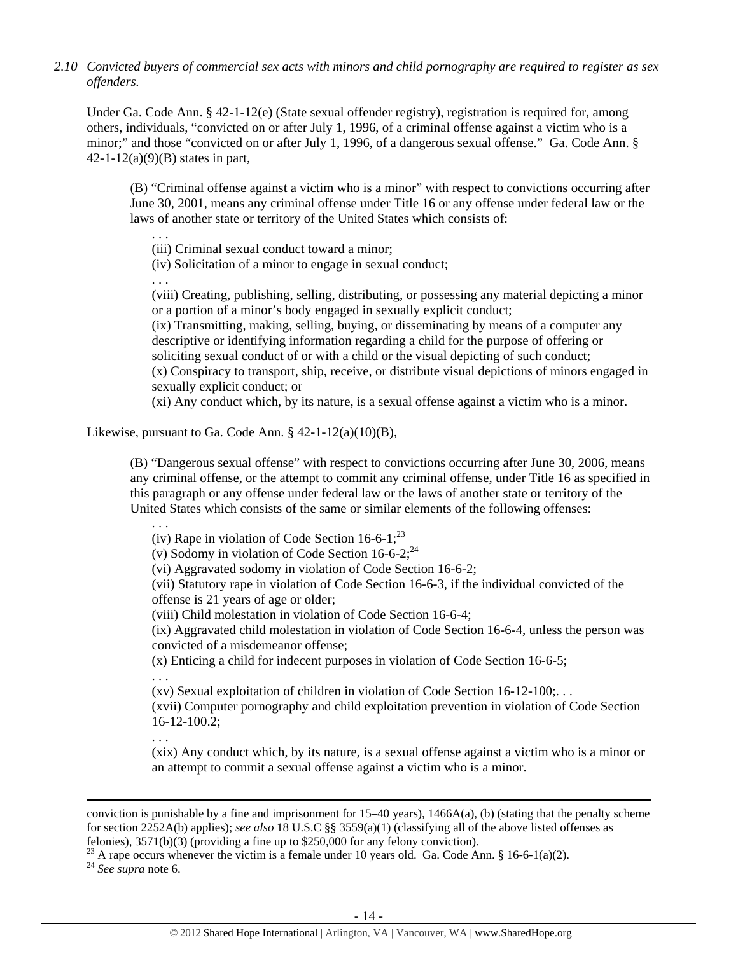*2.10 Convicted buyers of commercial sex acts with minors and child pornography are required to register as sex offenders.*

Under Ga. Code Ann. § 42-1-12(e) (State sexual offender registry), registration is required for, among others, individuals, "convicted on or after July 1, 1996, of a criminal offense against a victim who is a minor;" and those "convicted on or after July 1, 1996, of a dangerous sexual offense." Ga. Code Ann. § 42-1-12(a)(9)(B) states in part,

(B) "Criminal offense against a victim who is a minor" with respect to convictions occurring after June 30, 2001, means any criminal offense under Title 16 or any offense under federal law or the laws of another state or territory of the United States which consists of:

(iii) Criminal sexual conduct toward a minor;

(iv) Solicitation of a minor to engage in sexual conduct;

. . .

. . .

(viii) Creating, publishing, selling, distributing, or possessing any material depicting a minor or a portion of a minor's body engaged in sexually explicit conduct;

(ix) Transmitting, making, selling, buying, or disseminating by means of a computer any descriptive or identifying information regarding a child for the purpose of offering or soliciting sexual conduct of or with a child or the visual depicting of such conduct; (x) Conspiracy to transport, ship, receive, or distribute visual depictions of minors engaged in sexually explicit conduct; or

(xi) Any conduct which, by its nature, is a sexual offense against a victim who is a minor.

Likewise, pursuant to Ga. Code Ann.  $\S$  42-1-12(a)(10)(B),

(B) "Dangerous sexual offense" with respect to convictions occurring after June 30, 2006, means any criminal offense, or the attempt to commit any criminal offense, under Title 16 as specified in this paragraph or any offense under federal law or the laws of another state or territory of the United States which consists of the same or similar elements of the following offenses:

. . .

(iv) Rape in violation of Code Section  $16-6-1$ ;<sup>23</sup>

(v) Sodomy in violation of Code Section  $16-6-2$ ;<sup>24</sup>

(vi) Aggravated sodomy in violation of Code Section 16-6-2;

(vii) Statutory rape in violation of Code Section 16-6-3, if the individual convicted of the offense is 21 years of age or older;

(viii) Child molestation in violation of Code Section 16-6-4;

(ix) Aggravated child molestation in violation of Code Section 16-6-4, unless the person was convicted of a misdemeanor offense;

(x) Enticing a child for indecent purposes in violation of Code Section 16-6-5;

. . .

(xv) Sexual exploitation of children in violation of Code Section 16-12-100;. . .

(xvii) Computer pornography and child exploitation prevention in violation of Code Section 16-12-100.2;

. . . (xix) Any conduct which, by its nature, is a sexual offense against a victim who is a minor or an attempt to commit a sexual offense against a victim who is a minor.

<u> 1989 - Johann Stein, marwolaethau a gweledydd a ganlad y ganlad y ganlad y ganlad y ganlad y ganlad y ganlad</u>

<sup>23</sup> A rape occurs whenever the victim is a female under 10 years old. Ga. Code Ann. § 16-6-1(a)(2).

<sup>24</sup> *See supra* note 6.

conviction is punishable by a fine and imprisonment for  $15-40$  years),  $1466A(a)$ , (b) (stating that the penalty scheme for section 2252A(b) applies); *see also* 18 U.S.C §§ 3559(a)(1) (classifying all of the above listed offenses as felonies), 3571(b)(3) (providing a fine up to \$250,000 for any felony conviction).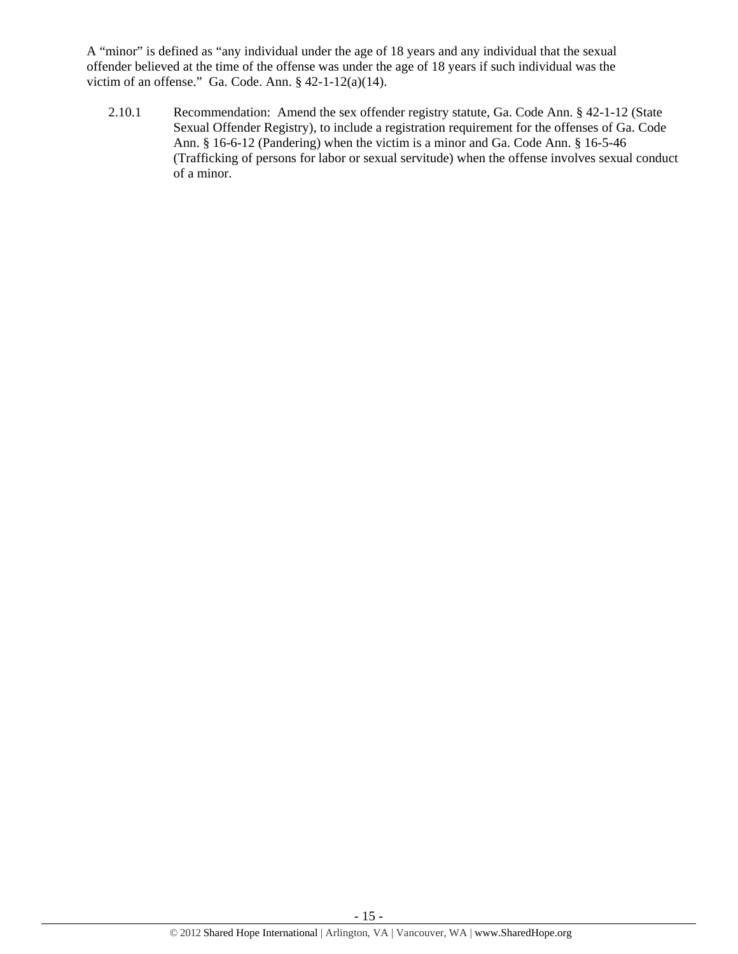A "minor" is defined as "any individual under the age of 18 years and any individual that the sexual offender believed at the time of the offense was under the age of 18 years if such individual was the victim of an offense." Ga. Code. Ann. § 42-1-12(a)(14).

2.10.1 Recommendation: Amend the sex offender registry statute, Ga. Code Ann. § 42-1-12 (State Sexual Offender Registry), to include a registration requirement for the offenses of Ga. Code Ann. § 16-6-12 (Pandering) when the victim is a minor and Ga. Code Ann. § 16-5-46 (Trafficking of persons for labor or sexual servitude) when the offense involves sexual conduct of a minor.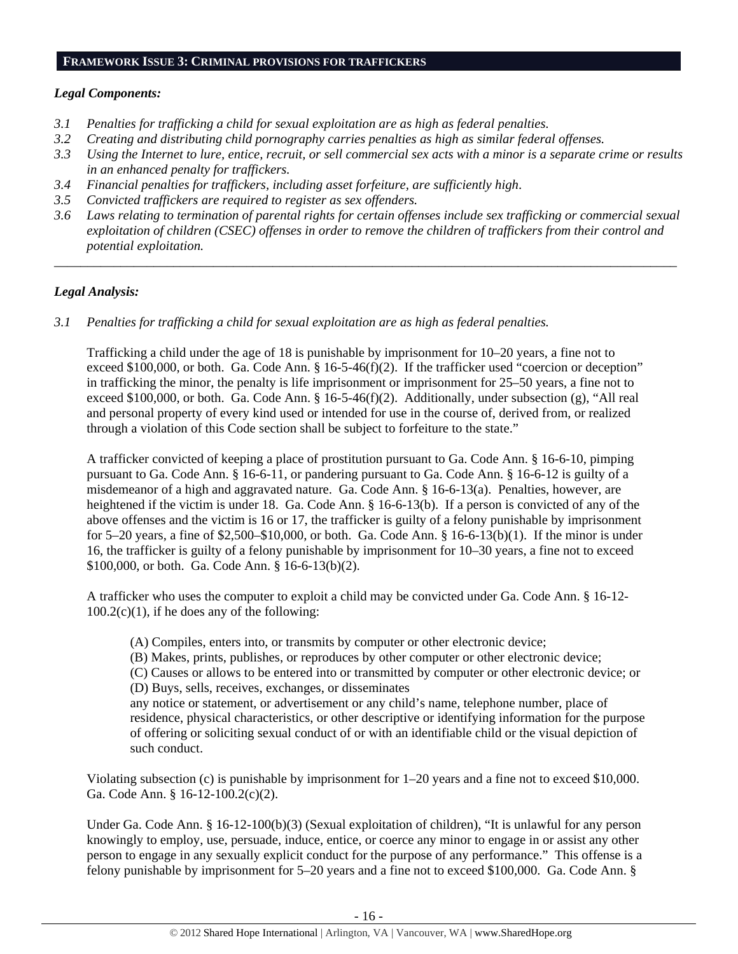#### **FRAMEWORK ISSUE 3: CRIMINAL PROVISIONS FOR TRAFFICKERS**

# *Legal Components:*

- *3.1 Penalties for trafficking a child for sexual exploitation are as high as federal penalties.*
- *3.2 Creating and distributing child pornography carries penalties as high as similar federal offenses.*
- *3.3 Using the Internet to lure, entice, recruit, or sell commercial sex acts with a minor is a separate crime or results in an enhanced penalty for traffickers.*
- *3.4 Financial penalties for traffickers, including asset forfeiture, are sufficiently high*.
- *3.5 Convicted traffickers are required to register as sex offenders.*
- *3.6 Laws relating to termination of parental rights for certain offenses include sex trafficking or commercial sexual exploitation of children (CSEC) offenses in order to remove the children of traffickers from their control and potential exploitation.*

*\_\_\_\_\_\_\_\_\_\_\_\_\_\_\_\_\_\_\_\_\_\_\_\_\_\_\_\_\_\_\_\_\_\_\_\_\_\_\_\_\_\_\_\_\_\_\_\_\_\_\_\_\_\_\_\_\_\_\_\_\_\_\_\_\_\_\_\_\_\_\_\_\_\_\_\_\_\_\_\_\_\_\_\_\_\_\_\_\_\_\_\_\_\_* 

# *Legal Analysis:*

*3.1 Penalties for trafficking a child for sexual exploitation are as high as federal penalties.* 

Trafficking a child under the age of 18 is punishable by imprisonment for 10–20 years, a fine not to exceed \$100,000, or both. Ga. Code Ann. § 16-5-46(f)(2). If the trafficker used "coercion or deception" in trafficking the minor, the penalty is life imprisonment or imprisonment for 25–50 years, a fine not to exceed \$100,000, or both. Ga. Code Ann. §  $16-5-46(f)(2)$ . Additionally, under subsection (g), "All real and personal property of every kind used or intended for use in the course of, derived from, or realized through a violation of this Code section shall be subject to forfeiture to the state."

A trafficker convicted of keeping a place of prostitution pursuant to Ga. Code Ann. § 16-6-10, pimping pursuant to Ga. Code Ann. § 16-6-11, or pandering pursuant to Ga. Code Ann. § 16-6-12 is guilty of a misdemeanor of a high and aggravated nature. Ga. Code Ann. § 16-6-13(a). Penalties, however, are heightened if the victim is under 18. Ga. Code Ann. § 16-6-13(b). If a person is convicted of any of the above offenses and the victim is 16 or 17, the trafficker is guilty of a felony punishable by imprisonment for 5–20 years, a fine of \$2,500–\$10,000, or both. Ga. Code Ann. § 16-6-13(b)(1). If the minor is under 16, the trafficker is guilty of a felony punishable by imprisonment for 10–30 years, a fine not to exceed \$100,000, or both. Ga. Code Ann. § 16-6-13(b)(2).

A trafficker who uses the computer to exploit a child may be convicted under Ga. Code Ann. § 16-12-  $100.2(c)(1)$ , if he does any of the following:

(A) Compiles, enters into, or transmits by computer or other electronic device;

(B) Makes, prints, publishes, or reproduces by other computer or other electronic device;

(C) Causes or allows to be entered into or transmitted by computer or other electronic device; or (D) Buys, sells, receives, exchanges, or disseminates

any notice or statement, or advertisement or any child's name, telephone number, place of residence, physical characteristics, or other descriptive or identifying information for the purpose of offering or soliciting sexual conduct of or with an identifiable child or the visual depiction of such conduct.

Violating subsection (c) is punishable by imprisonment for 1–20 years and a fine not to exceed \$10,000. Ga. Code Ann. § 16-12-100.2(c)(2).

Under Ga. Code Ann. § 16-12-100(b)(3) (Sexual exploitation of children), "It is unlawful for any person knowingly to employ, use, persuade, induce, entice, or coerce any minor to engage in or assist any other person to engage in any sexually explicit conduct for the purpose of any performance." This offense is a felony punishable by imprisonment for 5–20 years and a fine not to exceed \$100,000. Ga. Code Ann. §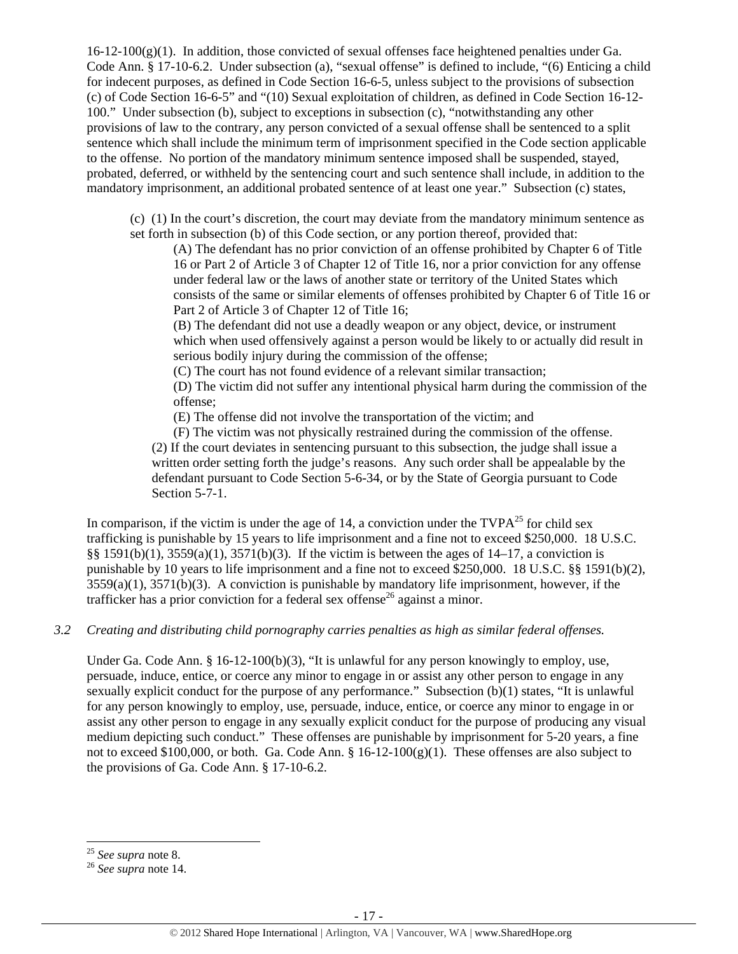$16-12-100(g)(1)$ . In addition, those convicted of sexual offenses face heightened penalties under Ga. Code Ann. § 17-10-6.2. Under subsection (a), "sexual offense" is defined to include, "(6) Enticing a child for indecent purposes, as defined in Code Section 16-6-5, unless subject to the provisions of subsection (c) of Code Section 16-6-5" and "(10) Sexual exploitation of children, as defined in Code Section 16-12- 100." Under subsection (b), subject to exceptions in subsection (c), "notwithstanding any other provisions of law to the contrary, any person convicted of a sexual offense shall be sentenced to a split sentence which shall include the minimum term of imprisonment specified in the Code section applicable to the offense. No portion of the mandatory minimum sentence imposed shall be suspended, stayed, probated, deferred, or withheld by the sentencing court and such sentence shall include, in addition to the mandatory imprisonment, an additional probated sentence of at least one year." Subsection (c) states,

(c) (1) In the court's discretion, the court may deviate from the mandatory minimum sentence as set forth in subsection (b) of this Code section, or any portion thereof, provided that:

(A) The defendant has no prior conviction of an offense prohibited by Chapter 6 of Title 16 or Part 2 of Article 3 of Chapter 12 of Title 16, nor a prior conviction for any offense under federal law or the laws of another state or territory of the United States which consists of the same or similar elements of offenses prohibited by Chapter 6 of Title 16 or Part 2 of Article 3 of Chapter 12 of Title 16;

(B) The defendant did not use a deadly weapon or any object, device, or instrument which when used offensively against a person would be likely to or actually did result in serious bodily injury during the commission of the offense;

(C) The court has not found evidence of a relevant similar transaction;

(D) The victim did not suffer any intentional physical harm during the commission of the offense;

(E) The offense did not involve the transportation of the victim; and

(F) The victim was not physically restrained during the commission of the offense.

(2) If the court deviates in sentencing pursuant to this subsection, the judge shall issue a written order setting forth the judge's reasons. Any such order shall be appealable by the defendant pursuant to Code Section 5-6-34, or by the State of Georgia pursuant to Code Section 5-7-1.

In comparison, if the victim is under the age of 14, a conviction under the  $TVPA^{25}$  for child sex trafficking is punishable by 15 years to life imprisonment and a fine not to exceed \$250,000. 18 U.S.C. §§ 1591(b)(1),  $3559(a)(1)$ ,  $3571(b)(3)$ . If the victim is between the ages of 14–17, a conviction is punishable by 10 years to life imprisonment and a fine not to exceed \$250,000. 18 U.S.C. §§ 1591(b)(2),  $3559(a)(1)$ ,  $3571(b)(3)$ . A conviction is punishable by mandatory life imprisonment, however, if the trafficker has a prior conviction for a federal sex offense<sup>26</sup> against a minor.

# *3.2 Creating and distributing child pornography carries penalties as high as similar federal offenses.*

Under Ga. Code Ann.  $\S 16-12-100(b)(3)$ , "It is unlawful for any person knowingly to employ, use, persuade, induce, entice, or coerce any minor to engage in or assist any other person to engage in any sexually explicit conduct for the purpose of any performance." Subsection (b)(1) states, "It is unlawful for any person knowingly to employ, use, persuade, induce, entice, or coerce any minor to engage in or assist any other person to engage in any sexually explicit conduct for the purpose of producing any visual medium depicting such conduct." These offenses are punishable by imprisonment for 5-20 years, a fine not to exceed \$100,000, or both. Ga. Code Ann.  $\S$  16-12-100(g)(1). These offenses are also subject to the provisions of Ga. Code Ann. § 17-10-6.2.

<sup>&</sup>lt;sup>25</sup> *See supra* note 8.<br><sup>26</sup> *See supra* note 14.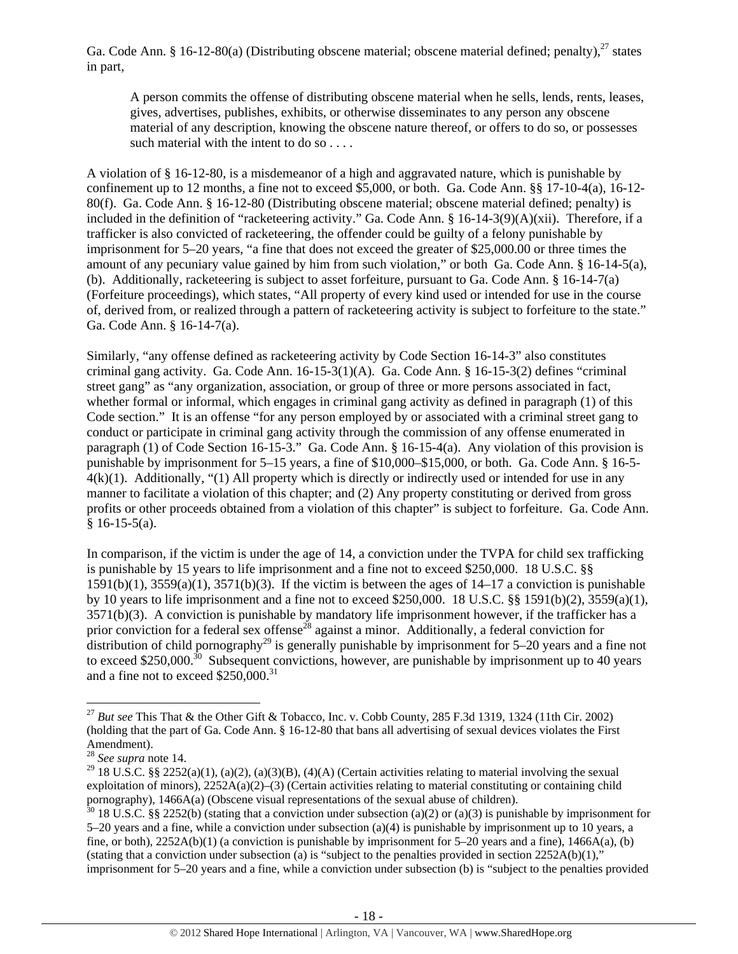Ga. Code Ann. § 16-12-80(a) (Distributing obscene material; obscene material defined; penalty), $^{27}$  states in part,

A person commits the offense of distributing obscene material when he sells, lends, rents, leases, gives, advertises, publishes, exhibits, or otherwise disseminates to any person any obscene material of any description, knowing the obscene nature thereof, or offers to do so, or possesses such material with the intent to do so . . . .

A violation of § 16-12-80, is a misdemeanor of a high and aggravated nature, which is punishable by confinement up to 12 months, a fine not to exceed \$5,000, or both. Ga. Code Ann. §§ 17-10-4(a), 16-12- 80(f). Ga. Code Ann. § 16-12-80 (Distributing obscene material; obscene material defined; penalty) is included in the definition of "racketeering activity." Ga. Code Ann. § 16-14-3(9)(A)(xii). Therefore, if a trafficker is also convicted of racketeering, the offender could be guilty of a felony punishable by imprisonment for 5–20 years, "a fine that does not exceed the greater of \$25,000.00 or three times the amount of any pecuniary value gained by him from such violation," or both Ga. Code Ann. § 16-14-5(a), (b). Additionally, racketeering is subject to asset forfeiture, pursuant to Ga. Code Ann. § 16-14-7(a) (Forfeiture proceedings), which states, "All property of every kind used or intended for use in the course of, derived from, or realized through a pattern of racketeering activity is subject to forfeiture to the state." Ga. Code Ann. § 16-14-7(a).

Similarly, "any offense defined as racketeering activity by Code Section 16-14-3" also constitutes criminal gang activity. Ga. Code Ann. 16-15-3(1)(A). Ga. Code Ann. § 16-15-3(2) defines "criminal street gang" as "any organization, association, or group of three or more persons associated in fact, whether formal or informal, which engages in criminal gang activity as defined in paragraph (1) of this Code section." It is an offense "for any person employed by or associated with a criminal street gang to conduct or participate in criminal gang activity through the commission of any offense enumerated in paragraph (1) of Code Section 16-15-3." Ga. Code Ann. § 16-15-4(a). Any violation of this provision is punishable by imprisonment for 5–15 years, a fine of \$10,000–\$15,000, or both. Ga. Code Ann. § 16-5-  $4(k)(1)$ . Additionally, "(1) All property which is directly or indirectly used or intended for use in any manner to facilitate a violation of this chapter; and (2) Any property constituting or derived from gross profits or other proceeds obtained from a violation of this chapter" is subject to forfeiture. Ga. Code Ann.  $§ 16-15-5(a).$ 

In comparison, if the victim is under the age of 14, a conviction under the TVPA for child sex trafficking is punishable by 15 years to life imprisonment and a fine not to exceed \$250,000. 18 U.S.C. §§  $1591(b)(1)$ ,  $3559(a)(1)$ ,  $3571(b)(3)$ . If the victim is between the ages of  $14-17$  a conviction is punishable by 10 years to life imprisonment and a fine not to exceed \$250,000. 18 U.S.C. §§ 1591(b)(2), 3559(a)(1), 3571(b)(3). A conviction is punishable by mandatory life imprisonment however, if the trafficker has a prior conviction for a federal sex offense<sup>28</sup> against a minor. Additionally, a federal conviction for distribution of child pornography<sup>29</sup> is generally punishable by imprisonment for 5–20 years and a fine not to exceed \$250,000.<sup>30</sup> Subsequent convictions, however, are punishable by imprisonment up to 40 years and a fine not to exceed \$250,000.<sup>31</sup>

<sup>&</sup>lt;sup>27</sup> *But see* This That & the Other Gift & Tobacco, Inc. v. Cobb County, 285 F.3d 1319, 1324 (11th Cir. 2002) (holding that the part of Ga. Code Ann. § 16-12-80 that bans all advertising of sexual devices violates the First Amendment).

<sup>28</sup> *See supra* note 14.

<sup>&</sup>lt;sup>29</sup> 18 U.S.C. §§ 2252(a)(1), (a)(2), (a)(3)(B), (4)(A) (Certain activities relating to material involving the sexual exploitation of minors),  $2252A(a)(2)$ –(3) (Certain activities relating to material constituting or containing child pornography), 1466A(a) (Obscene visual representations of the sexual abuse of children).

 $30\,18$  U.S.C. §§ 2252(b) (stating that a conviction under subsection (a)(2) or (a)(3) is punishable by imprisonment for 5–20 years and a fine, while a conviction under subsection (a)(4) is punishable by imprisonment up to 10 years, a fine, or both),  $2252A(b)(1)$  (a conviction is punishable by imprisonment for 5–20 years and a fine),  $1466A(a)$ , (b) (stating that a conviction under subsection (a) is "subject to the penalties provided in section  $2252A(b)(1)$ ," imprisonment for 5–20 years and a fine, while a conviction under subsection (b) is "subject to the penalties provided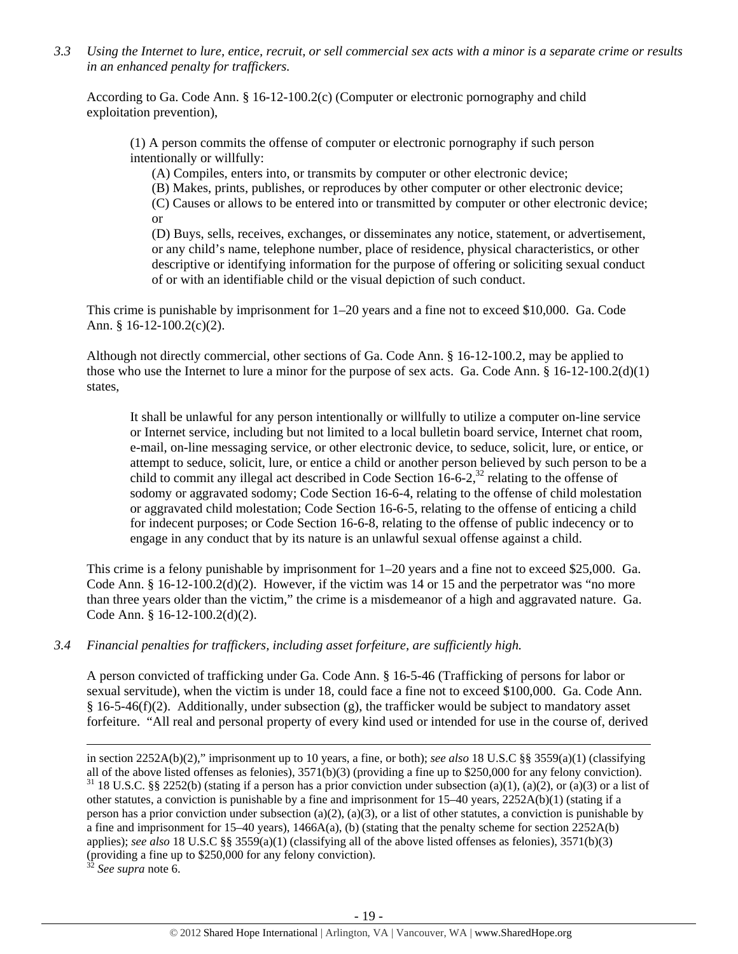*3.3 Using the Internet to lure, entice, recruit, or sell commercial sex acts with a minor is a separate crime or results in an enhanced penalty for traffickers.* 

According to Ga. Code Ann. § 16-12-100.2(c) (Computer or electronic pornography and child exploitation prevention),

(1) A person commits the offense of computer or electronic pornography if such person intentionally or willfully:

(A) Compiles, enters into, or transmits by computer or other electronic device;

(B) Makes, prints, publishes, or reproduces by other computer or other electronic device;

(C) Causes or allows to be entered into or transmitted by computer or other electronic device; or

(D) Buys, sells, receives, exchanges, or disseminates any notice, statement, or advertisement, or any child's name, telephone number, place of residence, physical characteristics, or other descriptive or identifying information for the purpose of offering or soliciting sexual conduct of or with an identifiable child or the visual depiction of such conduct.

This crime is punishable by imprisonment for 1–20 years and a fine not to exceed \$10,000. Ga. Code Ann. § 16-12-100.2(c)(2).

Although not directly commercial, other sections of Ga. Code Ann. § 16-12-100.2, may be applied to those who use the Internet to lure a minor for the purpose of sex acts. Ga. Code Ann.  $\S 16-12-100.2(d)(1)$ states,

It shall be unlawful for any person intentionally or willfully to utilize a computer on-line service or Internet service, including but not limited to a local bulletin board service, Internet chat room, e-mail, on-line messaging service, or other electronic device, to seduce, solicit, lure, or entice, or attempt to seduce, solicit, lure, or entice a child or another person believed by such person to be a child to commit any illegal act described in Code Section  $16-6-2$ ,  $^{32}$  relating to the offense of sodomy or aggravated sodomy; Code Section 16-6-4, relating to the offense of child molestation or aggravated child molestation; Code Section 16-6-5, relating to the offense of enticing a child for indecent purposes; or Code Section 16-6-8, relating to the offense of public indecency or to engage in any conduct that by its nature is an unlawful sexual offense against a child.

This crime is a felony punishable by imprisonment for 1–20 years and a fine not to exceed \$25,000. Ga. Code Ann.  $\S$  16-12-100.2(d)(2). However, if the victim was 14 or 15 and the perpetrator was "no more than three years older than the victim," the crime is a misdemeanor of a high and aggravated nature. Ga. Code Ann. § 16-12-100.2(d)(2).

# *3.4 Financial penalties for traffickers, including asset forfeiture, are sufficiently high.*

A person convicted of trafficking under Ga. Code Ann. § 16-5-46 (Trafficking of persons for labor or sexual servitude), when the victim is under 18, could face a fine not to exceed \$100,000. Ga. Code Ann. § 16-5-46(f)(2). Additionally, under subsection (g), the trafficker would be subject to mandatory asset forfeiture. "All real and personal property of every kind used or intended for use in the course of, derived

<sup>&</sup>lt;u> 1989 - Johann Stoff, amerikansk politiker (d. 1989)</u> in section 2252A(b)(2)," imprisonment up to 10 years, a fine, or both); *see also* 18 U.S.C §§ 3559(a)(1) (classifying all of the above listed offenses as felonies),  $3571(b)(3)$  (providing a fine up to \$250,000 for any felony conviction).

 $31$  18 U.S.C. §§ 2252(b) (stating if a person has a prior conviction under subsection (a)(1), (a)(2), or (a)(3) or a list of other statutes, a conviction is punishable by a fine and imprisonment for  $15-40$  years,  $2252A(b)(1)$  (stating if a person has a prior conviction under subsection (a)(2), (a)(3), or a list of other statutes, a conviction is punishable by a fine and imprisonment for 15–40 years), 1466A(a), (b) (stating that the penalty scheme for section 2252A(b) applies); *see also* 18 U.S.C §§ 3559(a)(1) (classifying all of the above listed offenses as felonies), 3571(b)(3) (providing a fine up to \$250,000 for any felony conviction).

<sup>32</sup> *See supra* note 6.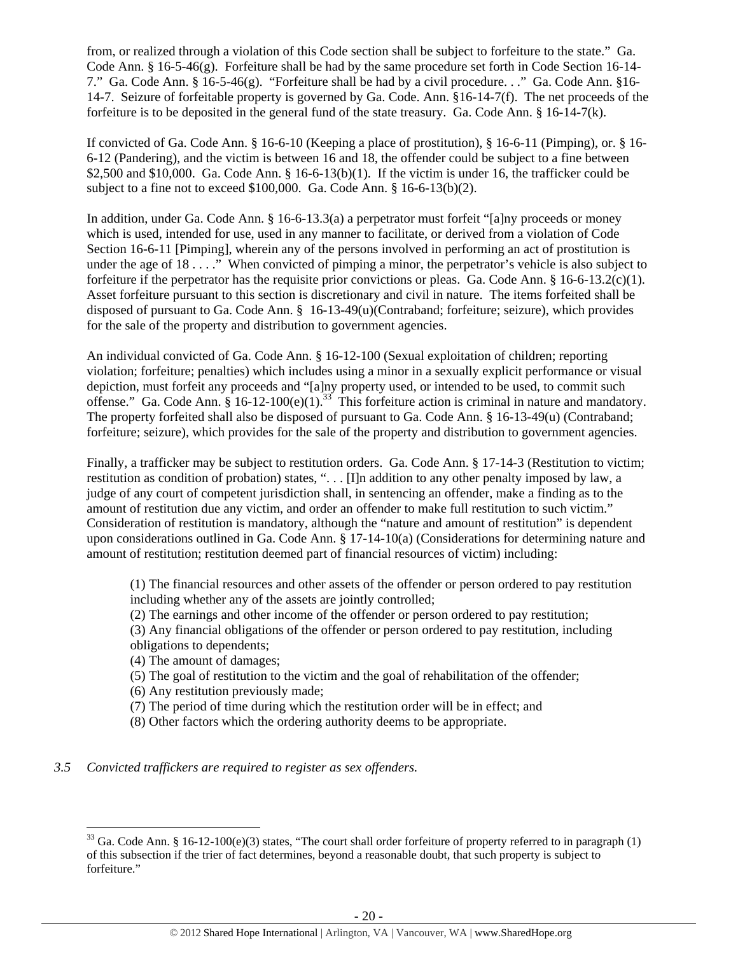from, or realized through a violation of this Code section shall be subject to forfeiture to the state." Ga. Code Ann. § 16-5-46(g). Forfeiture shall be had by the same procedure set forth in Code Section 16-14- 7." Ga. Code Ann. § 16-5-46(g). "Forfeiture shall be had by a civil procedure. . ." Ga. Code Ann. §16- 14-7. Seizure of forfeitable property is governed by Ga. Code. Ann. §16-14-7(f). The net proceeds of the forfeiture is to be deposited in the general fund of the state treasury. Ga. Code Ann. § 16-14-7(k).

If convicted of Ga. Code Ann. § 16-6-10 (Keeping a place of prostitution), § 16-6-11 (Pimping), or. § 16- 6-12 (Pandering), and the victim is between 16 and 18, the offender could be subject to a fine between \$2,500 and \$10,000. Ga. Code Ann.  $§$  16-6-13(b)(1). If the victim is under 16, the trafficker could be subject to a fine not to exceed \$100,000. Ga. Code Ann. § 16-6-13(b)(2).

In addition, under Ga. Code Ann. § 16-6-13.3(a) a perpetrator must forfeit "[a]ny proceeds or money which is used, intended for use, used in any manner to facilitate, or derived from a violation of Code Section 16-6-11 [Pimping], wherein any of the persons involved in performing an act of prostitution is under the age of 18 . . . ." When convicted of pimping a minor, the perpetrator's vehicle is also subject to forfeiture if the perpetrator has the requisite prior convictions or pleas. Ga. Code Ann.  $\S 16-6-13.2(c)(1)$ . Asset forfeiture pursuant to this section is discretionary and civil in nature. The items forfeited shall be disposed of pursuant to Ga. Code Ann. § 16-13-49(u)(Contraband; forfeiture; seizure), which provides for the sale of the property and distribution to government agencies.

An individual convicted of Ga. Code Ann. § 16-12-100 (Sexual exploitation of children; reporting violation; forfeiture; penalties) which includes using a minor in a sexually explicit performance or visual depiction, must forfeit any proceeds and "[a]ny property used, or intended to be used, to commit such offense." Ga. Code Ann.  $\frac{8}{9}$  16-12-100(e)(1).<sup>33</sup> This forfeiture action is criminal in nature and mandatory. The property forfeited shall also be disposed of pursuant to Ga. Code Ann. § 16-13-49(u) (Contraband; forfeiture; seizure), which provides for the sale of the property and distribution to government agencies.

Finally, a trafficker may be subject to restitution orders. Ga. Code Ann. § 17-14-3 (Restitution to victim; restitution as condition of probation) states, ". . . [I]n addition to any other penalty imposed by law, a judge of any court of competent jurisdiction shall, in sentencing an offender, make a finding as to the amount of restitution due any victim, and order an offender to make full restitution to such victim." Consideration of restitution is mandatory, although the "nature and amount of restitution" is dependent upon considerations outlined in Ga. Code Ann. § 17-14-10(a) (Considerations for determining nature and amount of restitution; restitution deemed part of financial resources of victim) including:

(1) The financial resources and other assets of the offender or person ordered to pay restitution including whether any of the assets are jointly controlled;

(2) The earnings and other income of the offender or person ordered to pay restitution; (3) Any financial obligations of the offender or person ordered to pay restitution, including obligations to dependents;

(4) The amount of damages;

- (5) The goal of restitution to the victim and the goal of rehabilitation of the offender;
- (6) Any restitution previously made;
- (7) The period of time during which the restitution order will be in effect; and
- (8) Other factors which the ordering authority deems to be appropriate.

*3.5 Convicted traffickers are required to register as sex offenders.*

 $33$  Ga. Code Ann. § 16-12-100(e)(3) states, "The court shall order forfeiture of property referred to in paragraph (1) of this subsection if the trier of fact determines, beyond a reasonable doubt, that such property is subject to forfeiture."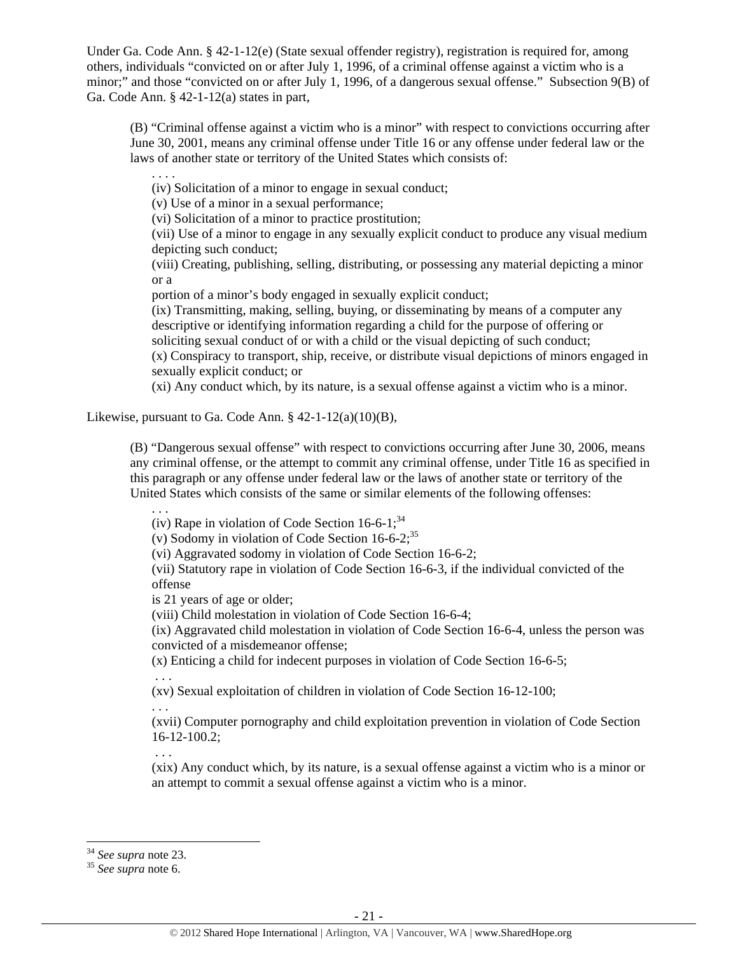Under Ga. Code Ann. § 42-1-12(e) (State sexual offender registry), registration is required for, among others, individuals "convicted on or after July 1, 1996, of a criminal offense against a victim who is a minor;" and those "convicted on or after July 1, 1996, of a dangerous sexual offense." Subsection 9(B) of Ga. Code Ann. § 42-1-12(a) states in part,

(B) "Criminal offense against a victim who is a minor" with respect to convictions occurring after June 30, 2001, means any criminal offense under Title 16 or any offense under federal law or the laws of another state or territory of the United States which consists of:

(iv) Solicitation of a minor to engage in sexual conduct;

(v) Use of a minor in a sexual performance;

(vi) Solicitation of a minor to practice prostitution;

(vii) Use of a minor to engage in any sexually explicit conduct to produce any visual medium depicting such conduct;

(viii) Creating, publishing, selling, distributing, or possessing any material depicting a minor or a

portion of a minor's body engaged in sexually explicit conduct;

(ix) Transmitting, making, selling, buying, or disseminating by means of a computer any descriptive or identifying information regarding a child for the purpose of offering or soliciting sexual conduct of or with a child or the visual depicting of such conduct; (x) Conspiracy to transport, ship, receive, or distribute visual depictions of minors engaged in sexually explicit conduct; or

(xi) Any conduct which, by its nature, is a sexual offense against a victim who is a minor.

Likewise, pursuant to Ga. Code Ann.  $§$  42-1-12(a)(10)(B),

(B) "Dangerous sexual offense" with respect to convictions occurring after June 30, 2006, means any criminal offense, or the attempt to commit any criminal offense, under Title 16 as specified in this paragraph or any offense under federal law or the laws of another state or territory of the United States which consists of the same or similar elements of the following offenses:

(iv) Rape in violation of Code Section  $16-6-1$ ;  $34$ 

(v) Sodomy in violation of Code Section  $16-6-2$ ;<sup>35</sup>

(vi) Aggravated sodomy in violation of Code Section 16-6-2;

(vii) Statutory rape in violation of Code Section 16-6-3, if the individual convicted of the offense

is 21 years of age or older;

(viii) Child molestation in violation of Code Section 16-6-4;

(ix) Aggravated child molestation in violation of Code Section 16-6-4, unless the person was convicted of a misdemeanor offense;

(x) Enticing a child for indecent purposes in violation of Code Section 16-6-5;

. . .

. . .

. . . .

(xv) Sexual exploitation of children in violation of Code Section 16-12-100;

. . .

(xvii) Computer pornography and child exploitation prevention in violation of Code Section 16-12-100.2;

. . .

(xix) Any conduct which, by its nature, is a sexual offense against a victim who is a minor or an attempt to commit a sexual offense against a victim who is a minor.

<sup>34</sup> *See supra* note 23. 35 *See supra* note 6.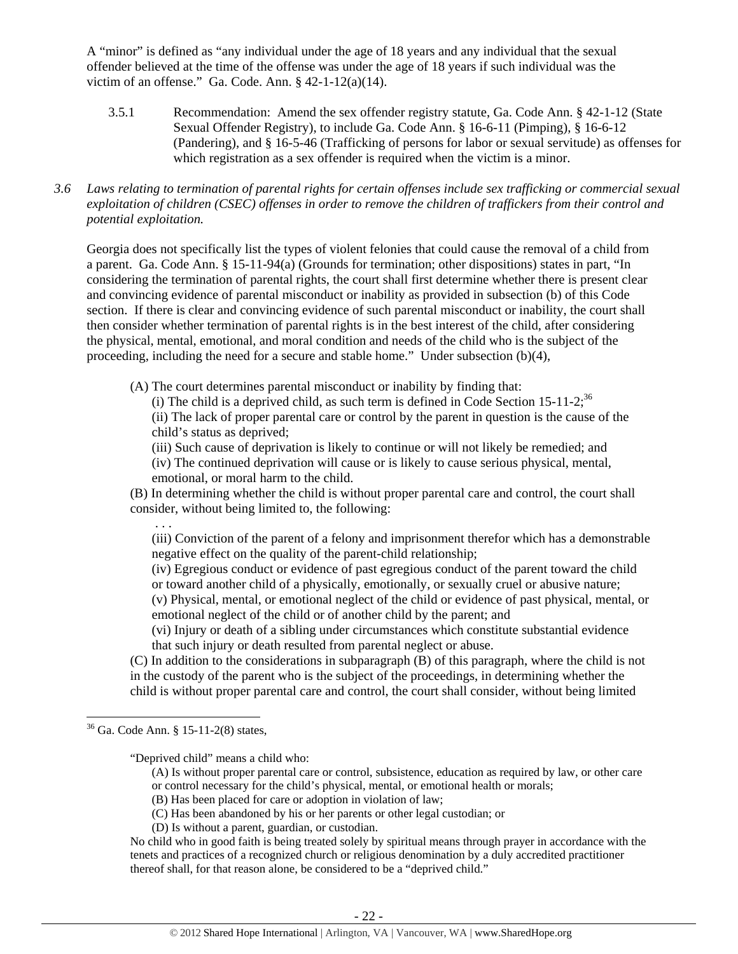A "minor" is defined as "any individual under the age of 18 years and any individual that the sexual offender believed at the time of the offense was under the age of 18 years if such individual was the victim of an offense." Ga. Code. Ann.  $§$  42-1-12(a)(14).

- 3.5.1 Recommendation: Amend the sex offender registry statute, Ga. Code Ann. § 42-1-12 (State Sexual Offender Registry), to include Ga. Code Ann. § 16-6-11 (Pimping), § 16-6-12 (Pandering), and § 16-5-46 (Trafficking of persons for labor or sexual servitude) as offenses for which registration as a sex offender is required when the victim is a minor.
- *3.6 Laws relating to termination of parental rights for certain offenses include sex trafficking or commercial sexual exploitation of children (CSEC) offenses in order to remove the children of traffickers from their control and potential exploitation.*

Georgia does not specifically list the types of violent felonies that could cause the removal of a child from a parent. Ga. Code Ann. § 15-11-94(a) (Grounds for termination; other dispositions) states in part, "In considering the termination of parental rights, the court shall first determine whether there is present clear and convincing evidence of parental misconduct or inability as provided in subsection (b) of this Code section. If there is clear and convincing evidence of such parental misconduct or inability, the court shall then consider whether termination of parental rights is in the best interest of the child, after considering the physical, mental, emotional, and moral condition and needs of the child who is the subject of the proceeding, including the need for a secure and stable home." Under subsection (b)(4),

(A) The court determines parental misconduct or inability by finding that:

(i) The child is a deprived child, as such term is defined in Code Section  $15{\text -}11{\text -}2$ ;<sup>36</sup>

(ii) The lack of proper parental care or control by the parent in question is the cause of the child's status as deprived;

(iii) Such cause of deprivation is likely to continue or will not likely be remedied; and

(iv) The continued deprivation will cause or is likely to cause serious physical, mental, emotional, or moral harm to the child.

(B) In determining whether the child is without proper parental care and control, the court shall consider, without being limited to, the following:

. . .

(iii) Conviction of the parent of a felony and imprisonment therefor which has a demonstrable negative effect on the quality of the parent-child relationship;

(iv) Egregious conduct or evidence of past egregious conduct of the parent toward the child or toward another child of a physically, emotionally, or sexually cruel or abusive nature; (v) Physical, mental, or emotional neglect of the child or evidence of past physical, mental, or

emotional neglect of the child or of another child by the parent; and

(vi) Injury or death of a sibling under circumstances which constitute substantial evidence that such injury or death resulted from parental neglect or abuse.

(C) In addition to the considerations in subparagraph (B) of this paragraph, where the child is not in the custody of the parent who is the subject of the proceedings, in determining whether the child is without proper parental care and control, the court shall consider, without being limited

"Deprived child" means a child who:

- (A) Is without proper parental care or control, subsistence, education as required by law, or other care or control necessary for the child's physical, mental, or emotional health or morals;
- (B) Has been placed for care or adoption in violation of law;
- (C) Has been abandoned by his or her parents or other legal custodian; or
- (D) Is without a parent, guardian, or custodian.

No child who in good faith is being treated solely by spiritual means through prayer in accordance with the tenets and practices of a recognized church or religious denomination by a duly accredited practitioner thereof shall, for that reason alone, be considered to be a "deprived child."

  $36$  Ga. Code Ann. § 15-11-2(8) states,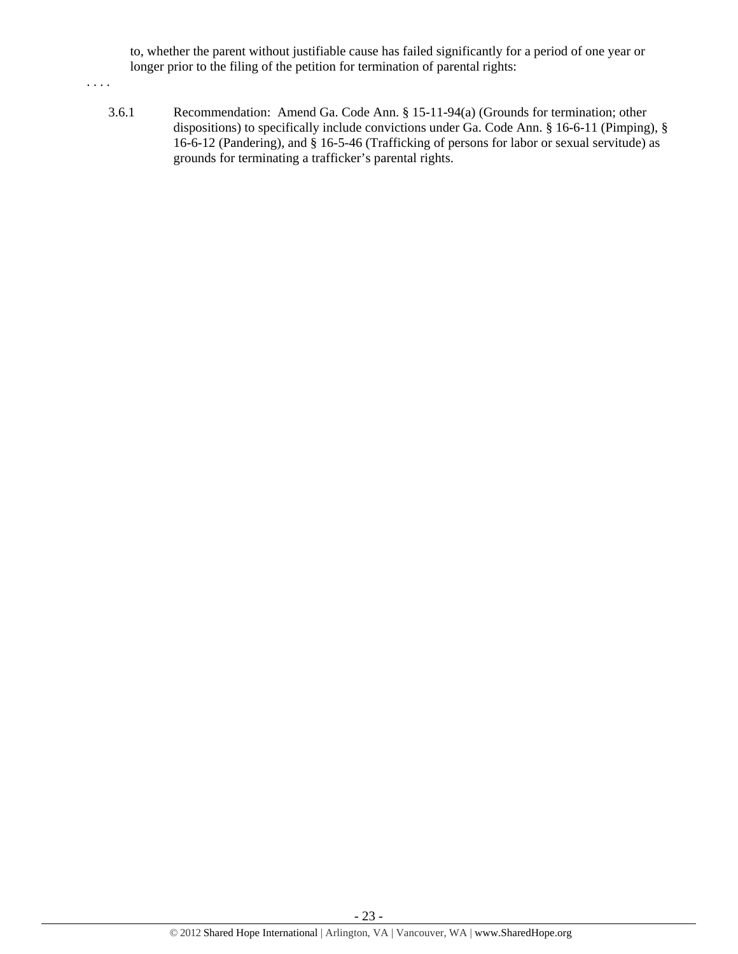to, whether the parent without justifiable cause has failed significantly for a period of one year or longer prior to the filing of the petition for termination of parental rights:

. . . .

3.6.1 Recommendation: Amend Ga. Code Ann. § 15-11-94(a) (Grounds for termination; other dispositions) to specifically include convictions under Ga. Code Ann. § 16-6-11 (Pimping), § 16-6-12 (Pandering), and § 16-5-46 (Trafficking of persons for labor or sexual servitude) as grounds for terminating a trafficker's parental rights.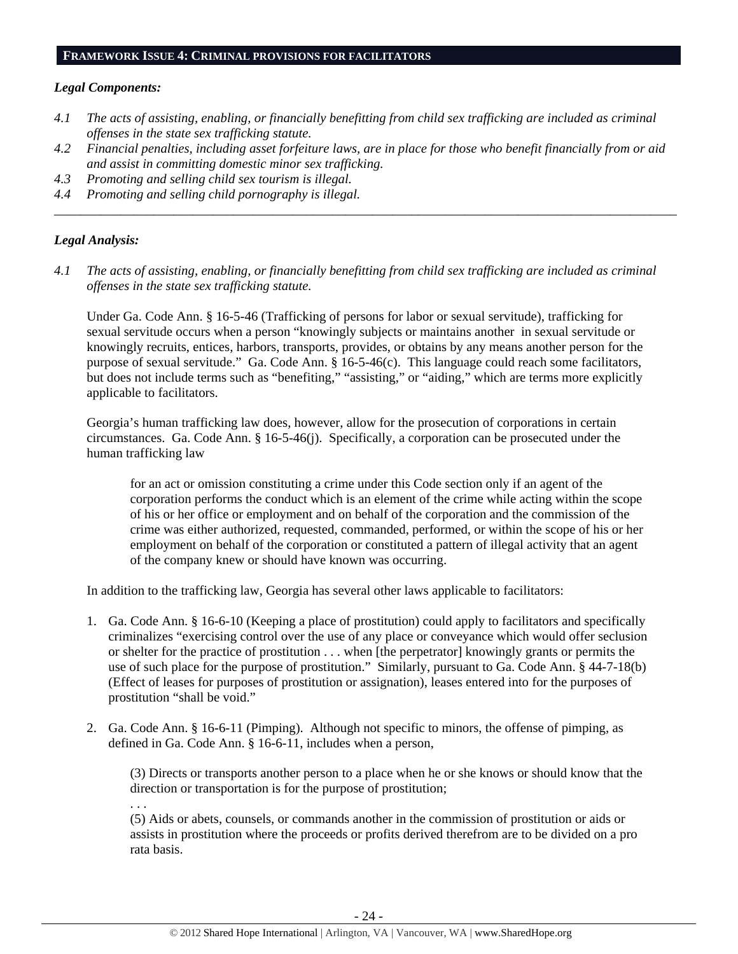#### **FRAMEWORK ISSUE 4: CRIMINAL PROVISIONS FOR FACILITATORS**

#### *Legal Components:*

- *4.1 The acts of assisting, enabling, or financially benefitting from child sex trafficking are included as criminal offenses in the state sex trafficking statute.*
- *4.2 Financial penalties, including asset forfeiture laws, are in place for those who benefit financially from or aid and assist in committing domestic minor sex trafficking.*

*\_\_\_\_\_\_\_\_\_\_\_\_\_\_\_\_\_\_\_\_\_\_\_\_\_\_\_\_\_\_\_\_\_\_\_\_\_\_\_\_\_\_\_\_\_\_\_\_\_\_\_\_\_\_\_\_\_\_\_\_\_\_\_\_\_\_\_\_\_\_\_\_\_\_\_\_\_\_\_\_\_\_\_\_\_\_\_\_\_\_\_\_\_\_* 

- *4.3 Promoting and selling child sex tourism is illegal.*
- *4.4 Promoting and selling child pornography is illegal.*

### *Legal Analysis:*

*4.1 The acts of assisting, enabling, or financially benefitting from child sex trafficking are included as criminal offenses in the state sex trafficking statute.*

Under Ga. Code Ann. § 16-5-46 (Trafficking of persons for labor or sexual servitude), trafficking for sexual servitude occurs when a person "knowingly subjects or maintains another in sexual servitude or knowingly recruits, entices, harbors, transports, provides, or obtains by any means another person for the purpose of sexual servitude." Ga. Code Ann. § 16-5-46(c). This language could reach some facilitators, but does not include terms such as "benefiting," "assisting," or "aiding," which are terms more explicitly applicable to facilitators.

Georgia's human trafficking law does, however, allow for the prosecution of corporations in certain circumstances. Ga. Code Ann. § 16-5-46(j). Specifically, a corporation can be prosecuted under the human trafficking law

for an act or omission constituting a crime under this Code section only if an agent of the corporation performs the conduct which is an element of the crime while acting within the scope of his or her office or employment and on behalf of the corporation and the commission of the crime was either authorized, requested, commanded, performed, or within the scope of his or her employment on behalf of the corporation or constituted a pattern of illegal activity that an agent of the company knew or should have known was occurring.

In addition to the trafficking law, Georgia has several other laws applicable to facilitators:

- 1. Ga. Code Ann. § 16-6-10 (Keeping a place of prostitution) could apply to facilitators and specifically criminalizes "exercising control over the use of any place or conveyance which would offer seclusion or shelter for the practice of prostitution . . . when [the perpetrator] knowingly grants or permits the use of such place for the purpose of prostitution." Similarly, pursuant to Ga. Code Ann. § 44-7-18(b) (Effect of leases for purposes of prostitution or assignation), leases entered into for the purposes of prostitution "shall be void."
- 2. Ga. Code Ann. § 16-6-11 (Pimping). Although not specific to minors, the offense of pimping, as defined in Ga. Code Ann. § 16-6-11, includes when a person,

(3) Directs or transports another person to a place when he or she knows or should know that the direction or transportation is for the purpose of prostitution;

. . .

(5) Aids or abets, counsels, or commands another in the commission of prostitution or aids or assists in prostitution where the proceeds or profits derived therefrom are to be divided on a pro rata basis.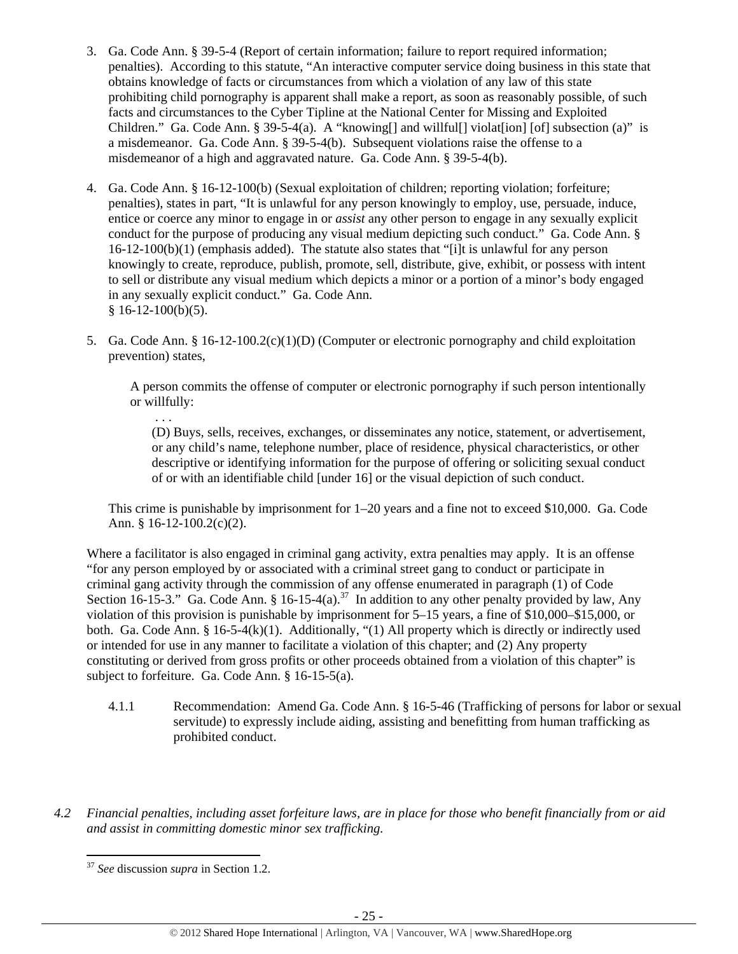- 3. Ga. Code Ann. § 39-5-4 (Report of certain information; failure to report required information; penalties). According to this statute, "An interactive computer service doing business in this state that obtains knowledge of facts or circumstances from which a violation of any law of this state prohibiting child pornography is apparent shall make a report, as soon as reasonably possible, of such facts and circumstances to the Cyber Tipline at the National Center for Missing and Exploited Children." Ga. Code Ann. § 39-5-4(a). A "knowing [] and willful [] violat [ion] [of] subsection (a)" is a misdemeanor. Ga. Code Ann. § 39-5-4(b). Subsequent violations raise the offense to a misdemeanor of a high and aggravated nature. Ga. Code Ann. § 39-5-4(b).
- 4. Ga. Code Ann. § 16-12-100(b) (Sexual exploitation of children; reporting violation; forfeiture; penalties), states in part, "It is unlawful for any person knowingly to employ, use, persuade, induce, entice or coerce any minor to engage in or *assist* any other person to engage in any sexually explicit conduct for the purpose of producing any visual medium depicting such conduct." Ga. Code Ann. § 16-12-100(b)(1) (emphasis added). The statute also states that "[i]t is unlawful for any person knowingly to create, reproduce, publish, promote, sell, distribute, give, exhibit, or possess with intent to sell or distribute any visual medium which depicts a minor or a portion of a minor's body engaged in any sexually explicit conduct." Ga. Code Ann.  $§ 16-12-100(b)(5).$
- 5. Ga. Code Ann. § 16-12-100.2(c)(1)(D) (Computer or electronic pornography and child exploitation prevention) states,

A person commits the offense of computer or electronic pornography if such person intentionally or willfully:

 . . . (D) Buys, sells, receives, exchanges, or disseminates any notice, statement, or advertisement, or any child's name, telephone number, place of residence, physical characteristics, or other descriptive or identifying information for the purpose of offering or soliciting sexual conduct of or with an identifiable child [under 16] or the visual depiction of such conduct.

This crime is punishable by imprisonment for 1–20 years and a fine not to exceed \$10,000. Ga. Code Ann. § 16-12-100.2(c)(2).

Where a facilitator is also engaged in criminal gang activity, extra penalties may apply. It is an offense "for any person employed by or associated with a criminal street gang to conduct or participate in criminal gang activity through the commission of any offense enumerated in paragraph (1) of Code Section 16-15-3." Ga. Code Ann. § 16-15-4(a).<sup>37</sup> In addition to any other penalty provided by law, Any violation of this provision is punishable by imprisonment for 5–15 years, a fine of \$10,000–\$15,000, or both. Ga. Code Ann. § 16-5-4(k)(1). Additionally, "(1) All property which is directly or indirectly used or intended for use in any manner to facilitate a violation of this chapter; and (2) Any property constituting or derived from gross profits or other proceeds obtained from a violation of this chapter" is subject to forfeiture. Ga. Code Ann. § 16-15-5(a).

- 4.1.1 Recommendation: Amend Ga. Code Ann. § 16-5-46 (Trafficking of persons for labor or sexual servitude) to expressly include aiding, assisting and benefitting from human trafficking as prohibited conduct.
- *4.2 Financial penalties, including asset forfeiture laws, are in place for those who benefit financially from or aid and assist in committing domestic minor sex trafficking.*

 <sup>37</sup> *See* discussion *supra* in Section 1.2.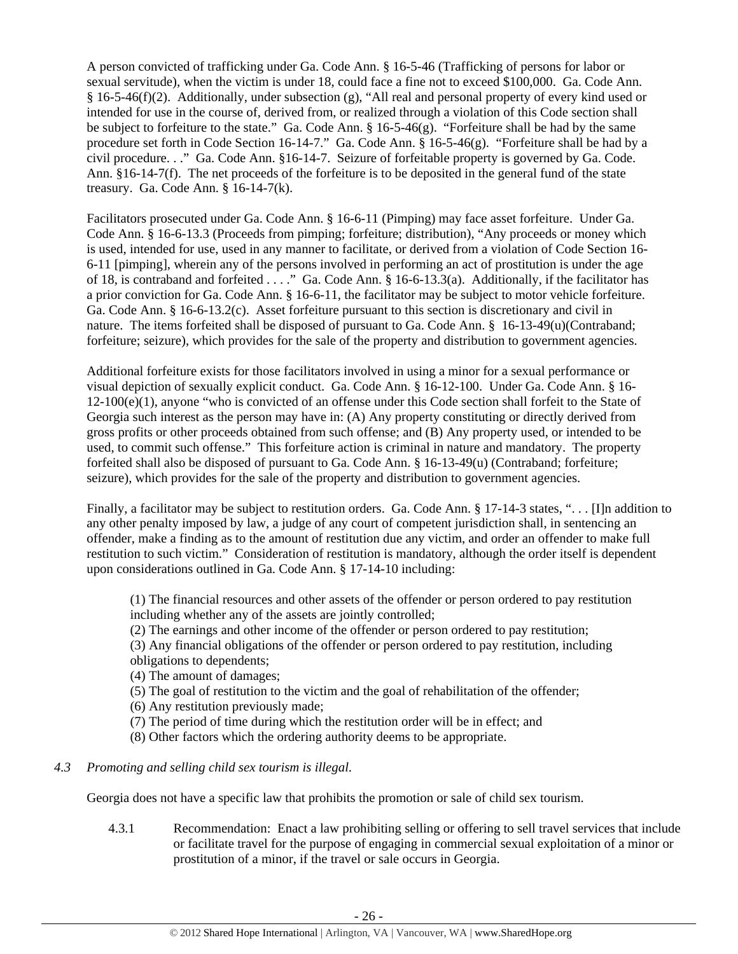A person convicted of trafficking under Ga. Code Ann. § 16-5-46 (Trafficking of persons for labor or sexual servitude), when the victim is under 18, could face a fine not to exceed \$100,000. Ga. Code Ann. § 16-5-46(f)(2). Additionally, under subsection (g), "All real and personal property of every kind used or intended for use in the course of, derived from, or realized through a violation of this Code section shall be subject to forfeiture to the state." Ga. Code Ann. § 16-5-46(g). "Forfeiture shall be had by the same procedure set forth in Code Section 16-14-7." Ga. Code Ann. § 16-5-46(g). "Forfeiture shall be had by a civil procedure. . ." Ga. Code Ann. §16-14-7. Seizure of forfeitable property is governed by Ga. Code. Ann. §16-14-7(f). The net proceeds of the forfeiture is to be deposited in the general fund of the state treasury. Ga. Code Ann. § 16-14-7(k).

Facilitators prosecuted under Ga. Code Ann. § 16-6-11 (Pimping) may face asset forfeiture. Under Ga. Code Ann. § 16-6-13.3 (Proceeds from pimping; forfeiture; distribution), "Any proceeds or money which is used, intended for use, used in any manner to facilitate, or derived from a violation of Code Section 16- 6-11 [pimping], wherein any of the persons involved in performing an act of prostitution is under the age of 18, is contraband and forfeited . . . ." Ga. Code Ann. § 16-6-13.3(a). Additionally, if the facilitator has a prior conviction for Ga. Code Ann. § 16-6-11, the facilitator may be subject to motor vehicle forfeiture. Ga. Code Ann. § 16-6-13.2(c). Asset forfeiture pursuant to this section is discretionary and civil in nature. The items forfeited shall be disposed of pursuant to Ga. Code Ann. § 16-13-49(u)(Contraband; forfeiture; seizure), which provides for the sale of the property and distribution to government agencies.

Additional forfeiture exists for those facilitators involved in using a minor for a sexual performance or visual depiction of sexually explicit conduct. Ga. Code Ann. § 16-12-100. Under Ga. Code Ann. § 16-  $12-100(e)(1)$ , anyone "who is convicted of an offense under this Code section shall forfeit to the State of Georgia such interest as the person may have in: (A) Any property constituting or directly derived from gross profits or other proceeds obtained from such offense; and (B) Any property used, or intended to be used, to commit such offense." This forfeiture action is criminal in nature and mandatory. The property forfeited shall also be disposed of pursuant to Ga. Code Ann. § 16-13-49(u) (Contraband; forfeiture; seizure), which provides for the sale of the property and distribution to government agencies.

Finally, a facilitator may be subject to restitution orders. Ga. Code Ann. § 17-14-3 states, "... [I]n addition to any other penalty imposed by law, a judge of any court of competent jurisdiction shall, in sentencing an offender, make a finding as to the amount of restitution due any victim, and order an offender to make full restitution to such victim." Consideration of restitution is mandatory, although the order itself is dependent upon considerations outlined in Ga. Code Ann. § 17-14-10 including:

(1) The financial resources and other assets of the offender or person ordered to pay restitution including whether any of the assets are jointly controlled;

(2) The earnings and other income of the offender or person ordered to pay restitution;

(3) Any financial obligations of the offender or person ordered to pay restitution, including obligations to dependents;

(4) The amount of damages;

(5) The goal of restitution to the victim and the goal of rehabilitation of the offender;

(6) Any restitution previously made;

(7) The period of time during which the restitution order will be in effect; and

(8) Other factors which the ordering authority deems to be appropriate.

# *4.3 Promoting and selling child sex tourism is illegal*.

Georgia does not have a specific law that prohibits the promotion or sale of child sex tourism.

4.3.1 Recommendation: Enact a law prohibiting selling or offering to sell travel services that include or facilitate travel for the purpose of engaging in commercial sexual exploitation of a minor or prostitution of a minor, if the travel or sale occurs in Georgia.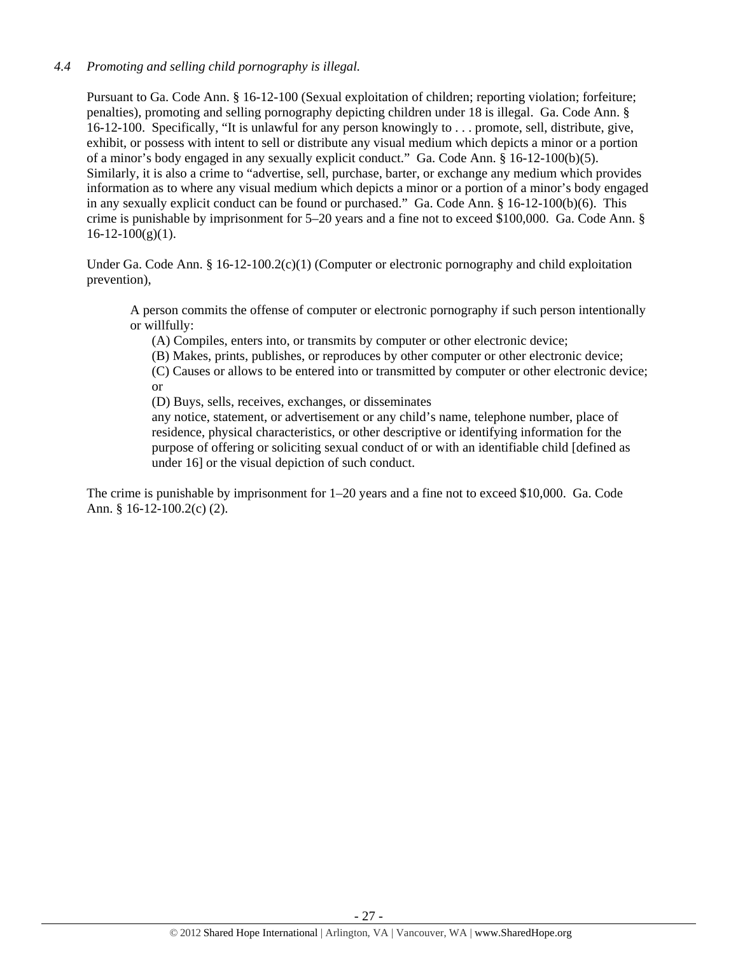# *4.4 Promoting and selling child pornography is illegal.*

Pursuant to Ga. Code Ann. § 16-12-100 (Sexual exploitation of children; reporting violation; forfeiture; penalties), promoting and selling pornography depicting children under 18 is illegal. Ga. Code Ann. § 16-12-100. Specifically, "It is unlawful for any person knowingly to . . . promote, sell, distribute, give, exhibit, or possess with intent to sell or distribute any visual medium which depicts a minor or a portion of a minor's body engaged in any sexually explicit conduct." Ga. Code Ann. § 16-12-100(b)(5). Similarly, it is also a crime to "advertise, sell, purchase, barter, or exchange any medium which provides information as to where any visual medium which depicts a minor or a portion of a minor's body engaged in any sexually explicit conduct can be found or purchased." Ga. Code Ann. § 16-12-100(b)(6). This crime is punishable by imprisonment for 5–20 years and a fine not to exceed \$100,000. Ga. Code Ann. §  $16-12-100(g)(1)$ .

Under Ga. Code Ann. § 16-12-100.2(c)(1) (Computer or electronic pornography and child exploitation prevention),

A person commits the offense of computer or electronic pornography if such person intentionally or willfully:

(A) Compiles, enters into, or transmits by computer or other electronic device;

(B) Makes, prints, publishes, or reproduces by other computer or other electronic device;

(C) Causes or allows to be entered into or transmitted by computer or other electronic device; or

(D) Buys, sells, receives, exchanges, or disseminates

any notice, statement, or advertisement or any child's name, telephone number, place of residence, physical characteristics, or other descriptive or identifying information for the purpose of offering or soliciting sexual conduct of or with an identifiable child [defined as under 16] or the visual depiction of such conduct.

The crime is punishable by imprisonment for 1–20 years and a fine not to exceed \$10,000. Ga. Code Ann. § 16-12-100.2(c) (2).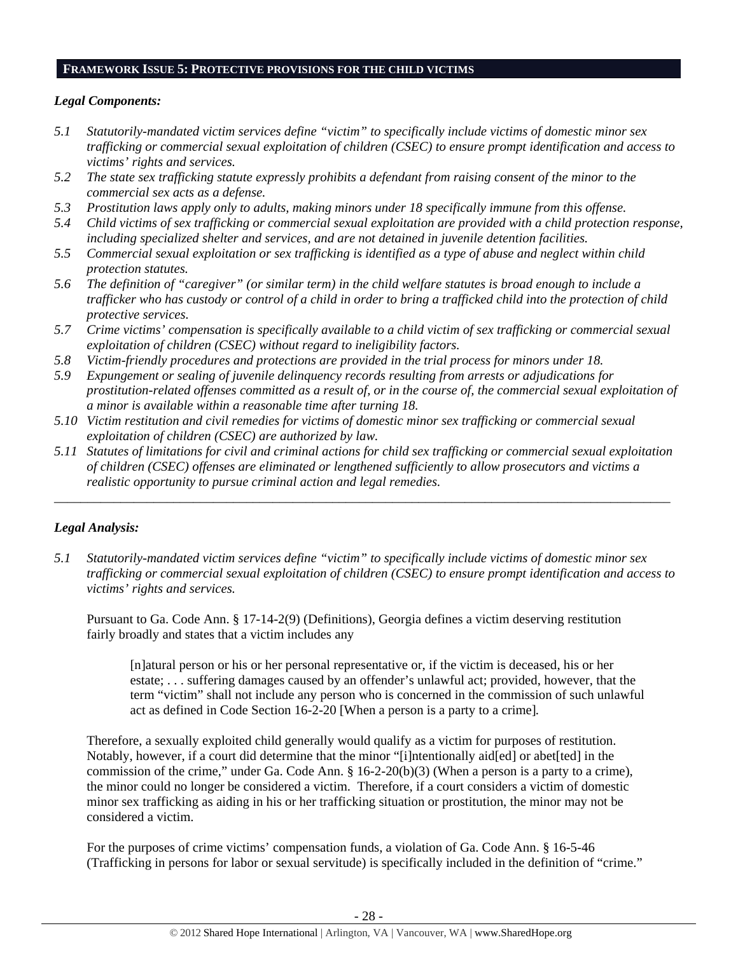#### **FRAMEWORK ISSUE 5: PROTECTIVE PROVISIONS FOR THE CHILD VICTIMS**

# *Legal Components:*

- *5.1 Statutorily-mandated victim services define "victim" to specifically include victims of domestic minor sex trafficking or commercial sexual exploitation of children (CSEC) to ensure prompt identification and access to victims' rights and services.*
- *5.2 The state sex trafficking statute expressly prohibits a defendant from raising consent of the minor to the commercial sex acts as a defense.*
- *5.3 Prostitution laws apply only to adults, making minors under 18 specifically immune from this offense.*
- *5.4 Child victims of sex trafficking or commercial sexual exploitation are provided with a child protection response, including specialized shelter and services, and are not detained in juvenile detention facilities.*
- *5.5 Commercial sexual exploitation or sex trafficking is identified as a type of abuse and neglect within child protection statutes.*
- *5.6 The definition of "caregiver" (or similar term) in the child welfare statutes is broad enough to include a trafficker who has custody or control of a child in order to bring a trafficked child into the protection of child protective services.*
- *5.7 Crime victims' compensation is specifically available to a child victim of sex trafficking or commercial sexual exploitation of children (CSEC) without regard to ineligibility factors.*
- *5.8 Victim-friendly procedures and protections are provided in the trial process for minors under 18.*
- *5.9 Expungement or sealing of juvenile delinquency records resulting from arrests or adjudications for prostitution-related offenses committed as a result of, or in the course of, the commercial sexual exploitation of a minor is available within a reasonable time after turning 18.*
- *5.10 Victim restitution and civil remedies for victims of domestic minor sex trafficking or commercial sexual exploitation of children (CSEC) are authorized by law.*
- *5.11 Statutes of limitations for civil and criminal actions for child sex trafficking or commercial sexual exploitation of children (CSEC) offenses are eliminated or lengthened sufficiently to allow prosecutors and victims a realistic opportunity to pursue criminal action and legal remedies.*

*\_\_\_\_\_\_\_\_\_\_\_\_\_\_\_\_\_\_\_\_\_\_\_\_\_\_\_\_\_\_\_\_\_\_\_\_\_\_\_\_\_\_\_\_\_\_\_\_\_\_\_\_\_\_\_\_\_\_\_\_\_\_\_\_\_\_\_\_\_\_\_\_\_\_\_\_\_\_\_\_\_\_\_\_\_\_\_\_\_\_\_\_\_* 

# *Legal Analysis:*

*5.1 Statutorily-mandated victim services define "victim" to specifically include victims of domestic minor sex trafficking or commercial sexual exploitation of children (CSEC) to ensure prompt identification and access to victims' rights and services.* 

Pursuant to Ga. Code Ann. § 17-14-2(9) (Definitions), Georgia defines a victim deserving restitution fairly broadly and states that a victim includes any

[n]atural person or his or her personal representative or, if the victim is deceased, his or her estate; . . . suffering damages caused by an offender's unlawful act; provided, however, that the term "victim" shall not include any person who is concerned in the commission of such unlawful act as defined in Code Section 16-2-20 [When a person is a party to a crime]*.*

Therefore, a sexually exploited child generally would qualify as a victim for purposes of restitution. Notably, however, if a court did determine that the minor "[i]ntentionally aid[ed] or abet[ted] in the commission of the crime," under Ga. Code Ann. § 16-2-20(b)(3) (When a person is a party to a crime), the minor could no longer be considered a victim. Therefore, if a court considers a victim of domestic minor sex trafficking as aiding in his or her trafficking situation or prostitution, the minor may not be considered a victim.

For the purposes of crime victims' compensation funds, a violation of Ga. Code Ann. § 16-5-46 (Trafficking in persons for labor or sexual servitude) is specifically included in the definition of "crime."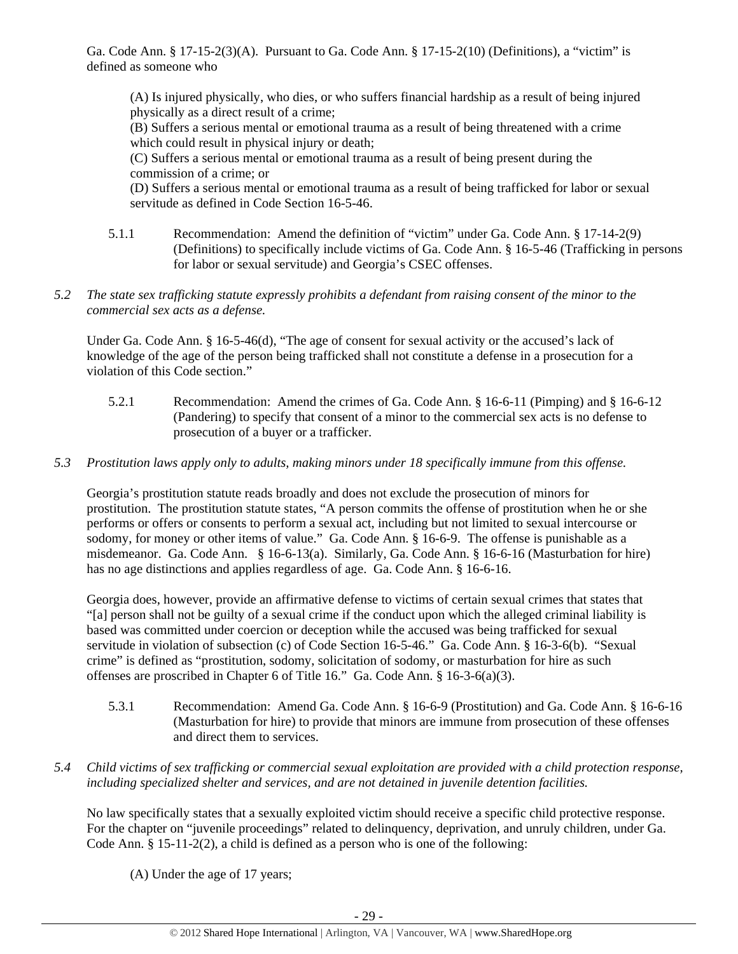Ga. Code Ann. § 17-15-2(3)(A). Pursuant to Ga. Code Ann. § 17-15-2(10) (Definitions), a "victim" is defined as someone who

(A) Is injured physically, who dies, or who suffers financial hardship as a result of being injured physically as a direct result of a crime;

(B) Suffers a serious mental or emotional trauma as a result of being threatened with a crime which could result in physical injury or death;

(C) Suffers a serious mental or emotional trauma as a result of being present during the commission of a crime; or

(D) Suffers a serious mental or emotional trauma as a result of being trafficked for labor or sexual servitude as defined in Code Section 16-5-46.

- 5.1.1 Recommendation: Amend the definition of "victim" under Ga. Code Ann. § 17-14-2(9) (Definitions) to specifically include victims of Ga. Code Ann. § 16-5-46 (Trafficking in persons for labor or sexual servitude) and Georgia's CSEC offenses.
- *5.2 The state sex trafficking statute expressly prohibits a defendant from raising consent of the minor to the commercial sex acts as a defense.*

Under Ga. Code Ann. § 16-5-46(d), "The age of consent for sexual activity or the accused's lack of knowledge of the age of the person being trafficked shall not constitute a defense in a prosecution for a violation of this Code section."

- 5.2.1 Recommendation: Amend the crimes of Ga. Code Ann. § 16-6-11 (Pimping) and § 16-6-12 (Pandering) to specify that consent of a minor to the commercial sex acts is no defense to prosecution of a buyer or a trafficker.
- *5.3 Prostitution laws apply only to adults, making minors under 18 specifically immune from this offense.*

Georgia's prostitution statute reads broadly and does not exclude the prosecution of minors for prostitution. The prostitution statute states, "A person commits the offense of prostitution when he or she performs or offers or consents to perform a sexual act, including but not limited to sexual intercourse or sodomy, for money or other items of value." Ga. Code Ann. § 16-6-9. The offense is punishable as a misdemeanor. Ga. Code Ann. § 16-6-13(a). Similarly, Ga. Code Ann. § 16-6-16 (Masturbation for hire) has no age distinctions and applies regardless of age. Ga. Code Ann. § 16-6-16.

Georgia does, however, provide an affirmative defense to victims of certain sexual crimes that states that "[a] person shall not be guilty of a sexual crime if the conduct upon which the alleged criminal liability is based was committed under coercion or deception while the accused was being trafficked for sexual servitude in violation of subsection (c) of Code Section 16-5-46." Ga. Code Ann. § 16-3-6(b). "Sexual crime" is defined as "prostitution, sodomy, solicitation of sodomy, or masturbation for hire as such offenses are proscribed in Chapter 6 of Title 16." Ga. Code Ann. § 16-3-6(a)(3).

- 5.3.1 Recommendation: Amend Ga. Code Ann. § 16-6-9 (Prostitution) and Ga. Code Ann. § 16-6-16 (Masturbation for hire) to provide that minors are immune from prosecution of these offenses and direct them to services.
- *5.4 Child victims of sex trafficking or commercial sexual exploitation are provided with a child protection response, including specialized shelter and services, and are not detained in juvenile detention facilities.*

No law specifically states that a sexually exploited victim should receive a specific child protective response. For the chapter on "juvenile proceedings" related to delinquency, deprivation, and unruly children, under Ga. Code Ann. § 15-11-2(2), a child is defined as a person who is one of the following:

(A) Under the age of 17 years;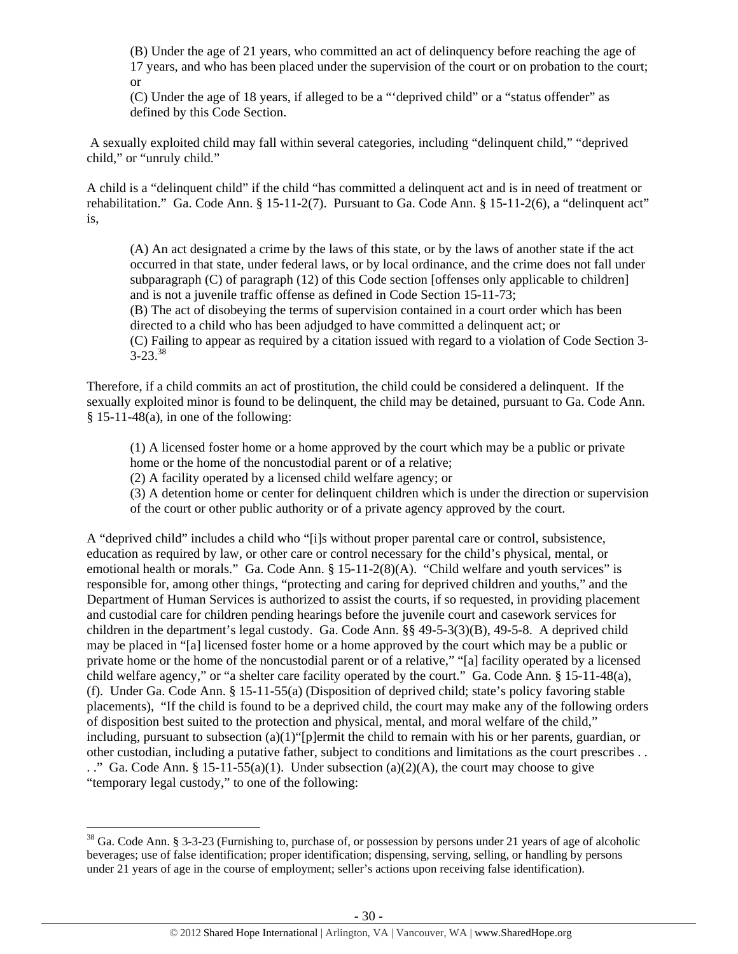(B) Under the age of 21 years, who committed an act of delinquency before reaching the age of 17 years, and who has been placed under the supervision of the court or on probation to the court; or

(C) Under the age of 18 years, if alleged to be a "'deprived child" or a "status offender" as defined by this Code Section.

 A sexually exploited child may fall within several categories, including "delinquent child," "deprived child," or "unruly child."

A child is a "delinquent child" if the child "has committed a delinquent act and is in need of treatment or rehabilitation." Ga. Code Ann. § 15-11-2(7). Pursuant to Ga. Code Ann. § 15-11-2(6), a "delinquent act" is,

(A) An act designated a crime by the laws of this state, or by the laws of another state if the act occurred in that state, under federal laws, or by local ordinance, and the crime does not fall under subparagraph (C) of paragraph (12) of this Code section [offenses only applicable to children] and is not a juvenile traffic offense as defined in Code Section 15-11-73;

(B) The act of disobeying the terms of supervision contained in a court order which has been directed to a child who has been adjudged to have committed a delinquent act; or (C) Failing to appear as required by a citation issued with regard to a violation of Code Section 3-  $3 - 23$ .  $38$ 

Therefore, if a child commits an act of prostitution, the child could be considered a delinquent. If the sexually exploited minor is found to be delinquent, the child may be detained, pursuant to Ga. Code Ann.  $§ 15-11-48(a)$ , in one of the following:

(1) A licensed foster home or a home approved by the court which may be a public or private home or the home of the noncustodial parent or of a relative;

(2) A facility operated by a licensed child welfare agency; or

(3) A detention home or center for delinquent children which is under the direction or supervision of the court or other public authority or of a private agency approved by the court.

A "deprived child" includes a child who "[i]s without proper parental care or control, subsistence, education as required by law, or other care or control necessary for the child's physical, mental, or emotional health or morals." Ga. Code Ann. § 15-11-2(8)(A). "Child welfare and youth services" is responsible for, among other things, "protecting and caring for deprived children and youths," and the Department of Human Services is authorized to assist the courts, if so requested, in providing placement and custodial care for children pending hearings before the juvenile court and casework services for children in the department's legal custody. Ga. Code Ann. §§ 49-5-3(3)(B), 49-5-8. A deprived child may be placed in "[a] licensed foster home or a home approved by the court which may be a public or private home or the home of the noncustodial parent or of a relative," "[a] facility operated by a licensed child welfare agency," or "a shelter care facility operated by the court." Ga. Code Ann. § 15-11-48(a), (f). Under Ga. Code Ann. § 15-11-55(a) (Disposition of deprived child; state's policy favoring stable placements), "If the child is found to be a deprived child, the court may make any of the following orders of disposition best suited to the protection and physical, mental, and moral welfare of the child," including, pursuant to subsection (a)(1)"[p]ermit the child to remain with his or her parents, guardian, or other custodian, including a putative father, subject to conditions and limitations as the court prescribes . . . ." Ga. Code Ann. § 15-11-55(a)(1). Under subsection (a)(2)(A), the court may choose to give "temporary legal custody," to one of the following:

<sup>&</sup>lt;sup>38</sup> Ga. Code Ann. § 3-3-23 (Furnishing to, purchase of, or possession by persons under 21 years of age of alcoholic beverages; use of false identification; proper identification; dispensing, serving, selling, or handling by persons under 21 years of age in the course of employment; seller's actions upon receiving false identification).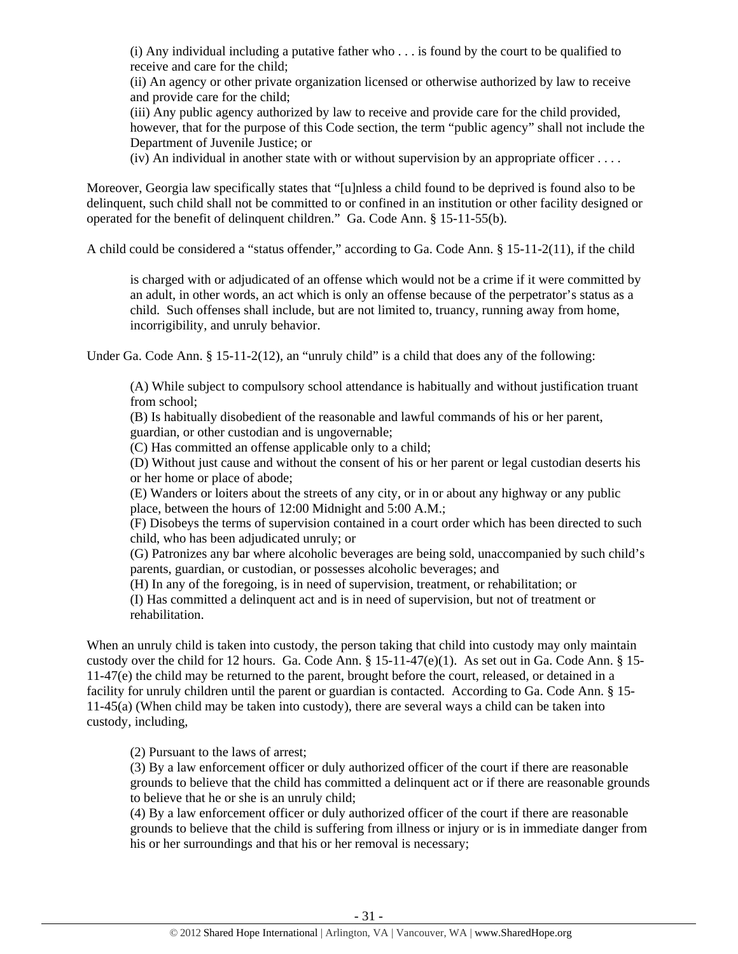(i) Any individual including a putative father who . . . is found by the court to be qualified to receive and care for the child;

(ii) An agency or other private organization licensed or otherwise authorized by law to receive and provide care for the child;

(iii) Any public agency authorized by law to receive and provide care for the child provided, however, that for the purpose of this Code section, the term "public agency" shall not include the Department of Juvenile Justice; or

 $(iv)$  An individual in another state with or without supervision by an appropriate officer  $\dots$ .

Moreover, Georgia law specifically states that "[u]nless a child found to be deprived is found also to be delinquent, such child shall not be committed to or confined in an institution or other facility designed or operated for the benefit of delinquent children." Ga. Code Ann. § 15-11-55(b).

A child could be considered a "status offender," according to Ga. Code Ann. § 15-11-2(11), if the child

is charged with or adjudicated of an offense which would not be a crime if it were committed by an adult, in other words, an act which is only an offense because of the perpetrator's status as a child. Such offenses shall include, but are not limited to, truancy, running away from home, incorrigibility, and unruly behavior.

Under Ga. Code Ann. § 15-11-2(12), an "unruly child" is a child that does any of the following:

(A) While subject to compulsory school attendance is habitually and without justification truant from school;

(B) Is habitually disobedient of the reasonable and lawful commands of his or her parent, guardian, or other custodian and is ungovernable;

(C) Has committed an offense applicable only to a child;

(D) Without just cause and without the consent of his or her parent or legal custodian deserts his or her home or place of abode;

(E) Wanders or loiters about the streets of any city, or in or about any highway or any public place, between the hours of 12:00 Midnight and 5:00 A.M.;

(F) Disobeys the terms of supervision contained in a court order which has been directed to such child, who has been adjudicated unruly; or

(G) Patronizes any bar where alcoholic beverages are being sold, unaccompanied by such child's parents, guardian, or custodian, or possesses alcoholic beverages; and

(H) In any of the foregoing, is in need of supervision, treatment, or rehabilitation; or

(I) Has committed a delinquent act and is in need of supervision, but not of treatment or rehabilitation.

When an unruly child is taken into custody, the person taking that child into custody may only maintain custody over the child for 12 hours. Ga. Code Ann. § 15-11-47(e)(1). As set out in Ga. Code Ann. § 15- 11-47(e) the child may be returned to the parent, brought before the court, released, or detained in a facility for unruly children until the parent or guardian is contacted. According to Ga. Code Ann. § 15- 11-45(a) (When child may be taken into custody), there are several ways a child can be taken into custody, including,

(2) Pursuant to the laws of arrest;

(3) By a law enforcement officer or duly authorized officer of the court if there are reasonable grounds to believe that the child has committed a delinquent act or if there are reasonable grounds to believe that he or she is an unruly child;

(4) By a law enforcement officer or duly authorized officer of the court if there are reasonable grounds to believe that the child is suffering from illness or injury or is in immediate danger from his or her surroundings and that his or her removal is necessary;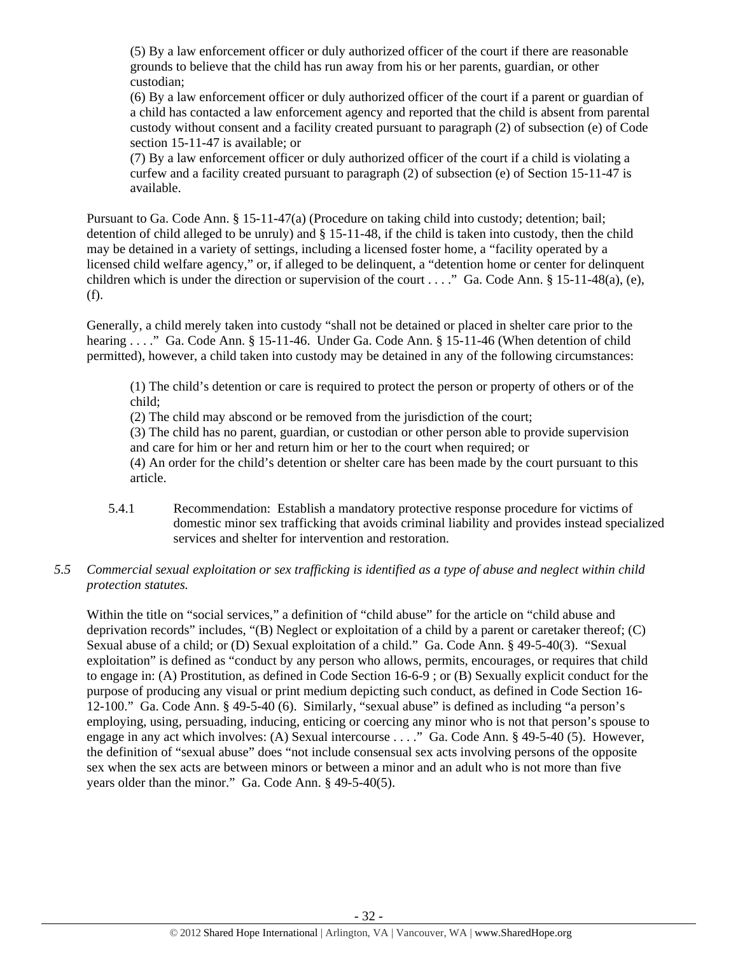(5) By a law enforcement officer or duly authorized officer of the court if there are reasonable grounds to believe that the child has run away from his or her parents, guardian, or other custodian;

(6) By a law enforcement officer or duly authorized officer of the court if a parent or guardian of a child has contacted a law enforcement agency and reported that the child is absent from parental custody without consent and a facility created pursuant to paragraph (2) of subsection (e) of Code section 15-11-47 is available; or

(7) By a law enforcement officer or duly authorized officer of the court if a child is violating a curfew and a facility created pursuant to paragraph (2) of subsection (e) of Section 15-11-47 is available.

Pursuant to Ga. Code Ann. § 15-11-47(a) (Procedure on taking child into custody; detention; bail; detention of child alleged to be unruly) and § 15-11-48, if the child is taken into custody, then the child may be detained in a variety of settings, including a licensed foster home, a "facility operated by a licensed child welfare agency," or, if alleged to be delinquent, a "detention home or center for delinquent children which is under the direction or supervision of the court . . . ." Ga. Code Ann. § 15-11-48(a), (e), (f).

Generally, a child merely taken into custody "shall not be detained or placed in shelter care prior to the hearing . . . ." Ga. Code Ann. § 15-11-46. Under Ga. Code Ann. § 15-11-46 (When detention of child permitted), however, a child taken into custody may be detained in any of the following circumstances:

(1) The child's detention or care is required to protect the person or property of others or of the child;

(2) The child may abscond or be removed from the jurisdiction of the court;

(3) The child has no parent, guardian, or custodian or other person able to provide supervision and care for him or her and return him or her to the court when required; or

(4) An order for the child's detention or shelter care has been made by the court pursuant to this article.

5.4.1 Recommendation: Establish a mandatory protective response procedure for victims of domestic minor sex trafficking that avoids criminal liability and provides instead specialized services and shelter for intervention and restoration.

# *5.5 Commercial sexual exploitation or sex trafficking is identified as a type of abuse and neglect within child protection statutes.*

Within the title on "social services," a definition of "child abuse" for the article on "child abuse and deprivation records" includes, "(B) Neglect or exploitation of a child by a parent or caretaker thereof; (C) Sexual abuse of a child; or (D) Sexual exploitation of a child." Ga. Code Ann. § 49-5-40(3). "Sexual exploitation" is defined as "conduct by any person who allows, permits, encourages, or requires that child to engage in: (A) Prostitution, as defined in Code Section 16-6-9 ; or (B) Sexually explicit conduct for the purpose of producing any visual or print medium depicting such conduct, as defined in Code Section 16- 12-100." Ga. Code Ann. § 49-5-40 (6). Similarly, "sexual abuse" is defined as including "a person's employing, using, persuading, inducing, enticing or coercing any minor who is not that person's spouse to engage in any act which involves: (A) Sexual intercourse . . . ." Ga. Code Ann. § 49-5-40 (5). However, the definition of "sexual abuse" does "not include consensual sex acts involving persons of the opposite sex when the sex acts are between minors or between a minor and an adult who is not more than five years older than the minor." Ga. Code Ann. § 49-5-40(5).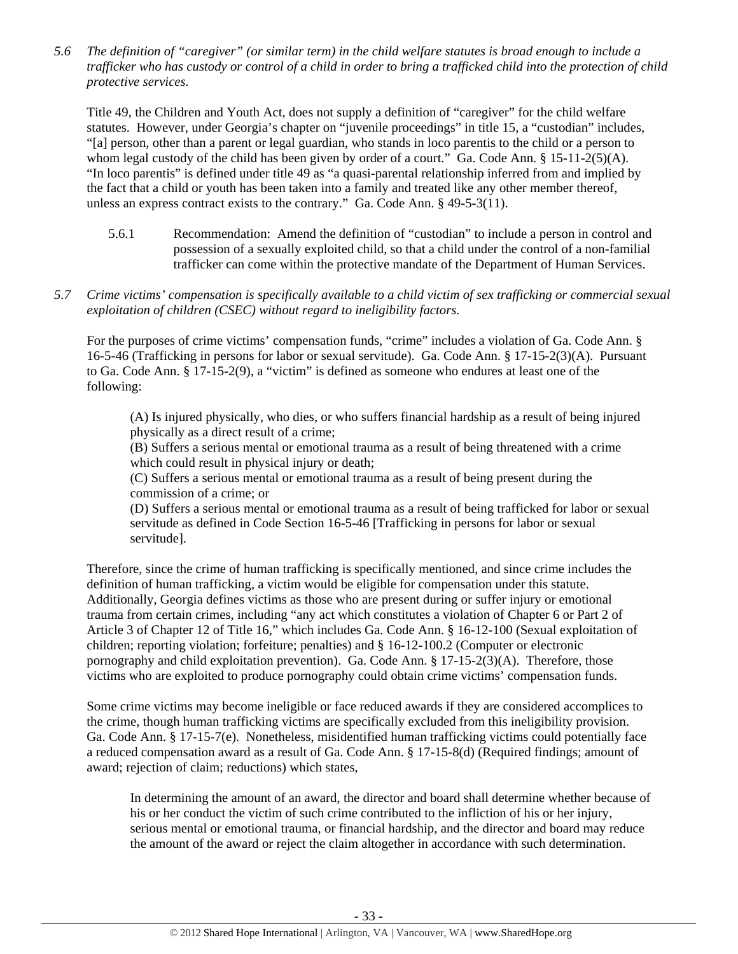*5.6 The definition of "caregiver" (or similar term) in the child welfare statutes is broad enough to include a trafficker who has custody or control of a child in order to bring a trafficked child into the protection of child protective services.* 

Title 49, the Children and Youth Act, does not supply a definition of "caregiver" for the child welfare statutes. However, under Georgia's chapter on "juvenile proceedings" in title 15, a "custodian" includes, "[a] person, other than a parent or legal guardian, who stands in loco parentis to the child or a person to whom legal custody of the child has been given by order of a court." Ga. Code Ann. § 15-11-2(5)(A). "In loco parentis" is defined under title 49 as "a quasi-parental relationship inferred from and implied by the fact that a child or youth has been taken into a family and treated like any other member thereof, unless an express contract exists to the contrary." Ga. Code Ann. § 49-5-3(11).

- 5.6.1 Recommendation: Amend the definition of "custodian" to include a person in control and possession of a sexually exploited child, so that a child under the control of a non-familial trafficker can come within the protective mandate of the Department of Human Services.
- *5.7 Crime victims' compensation is specifically available to a child victim of sex trafficking or commercial sexual exploitation of children (CSEC) without regard to ineligibility factors.*

For the purposes of crime victims' compensation funds, "crime" includes a violation of Ga. Code Ann. § 16-5-46 (Trafficking in persons for labor or sexual servitude). Ga. Code Ann. § 17-15-2(3)(A). Pursuant to Ga. Code Ann. § 17-15-2(9), a "victim" is defined as someone who endures at least one of the following:

(A) Is injured physically, who dies, or who suffers financial hardship as a result of being injured physically as a direct result of a crime;

(B) Suffers a serious mental or emotional trauma as a result of being threatened with a crime which could result in physical injury or death;

(C) Suffers a serious mental or emotional trauma as a result of being present during the commission of a crime; or

(D) Suffers a serious mental or emotional trauma as a result of being trafficked for labor or sexual servitude as defined in Code Section 16-5-46 [Trafficking in persons for labor or sexual servitude].

Therefore, since the crime of human trafficking is specifically mentioned, and since crime includes the definition of human trafficking, a victim would be eligible for compensation under this statute. Additionally, Georgia defines victims as those who are present during or suffer injury or emotional trauma from certain crimes, including "any act which constitutes a violation of Chapter 6 or Part 2 of Article 3 of Chapter 12 of Title 16," which includes Ga. Code Ann. § 16-12-100 (Sexual exploitation of children; reporting violation; forfeiture; penalties) and § 16-12-100.2 (Computer or electronic pornography and child exploitation prevention). Ga. Code Ann. § 17-15-2(3)(A). Therefore, those victims who are exploited to produce pornography could obtain crime victims' compensation funds.

Some crime victims may become ineligible or face reduced awards if they are considered accomplices to the crime, though human trafficking victims are specifically excluded from this ineligibility provision. Ga. Code Ann. § 17-15-7(e). Nonetheless, misidentified human trafficking victims could potentially face a reduced compensation award as a result of Ga. Code Ann. § 17-15-8(d) (Required findings; amount of award; rejection of claim; reductions) which states,

In determining the amount of an award, the director and board shall determine whether because of his or her conduct the victim of such crime contributed to the infliction of his or her injury, serious mental or emotional trauma, or financial hardship, and the director and board may reduce the amount of the award or reject the claim altogether in accordance with such determination.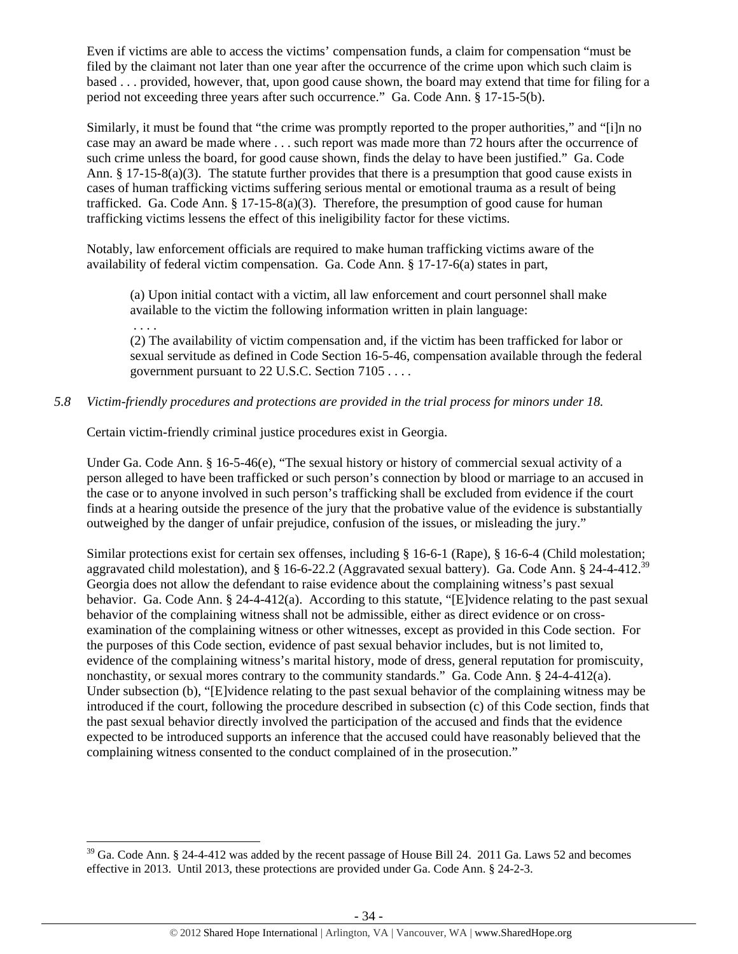Even if victims are able to access the victims' compensation funds, a claim for compensation "must be filed by the claimant not later than one year after the occurrence of the crime upon which such claim is based . . . provided, however, that, upon good cause shown, the board may extend that time for filing for a period not exceeding three years after such occurrence." Ga. Code Ann. § 17-15-5(b).

Similarly, it must be found that "the crime was promptly reported to the proper authorities," and "[i]n no case may an award be made where . . . such report was made more than 72 hours after the occurrence of such crime unless the board, for good cause shown, finds the delay to have been justified." Ga. Code Ann. § 17-15-8(a)(3). The statute further provides that there is a presumption that good cause exists in cases of human trafficking victims suffering serious mental or emotional trauma as a result of being trafficked. Ga. Code Ann.  $\S 17{\text -}15{\text -}8(a)(3)$ . Therefore, the presumption of good cause for human trafficking victims lessens the effect of this ineligibility factor for these victims.

Notably, law enforcement officials are required to make human trafficking victims aware of the availability of federal victim compensation. Ga. Code Ann. § 17-17-6(a) states in part,

(a) Upon initial contact with a victim, all law enforcement and court personnel shall make available to the victim the following information written in plain language: . . . .

(2) The availability of victim compensation and, if the victim has been trafficked for labor or sexual servitude as defined in Code Section 16-5-46, compensation available through the federal government pursuant to 22 U.S.C. Section 7105 . . . .

# *5.8 Victim-friendly procedures and protections are provided in the trial process for minors under 18.*

Certain victim-friendly criminal justice procedures exist in Georgia.

Under Ga. Code Ann. § 16-5-46(e), "The sexual history or history of commercial sexual activity of a person alleged to have been trafficked or such person's connection by blood or marriage to an accused in the case or to anyone involved in such person's trafficking shall be excluded from evidence if the court finds at a hearing outside the presence of the jury that the probative value of the evidence is substantially outweighed by the danger of unfair prejudice, confusion of the issues, or misleading the jury."

Similar protections exist for certain sex offenses, including § 16-6-1 (Rape), § 16-6-4 (Child molestation; aggravated child molestation), and § 16-6-22.2 (Aggravated sexual battery). Ga. Code Ann. § 24-4-412.39 Georgia does not allow the defendant to raise evidence about the complaining witness's past sexual behavior. Ga. Code Ann. § 24-4-412(a). According to this statute, "[E]vidence relating to the past sexual behavior of the complaining witness shall not be admissible, either as direct evidence or on crossexamination of the complaining witness or other witnesses, except as provided in this Code section. For the purposes of this Code section, evidence of past sexual behavior includes, but is not limited to, evidence of the complaining witness's marital history, mode of dress, general reputation for promiscuity, nonchastity, or sexual mores contrary to the community standards." Ga. Code Ann. § 24-4-412(a). Under subsection (b), "[E]vidence relating to the past sexual behavior of the complaining witness may be introduced if the court, following the procedure described in subsection (c) of this Code section, finds that the past sexual behavior directly involved the participation of the accused and finds that the evidence expected to be introduced supports an inference that the accused could have reasonably believed that the complaining witness consented to the conduct complained of in the prosecution."

 $39$  Ga. Code Ann. § 24-4-412 was added by the recent passage of House Bill 24. 2011 Ga. Laws 52 and becomes effective in 2013. Until 2013, these protections are provided under Ga. Code Ann. § 24-2-3.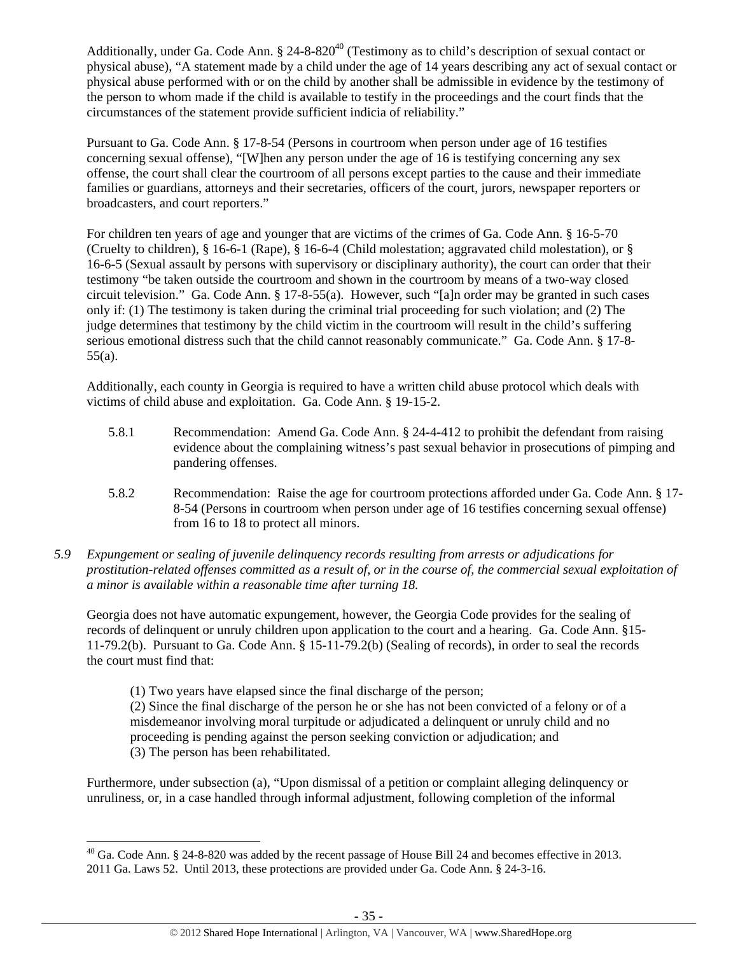Additionally, under Ga. Code Ann. § 24-8-820<sup>40</sup> (Testimony as to child's description of sexual contact or physical abuse), "A statement made by a child under the age of 14 years describing any act of sexual contact or physical abuse performed with or on the child by another shall be admissible in evidence by the testimony of the person to whom made if the child is available to testify in the proceedings and the court finds that the circumstances of the statement provide sufficient indicia of reliability."

Pursuant to Ga. Code Ann. § 17-8-54 (Persons in courtroom when person under age of 16 testifies concerning sexual offense), "[W]hen any person under the age of 16 is testifying concerning any sex offense, the court shall clear the courtroom of all persons except parties to the cause and their immediate families or guardians, attorneys and their secretaries, officers of the court, jurors, newspaper reporters or broadcasters, and court reporters."

For children ten years of age and younger that are victims of the crimes of Ga. Code Ann. § 16-5-70 (Cruelty to children), § 16-6-1 (Rape), § 16-6-4 (Child molestation; aggravated child molestation), or § 16-6-5 (Sexual assault by persons with supervisory or disciplinary authority), the court can order that their testimony "be taken outside the courtroom and shown in the courtroom by means of a two-way closed circuit television." Ga. Code Ann. § 17-8-55(a). However, such "[a]n order may be granted in such cases only if: (1) The testimony is taken during the criminal trial proceeding for such violation; and (2) The judge determines that testimony by the child victim in the courtroom will result in the child's suffering serious emotional distress such that the child cannot reasonably communicate." Ga. Code Ann. § 17-8-55(a).

Additionally, each county in Georgia is required to have a written child abuse protocol which deals with victims of child abuse and exploitation. Ga. Code Ann. § 19-15-2.

- 5.8.1 Recommendation: Amend Ga. Code Ann. § 24-4-412 to prohibit the defendant from raising evidence about the complaining witness's past sexual behavior in prosecutions of pimping and pandering offenses.
- 5.8.2 Recommendation: Raise the age for courtroom protections afforded under Ga. Code Ann. § 17- 8-54 (Persons in courtroom when person under age of 16 testifies concerning sexual offense) from 16 to 18 to protect all minors.
- *5.9 Expungement or sealing of juvenile delinquency records resulting from arrests or adjudications for prostitution-related offenses committed as a result of, or in the course of, the commercial sexual exploitation of a minor is available within a reasonable time after turning 18.*

Georgia does not have automatic expungement, however, the Georgia Code provides for the sealing of records of delinquent or unruly children upon application to the court and a hearing. Ga. Code Ann. §15- 11-79.2(b). Pursuant to Ga. Code Ann. § 15-11-79.2(b) (Sealing of records), in order to seal the records the court must find that:

(1) Two years have elapsed since the final discharge of the person;

(2) Since the final discharge of the person he or she has not been convicted of a felony or of a misdemeanor involving moral turpitude or adjudicated a delinquent or unruly child and no proceeding is pending against the person seeking conviction or adjudication; and (3) The person has been rehabilitated.

Furthermore, under subsection (a), "Upon dismissal of a petition or complaint alleging delinquency or unruliness, or, in a case handled through informal adjustment, following completion of the informal

 $^{40}$  Ga. Code Ann. § 24-8-820 was added by the recent passage of House Bill 24 and becomes effective in 2013. 2011 Ga. Laws 52. Until 2013, these protections are provided under Ga. Code Ann. § 24-3-16.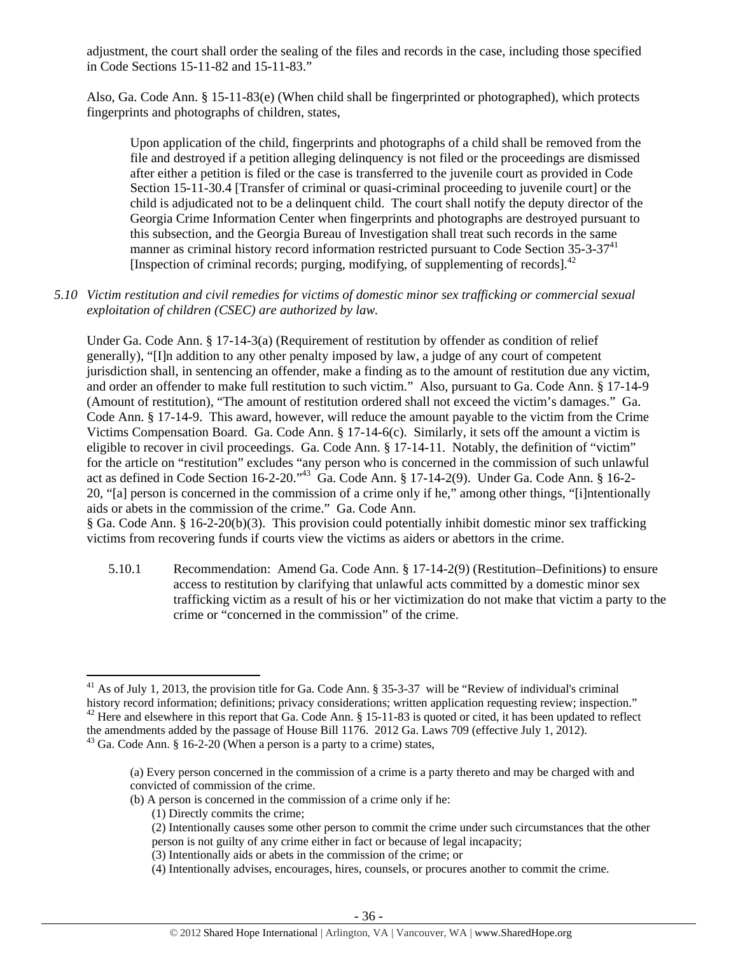adjustment, the court shall order the sealing of the files and records in the case, including those specified in Code Sections 15-11-82 and 15-11-83."

Also, Ga. Code Ann. § 15-11-83(e) (When child shall be fingerprinted or photographed), which protects fingerprints and photographs of children, states,

Upon application of the child, fingerprints and photographs of a child shall be removed from the file and destroyed if a petition alleging delinquency is not filed or the proceedings are dismissed after either a petition is filed or the case is transferred to the juvenile court as provided in Code Section 15-11-30.4 [Transfer of criminal or quasi-criminal proceeding to juvenile court] or the child is adjudicated not to be a delinquent child. The court shall notify the deputy director of the Georgia Crime Information Center when fingerprints and photographs are destroyed pursuant to this subsection, and the Georgia Bureau of Investigation shall treat such records in the same manner as criminal history record information restricted pursuant to Code Section  $35-3-37<sup>41</sup>$ [Inspection of criminal records; purging, modifying, of supplementing of records]. $^{42}$ 

*5.10 Victim restitution and civil remedies for victims of domestic minor sex trafficking or commercial sexual exploitation of children (CSEC) are authorized by law.* 

Under Ga. Code Ann. § 17-14-3(a) (Requirement of restitution by offender as condition of relief generally), "[I]n addition to any other penalty imposed by law, a judge of any court of competent jurisdiction shall, in sentencing an offender, make a finding as to the amount of restitution due any victim, and order an offender to make full restitution to such victim." Also, pursuant to Ga. Code Ann. § 17-14-9 (Amount of restitution), "The amount of restitution ordered shall not exceed the victim's damages." Ga. Code Ann. § 17-14-9. This award, however, will reduce the amount payable to the victim from the Crime Victims Compensation Board. Ga. Code Ann. § 17-14-6(c). Similarly, it sets off the amount a victim is eligible to recover in civil proceedings. Ga. Code Ann. § 17-14-11. Notably, the definition of "victim" for the article on "restitution" excludes "any person who is concerned in the commission of such unlawful act as defined in Code Section 16-2-20."<sup>43</sup> Ga. Code Ann. § 17-14-2(9). Under Ga. Code Ann. § 16-2-20, "[a] person is concerned in the commission of a crime only if he," among other things, "[i]ntentionally aids or abets in the commission of the crime." Ga. Code Ann.

§ Ga. Code Ann. § 16-2-20(b)(3). This provision could potentially inhibit domestic minor sex trafficking victims from recovering funds if courts view the victims as aiders or abettors in the crime.

5.10.1 Recommendation: Amend Ga. Code Ann. § 17-14-2(9) (Restitution–Definitions) to ensure access to restitution by clarifying that unlawful acts committed by a domestic minor sex trafficking victim as a result of his or her victimization do not make that victim a party to the crime or "concerned in the commission" of the crime.

- (b) A person is concerned in the commission of a crime only if he:
	- (1) Directly commits the crime;

- (2) Intentionally causes some other person to commit the crime under such circumstances that the other person is not guilty of any crime either in fact or because of legal incapacity;
- (3) Intentionally aids or abets in the commission of the crime; or
- (4) Intentionally advises, encourages, hires, counsels, or procures another to commit the crime.

<sup>&</sup>lt;sup>41</sup> As of July 1, 2013, the provision title for Ga. Code Ann. § 35-3-37 will be "Review of individual's criminal history record information; definitions; privacy considerations; written application requesting review; ins <sup>42</sup> Here and elsewhere in this report that Ga. Code Ann. § 15-11-83 is quoted or cited, it has been updated to reflect the amendments added by the passage of House Bill 1176. 2012 Ga. Laws 709 (effective July 1, 2012). <sup>43</sup> Ga. Code Ann. § 16-2-20 (When a person is a party to a crime) states,

<sup>(</sup>a) Every person concerned in the commission of a crime is a party thereto and may be charged with and convicted of commission of the crime.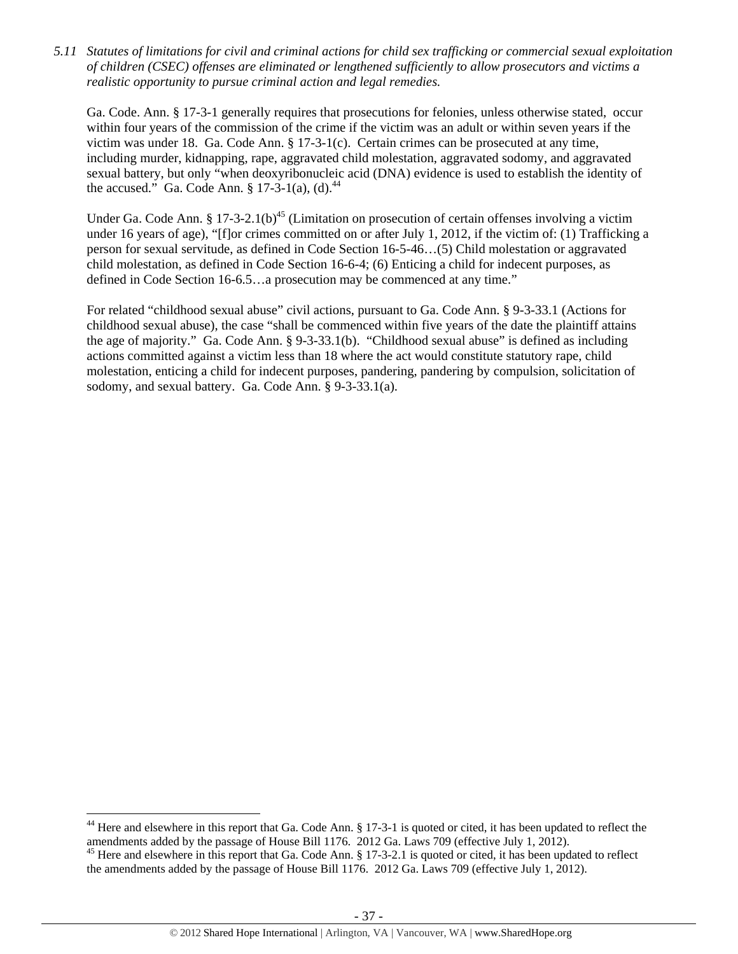*5.11 Statutes of limitations for civil and criminal actions for child sex trafficking or commercial sexual exploitation of children (CSEC) offenses are eliminated or lengthened sufficiently to allow prosecutors and victims a realistic opportunity to pursue criminal action and legal remedies.* 

Ga. Code. Ann. § 17-3-1 generally requires that prosecutions for felonies, unless otherwise stated, occur within four years of the commission of the crime if the victim was an adult or within seven years if the victim was under 18. Ga. Code Ann. § 17-3-1(c). Certain crimes can be prosecuted at any time, including murder, kidnapping, rape, aggravated child molestation, aggravated sodomy, and aggravated sexual battery, but only "when deoxyribonucleic acid (DNA) evidence is used to establish the identity of the accused." Ga. Code Ann.  $\S 17-3-1$ (a), (d).<sup>44</sup>

Under Ga. Code Ann. § 17-3-2.1(b)<sup>45</sup> (Limitation on prosecution of certain offenses involving a victim under 16 years of age), "[f]or crimes committed on or after July 1, 2012, if the victim of: (1) Trafficking a person for sexual servitude, as defined in Code Section 16-5-46…(5) Child molestation or aggravated child molestation, as defined in Code Section 16-6-4; (6) Enticing a child for indecent purposes, as defined in Code Section 16-6.5…a prosecution may be commenced at any time."

For related "childhood sexual abuse" civil actions, pursuant to Ga. Code Ann. § 9-3-33.1 (Actions for childhood sexual abuse), the case "shall be commenced within five years of the date the plaintiff attains the age of majority." Ga. Code Ann. § 9-3-33.1(b). "Childhood sexual abuse" is defined as including actions committed against a victim less than 18 where the act would constitute statutory rape, child molestation, enticing a child for indecent purposes, pandering, pandering by compulsion, solicitation of sodomy, and sexual battery. Ga. Code Ann. § 9-3-33.1(a).

 $44$  Here and elsewhere in this report that Ga. Code Ann. § 17-3-1 is quoted or cited, it has been updated to reflect the amendments added by the passage of House Bill 1176. 2012 Ga. Laws 709 (effective July 1, 2012).<br><sup>45</sup> Here and elsewhere in this report that Ga. Code Ann. § 17-3-2.1 is quoted or cited, it has been updated to reflect

the amendments added by the passage of House Bill 1176. 2012 Ga. Laws 709 (effective July 1, 2012).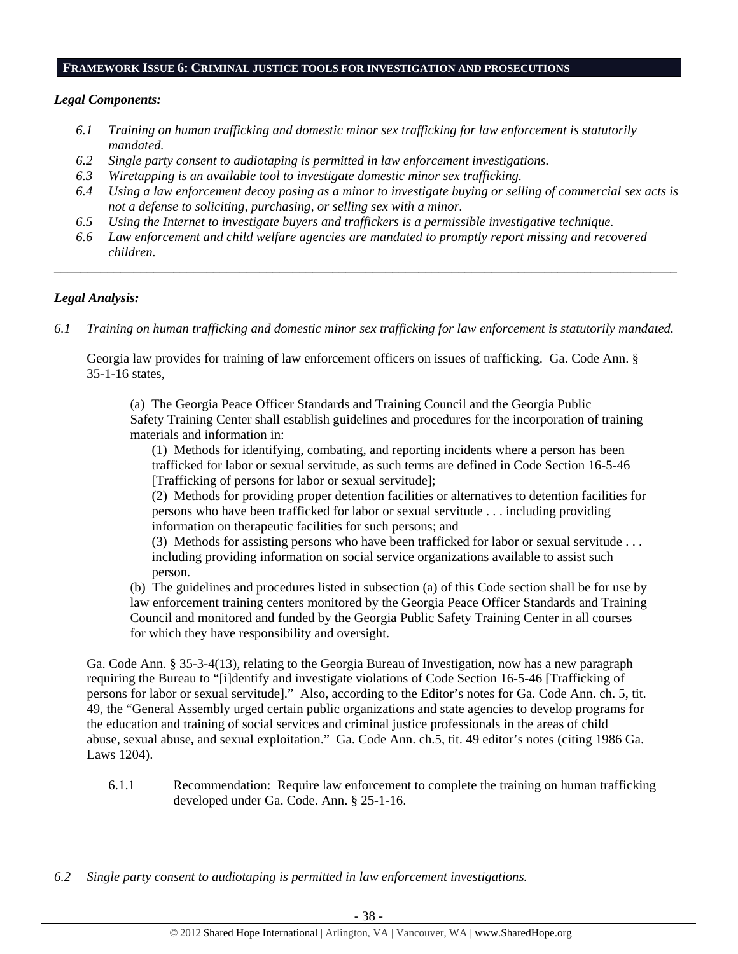#### **FRAMEWORK ISSUE 6: CRIMINAL JUSTICE TOOLS FOR INVESTIGATION AND PROSECUTIONS**

# *Legal Components:*

- *6.1 Training on human trafficking and domestic minor sex trafficking for law enforcement is statutorily mandated.*
- *6.2 Single party consent to audiotaping is permitted in law enforcement investigations.*
- *6.3 Wiretapping is an available tool to investigate domestic minor sex trafficking.*
- *6.4 Using a law enforcement decoy posing as a minor to investigate buying or selling of commercial sex acts is not a defense to soliciting, purchasing, or selling sex with a minor.*
- *6.5 Using the Internet to investigate buyers and traffickers is a permissible investigative technique.*
- *6.6 Law enforcement and child welfare agencies are mandated to promptly report missing and recovered children.*

*\_\_\_\_\_\_\_\_\_\_\_\_\_\_\_\_\_\_\_\_\_\_\_\_\_\_\_\_\_\_\_\_\_\_\_\_\_\_\_\_\_\_\_\_\_\_\_\_\_\_\_\_\_\_\_\_\_\_\_\_\_\_\_\_\_\_\_\_\_\_\_\_\_\_\_\_\_\_\_\_\_\_\_\_\_\_\_\_\_\_\_\_\_\_* 

# *Legal Analysis:*

*6.1 Training on human trafficking and domestic minor sex trafficking for law enforcement is statutorily mandated.*

Georgia law provides for training of law enforcement officers on issues of trafficking. Ga. Code Ann. § 35-1-16 states,

(a) The Georgia Peace Officer Standards and Training Council and the Georgia Public Safety Training Center shall establish guidelines and procedures for the incorporation of training materials and information in:

(1) Methods for identifying, combating, and reporting incidents where a person has been trafficked for labor or sexual servitude, as such terms are defined in Code Section 16-5-46 [Trafficking of persons for labor or sexual servitude];

(2) Methods for providing proper detention facilities or alternatives to detention facilities for persons who have been trafficked for labor or sexual servitude . . . including providing information on therapeutic facilities for such persons; and

(3) Methods for assisting persons who have been trafficked for labor or sexual servitude . . . including providing information on social service organizations available to assist such person.

(b) The guidelines and procedures listed in subsection (a) of this Code section shall be for use by law enforcement training centers monitored by the Georgia Peace Officer Standards and Training Council and monitored and funded by the Georgia Public Safety Training Center in all courses for which they have responsibility and oversight.

Ga. Code Ann. § 35-3-4(13), relating to the Georgia Bureau of Investigation, now has a new paragraph requiring the Bureau to "[i]dentify and investigate violations of Code Section 16-5-46 [Trafficking of persons for labor or sexual servitude]." Also, according to the Editor's notes for Ga. Code Ann. ch. 5, tit. 49, the "General Assembly urged certain public organizations and state agencies to develop programs for the education and training of social services and criminal justice professionals in the areas of child abuse, sexual abuse**,** and sexual exploitation." Ga. Code Ann. ch.5, tit. 49 editor's notes (citing 1986 Ga. Laws 1204).

6.1.1 Recommendation: Require law enforcement to complete the training on human trafficking developed under Ga. Code. Ann. § 25-1-16.

*6.2 Single party consent to audiotaping is permitted in law enforcement investigations.*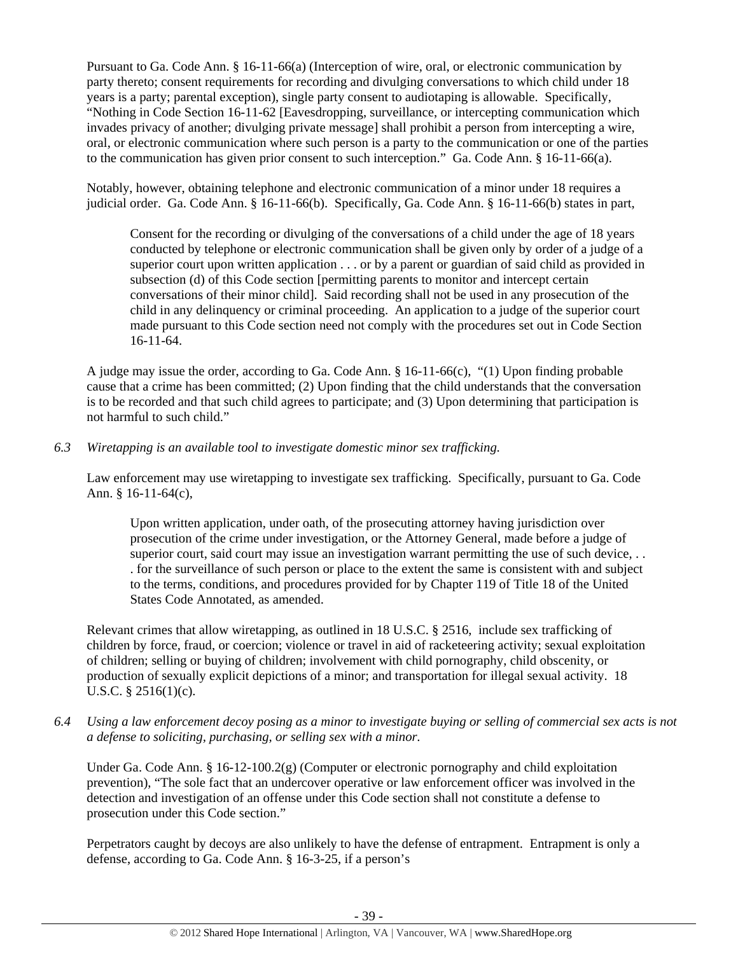Pursuant to Ga. Code Ann. § 16-11-66(a) (Interception of wire, oral, or electronic communication by party thereto; consent requirements for recording and divulging conversations to which child under 18 years is a party; parental exception), single party consent to audiotaping is allowable. Specifically, "Nothing in Code Section 16-11-62 [Eavesdropping, surveillance, or intercepting communication which invades privacy of another; divulging private message] shall prohibit a person from intercepting a wire, oral, or electronic communication where such person is a party to the communication or one of the parties to the communication has given prior consent to such interception." Ga. Code Ann. § 16-11-66(a).

Notably, however, obtaining telephone and electronic communication of a minor under 18 requires a judicial order. Ga. Code Ann. § 16-11-66(b). Specifically, Ga. Code Ann. § 16-11-66(b) states in part,

Consent for the recording or divulging of the conversations of a child under the age of 18 years conducted by telephone or electronic communication shall be given only by order of a judge of a superior court upon written application . . . or by a parent or guardian of said child as provided in subsection (d) of this Code section [permitting parents to monitor and intercept certain conversations of their minor child]. Said recording shall not be used in any prosecution of the child in any delinquency or criminal proceeding. An application to a judge of the superior court made pursuant to this Code section need not comply with the procedures set out in Code Section 16-11-64.

A judge may issue the order, according to Ga. Code Ann. § 16-11-66(c), "(1) Upon finding probable cause that a crime has been committed; (2) Upon finding that the child understands that the conversation is to be recorded and that such child agrees to participate; and (3) Upon determining that participation is not harmful to such child."

# *6.3 Wiretapping is an available tool to investigate domestic minor sex trafficking.*

Law enforcement may use wiretapping to investigate sex trafficking. Specifically, pursuant to Ga. Code Ann. § 16-11-64(c),

Upon written application, under oath, of the prosecuting attorney having jurisdiction over prosecution of the crime under investigation, or the Attorney General, made before a judge of superior court, said court may issue an investigation warrant permitting the use of such device, ... . for the surveillance of such person or place to the extent the same is consistent with and subject to the terms, conditions, and procedures provided for by Chapter 119 of Title 18 of the United States Code Annotated, as amended.

Relevant crimes that allow wiretapping, as outlined in 18 U.S.C. § 2516, include sex trafficking of children by force, fraud, or coercion; violence or travel in aid of racketeering activity; sexual exploitation of children; selling or buying of children; involvement with child pornography, child obscenity, or production of sexually explicit depictions of a minor; and transportation for illegal sexual activity. 18 U.S.C. § 2516(1)(c).

*6.4 Using a law enforcement decoy posing as a minor to investigate buying or selling of commercial sex acts is not a defense to soliciting, purchasing, or selling sex with a minor.* 

Under Ga. Code Ann. § 16-12-100.2(g) (Computer or electronic pornography and child exploitation prevention), "The sole fact that an undercover operative or law enforcement officer was involved in the detection and investigation of an offense under this Code section shall not constitute a defense to prosecution under this Code section."

Perpetrators caught by decoys are also unlikely to have the defense of entrapment. Entrapment is only a defense, according to Ga. Code Ann. § 16-3-25, if a person's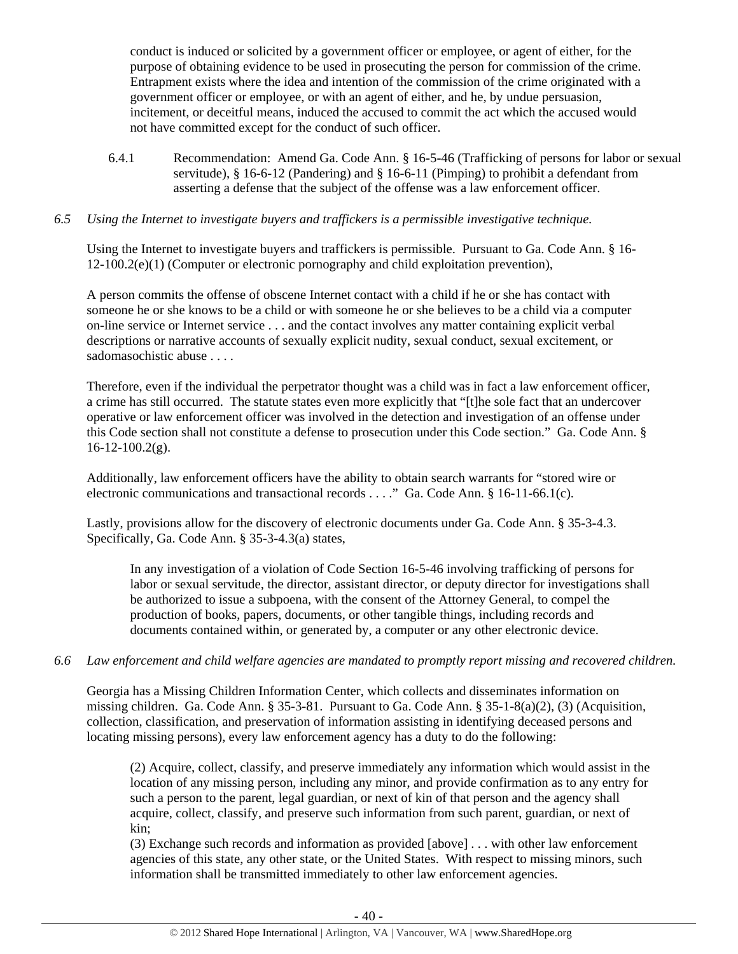conduct is induced or solicited by a government officer or employee, or agent of either, for the purpose of obtaining evidence to be used in prosecuting the person for commission of the crime. Entrapment exists where the idea and intention of the commission of the crime originated with a government officer or employee, or with an agent of either, and he, by undue persuasion, incitement, or deceitful means, induced the accused to commit the act which the accused would not have committed except for the conduct of such officer.

6.4.1 Recommendation: Amend Ga. Code Ann. § 16-5-46 (Trafficking of persons for labor or sexual servitude), § 16-6-12 (Pandering) and § 16-6-11 (Pimping) to prohibit a defendant from asserting a defense that the subject of the offense was a law enforcement officer.

# *6.5 Using the Internet to investigate buyers and traffickers is a permissible investigative technique.*

Using the Internet to investigate buyers and traffickers is permissible. Pursuant to Ga. Code Ann. § 16- 12-100.2(e)(1) (Computer or electronic pornography and child exploitation prevention),

A person commits the offense of obscene Internet contact with a child if he or she has contact with someone he or she knows to be a child or with someone he or she believes to be a child via a computer on-line service or Internet service . . . and the contact involves any matter containing explicit verbal descriptions or narrative accounts of sexually explicit nudity, sexual conduct, sexual excitement, or sadomasochistic abuse . . . .

Therefore, even if the individual the perpetrator thought was a child was in fact a law enforcement officer, a crime has still occurred. The statute states even more explicitly that "[t]he sole fact that an undercover operative or law enforcement officer was involved in the detection and investigation of an offense under this Code section shall not constitute a defense to prosecution under this Code section." Ga. Code Ann. §  $16-12-100.2(g)$ .

Additionally, law enforcement officers have the ability to obtain search warrants for "stored wire or electronic communications and transactional records . . . ." Ga. Code Ann. § 16-11-66.1(c).

Lastly, provisions allow for the discovery of electronic documents under Ga. Code Ann. § 35-3-4.3. Specifically, Ga. Code Ann. § 35-3-4.3(a) states,

In any investigation of a violation of Code Section 16-5-46 involving trafficking of persons for labor or sexual servitude, the director, assistant director, or deputy director for investigations shall be authorized to issue a subpoena, with the consent of the Attorney General, to compel the production of books, papers, documents, or other tangible things, including records and documents contained within, or generated by, a computer or any other electronic device.

# *6.6 Law enforcement and child welfare agencies are mandated to promptly report missing and recovered children.*

Georgia has a Missing Children Information Center, which collects and disseminates information on missing children. Ga. Code Ann. § 35-3-81. Pursuant to Ga. Code Ann. § 35-1-8(a)(2), (3) (Acquisition, collection, classification, and preservation of information assisting in identifying deceased persons and locating missing persons), every law enforcement agency has a duty to do the following:

(2) Acquire, collect, classify, and preserve immediately any information which would assist in the location of any missing person, including any minor, and provide confirmation as to any entry for such a person to the parent, legal guardian, or next of kin of that person and the agency shall acquire, collect, classify, and preserve such information from such parent, guardian, or next of kin;

(3) Exchange such records and information as provided [above] . . . with other law enforcement agencies of this state, any other state, or the United States. With respect to missing minors, such information shall be transmitted immediately to other law enforcement agencies.